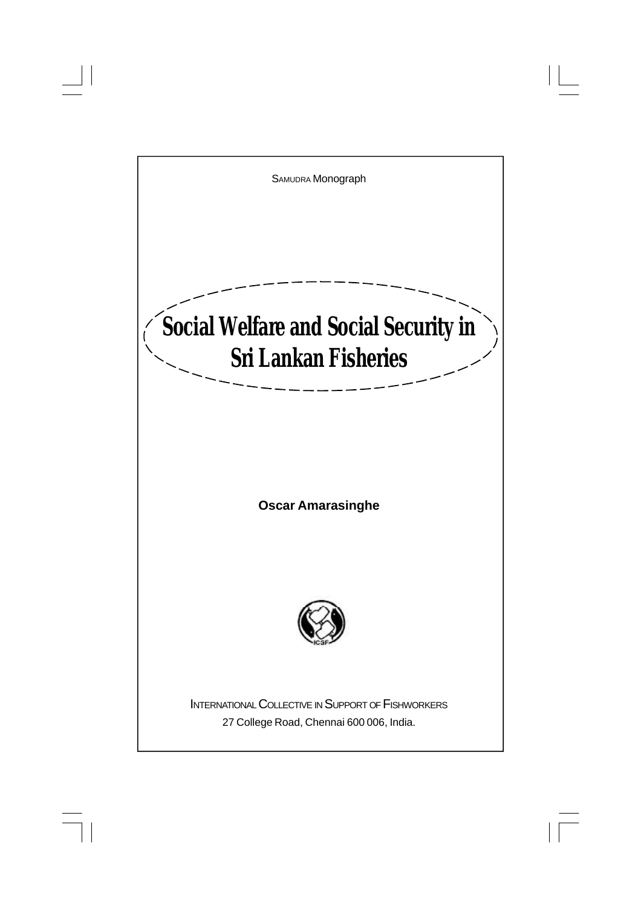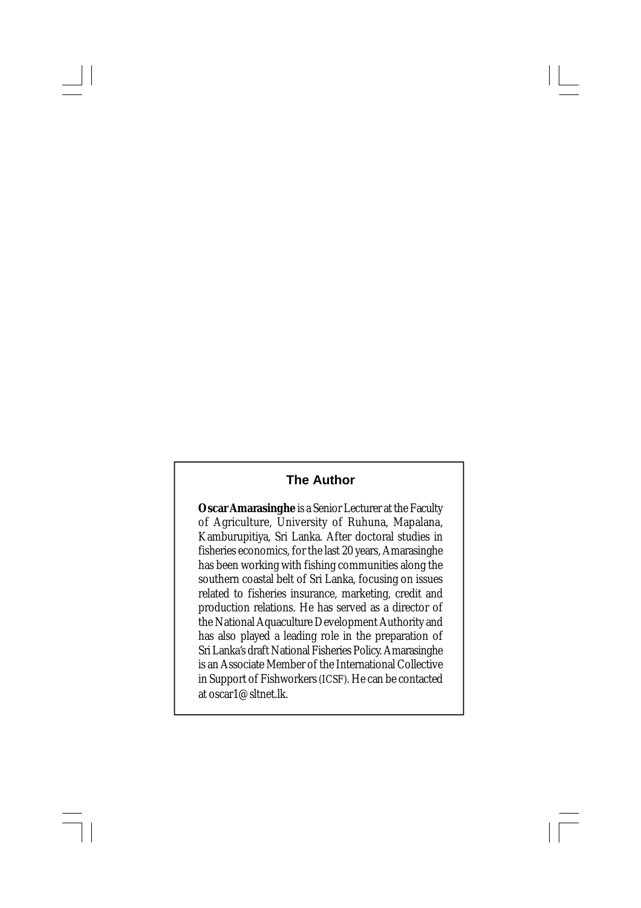## **The Author**

**Oscar Amarasinghe** is a Senior Lecturer at the Faculty of Agriculture, University of Ruhuna, Mapalana, Kamburupitiya, Sri Lanka. After doctoral studies in fisheries economics, for the last 20 years, Amarasinghe has been working with fishing communities along the southern coastal belt of Sri Lanka, focusing on issues related to fisheries insurance, marketing, credit and production relations. He has served as a director of the National Aquaculture Development Authority and has also played a leading role in the preparation of Sri Lanka's draft National Fisheries Policy. Amarasinghe is an Associate Member of the International Collective in Support of Fishworkers(ICSF). He can be contacted at oscar1@sltnet.lk.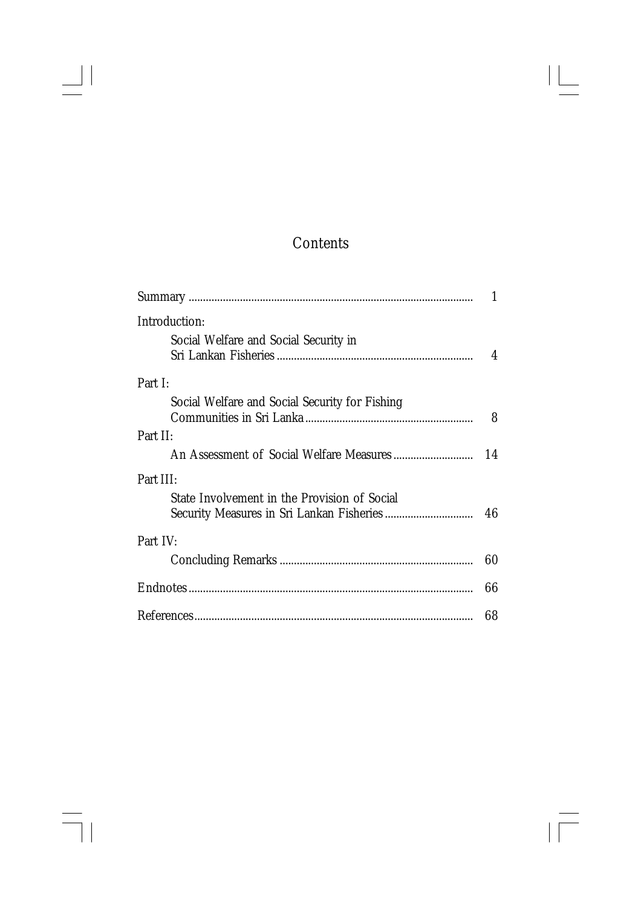# Contents

 $\begin{array}{c|c} \hline \quad \quad & \quad \quad & \quad \quad \\ \hline \quad \quad & \quad \quad & \quad \quad \\ \hline \end{array}$ 

 $\overline{\overline{\phantom{a}}\phantom{a}}$ 

 $\sqrt{1}$ 

| Introduction:                                  |    |
|------------------------------------------------|----|
| Social Welfare and Social Security in          |    |
|                                                | 4  |
| Part I:                                        |    |
| Social Welfare and Social Security for Fishing |    |
|                                                |    |
| Part II:                                       |    |
|                                                | 14 |
| Part III:                                      |    |
| State Involvement in the Provision of Social   |    |
|                                                |    |
| Part IV:                                       |    |
|                                                | 60 |
|                                                | 66 |
|                                                | 68 |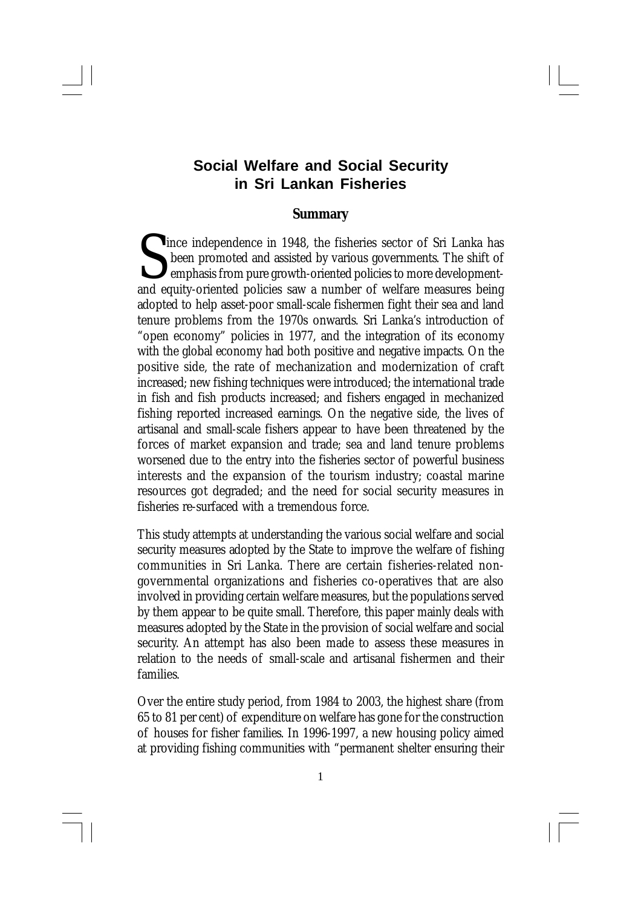## **Social Welfare and Social Security in Sri Lankan Fisheries**

#### **Summary**

Since independence in 1948, the fisheries sector of Sri Lanka has<br>been promoted and assisted by various governments. The shift of<br>emphasis from pure growth-oriented policies to more development-<br>and equity-oriented policie been promoted and assisted by various governments. The shift of emphasis from pure growth-oriented policies to more developmentand equity-oriented policies saw a number of welfare measures being adopted to help asset-poor small-scale fishermen fight their sea and land tenure problems from the 1970s onwards. Sri Lanka's introduction of "open economy" policies in 1977, and the integration of its economy with the global economy had both positive and negative impacts. On the positive side, the rate of mechanization and modernization of craft increased; new fishing techniques were introduced; the international trade in fish and fish products increased; and fishers engaged in mechanized fishing reported increased earnings. On the negative side, the lives of artisanal and small-scale fishers appear to have been threatened by the forces of market expansion and trade; sea and land tenure problems worsened due to the entry into the fisheries sector of powerful business interests and the expansion of the tourism industry; coastal marine resources got degraded; and the need for social security measures in fisheries re-surfaced with a tremendous force.

This study attempts at understanding the various social welfare and social security measures adopted by the State to improve the welfare of fishing communities in Sri Lanka. There are certain fisheries-related nongovernmental organizations and fisheries co-operatives that are also involved in providing certain welfare measures, but the populations served by them appear to be quite small. Therefore, this paper mainly deals with measures adopted by the State in the provision of social welfare and social security. An attempt has also been made to assess these measures in relation to the needs of small-scale and artisanal fishermen and their families.

Over the entire study period, from 1984 to 2003, the highest share (from 65 to 81 per cent) of expenditure on welfare has gone for the construction of houses for fisher families. In 1996-1997, a new housing policy aimed at providing fishing communities with "permanent shelter ensuring their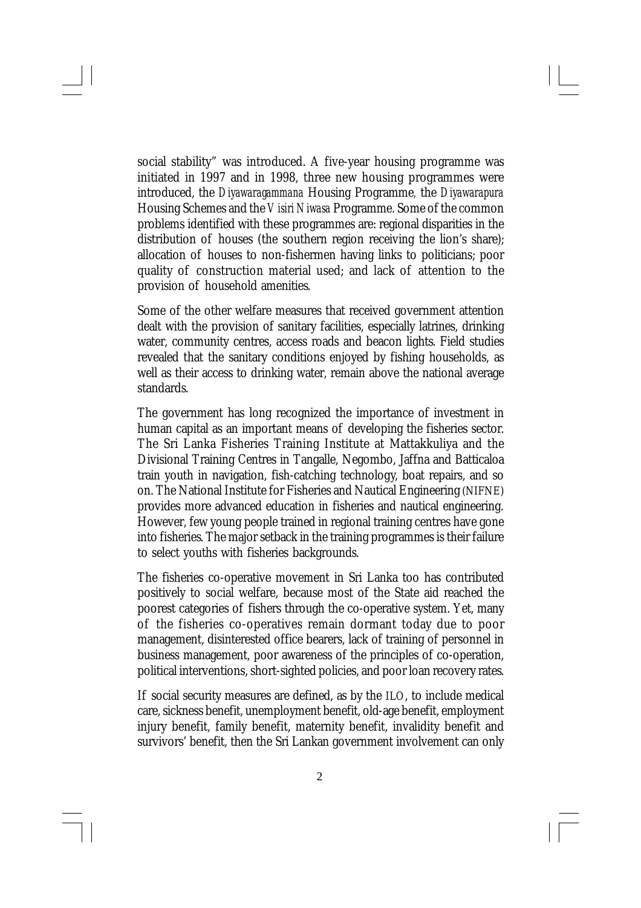social stability" was introduced. A five-year housing programme was initiated in 1997 and in 1998, three new housing programmes were introduced, the *Diyawaragammana* Housing Programme*,* the *Diyawarapura* Housing Schemes and the *Visiri Niwasa* Programme. Some of the common problems identified with these programmes are: regional disparities in the distribution of houses (the southern region receiving the lion's share); allocation of houses to non-fishermen having links to politicians; poor quality of construction material used; and lack of attention to the provision of household amenities.

Some of the other welfare measures that received government attention dealt with the provision of sanitary facilities, especially latrines, drinking water, community centres, access roads and beacon lights. Field studies revealed that the sanitary conditions enjoyed by fishing households, as well as their access to drinking water, remain above the national average standards.

The government has long recognized the importance of investment in human capital as an important means of developing the fisheries sector. The Sri Lanka Fisheries Training Institute at Mattakkuliya and the Divisional Training Centres in Tangalle, Negombo, Jaffna and Batticaloa train youth in navigation, fish-catching technology, boat repairs, and so on. The National Institute for Fisheries and Nautical Engineering (NIFNE) provides more advanced education in fisheries and nautical engineering. However, few young people trained in regional training centres have gone into fisheries. The major setback in the training programmes is their failure to select youths with fisheries backgrounds.

The fisheries co-operative movement in Sri Lanka too has contributed positively to social welfare, because most of the State aid reached the poorest categories of fishers through the co-operative system. Yet, many of the fisheries co-operatives remain dormant today due to poor management, disinterested office bearers, lack of training of personnel in business management, poor awareness of the principles of co-operation, political interventions, short-sighted policies, and poor loan recovery rates.

If social security measures are defined, as by the ILO, to include medical care, sickness benefit, unemployment benefit, old-age benefit, employment injury benefit, family benefit, maternity benefit, invalidity benefit and survivors' benefit, then the Sri Lankan government involvement can only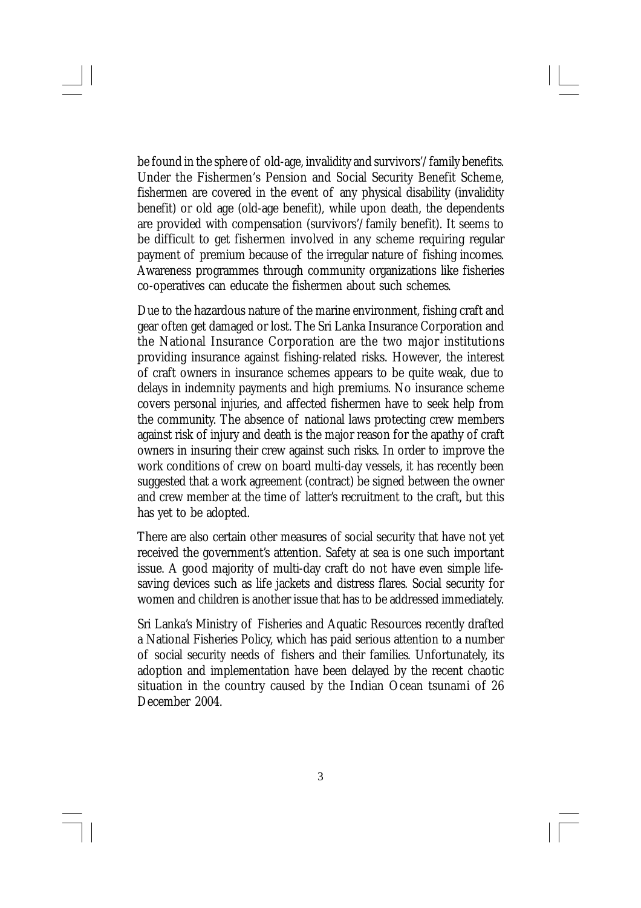be found in the sphere of old-age, invalidity and survivors'/family benefits. Under the Fishermen's Pension and Social Security Benefit Scheme, fishermen are covered in the event of any physical disability (invalidity benefit) or old age (old-age benefit), while upon death, the dependents are provided with compensation (survivors'/family benefit). It seems to be difficult to get fishermen involved in any scheme requiring regular payment of premium because of the irregular nature of fishing incomes. Awareness programmes through community organizations like fisheries co-operatives can educate the fishermen about such schemes.

Due to the hazardous nature of the marine environment, fishing craft and gear often get damaged or lost. The Sri Lanka Insurance Corporation and the National Insurance Corporation are the two major institutions providing insurance against fishing-related risks. However, the interest of craft owners in insurance schemes appears to be quite weak, due to delays in indemnity payments and high premiums. No insurance scheme covers personal injuries, and affected fishermen have to seek help from the community. The absence of national laws protecting crew members against risk of injury and death is the major reason for the apathy of craft owners in insuring their crew against such risks. In order to improve the work conditions of crew on board multi-day vessels, it has recently been suggested that a work agreement (contract) be signed between the owner and crew member at the time of latter's recruitment to the craft, but this has yet to be adopted.

There are also certain other measures of social security that have not yet received the government's attention. Safety at sea is one such important issue. A good majority of multi-day craft do not have even simple lifesaving devices such as life jackets and distress flares. Social security for women and children is another issue that has to be addressed immediately.

Sri Lanka's Ministry of Fisheries and Aquatic Resources recently drafted a National Fisheries Policy, which has paid serious attention to a number of social security needs of fishers and their families. Unfortunately, its adoption and implementation have been delayed by the recent chaotic situation in the country caused by the Indian Ocean tsunami of 26 December 2004.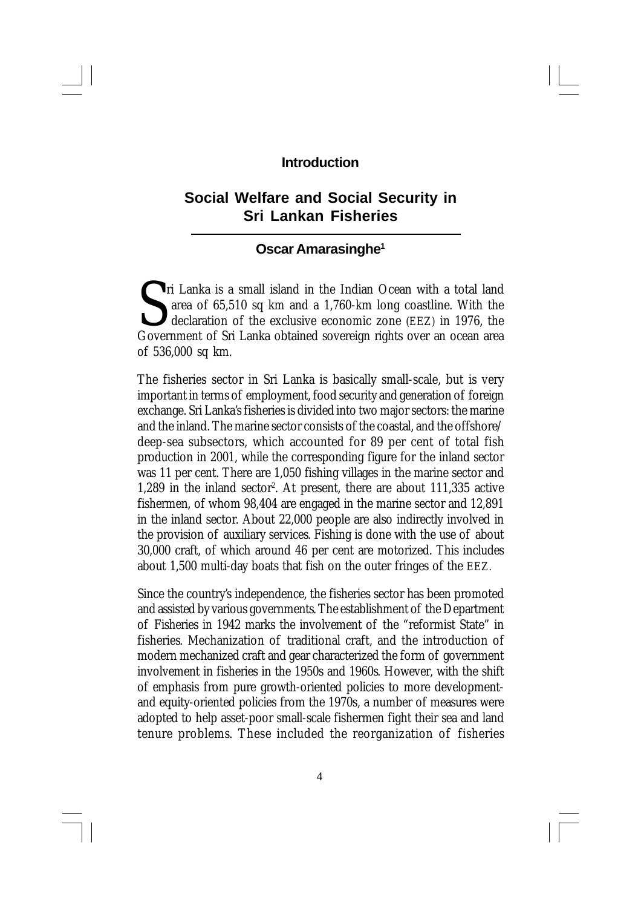### **Introduction**

## **Social Welfare and Social Security in Sri Lankan Fisheries**

## **Oscar Amarasinghe<sup>1</sup>**

I ri Lanka is a small island in the Indian Ocean with a total land area of 65,510 sq km and a 1,760-km long coastline. With the declaration of the exclusive economic zone (EEZ) in 1976, the Government of Sri Lanka obtained area of 65,510 sq km and a 1,760-km long coastline. With the declaration of the exclusive economic zone (EEZ) in 1976, the Government of Sri Lanka obtained sovereign rights over an ocean area of 536,000 sq km.

The fisheries sector in Sri Lanka is basically small-scale, but is very important in terms of employment, food security and generation of foreign exchange. Sri Lanka's fisheries is divided into two major sectors: the marine and the inland. The marine sector consists of the coastal, and the offshore/ deep-sea subsectors, which accounted for 89 per cent of total fish production in 2001, while the corresponding figure for the inland sector was 11 per cent. There are 1,050 fishing villages in the marine sector and  $1,289$  in the inland sector<sup>2</sup>. At present, there are about  $111,335$  active fishermen, of whom 98,404 are engaged in the marine sector and 12,891 in the inland sector. About 22,000 people are also indirectly involved in the provision of auxiliary services. Fishing is done with the use of about 30,000 craft, of which around 46 per cent are motorized. This includes about 1,500 multi-day boats that fish on the outer fringes of the EEZ.

Since the country's independence, the fisheries sector has been promoted and assisted by various governments. The establishment of the Department of Fisheries in 1942 marks the involvement of the "reformist State" in fisheries. Mechanization of traditional craft, and the introduction of modern mechanized craft and gear characterized the form of government involvement in fisheries in the 1950s and 1960s. However, with the shift of emphasis from pure growth-oriented policies to more developmentand equity-oriented policies from the 1970s, a number of measures were adopted to help asset-poor small-scale fishermen fight their sea and land tenure problems. These included the reorganization of fisheries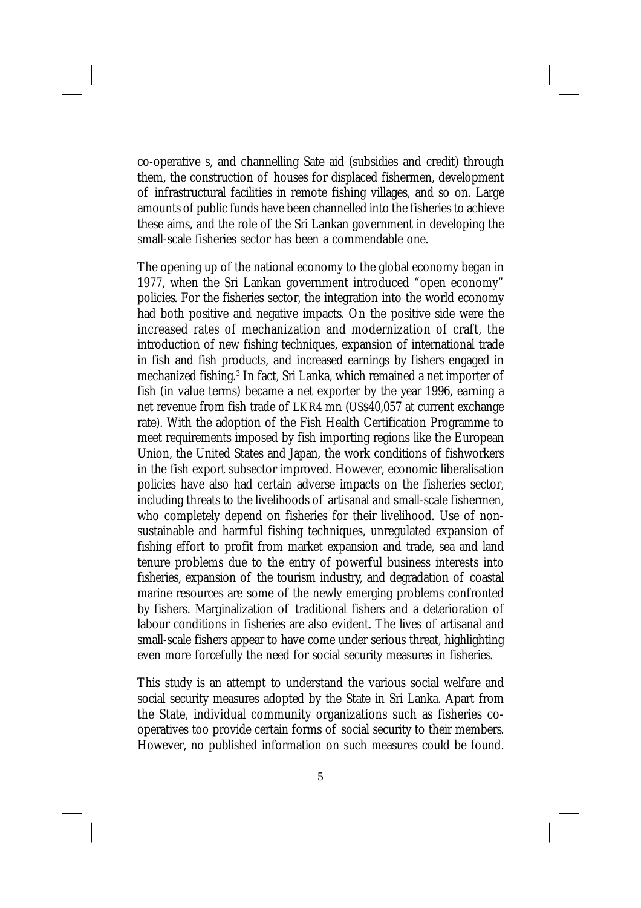co-operative s, and channelling Sate aid (subsidies and credit) through them, the construction of houses for displaced fishermen, development of infrastructural facilities in remote fishing villages, and so on. Large amounts of public funds have been channelled into the fisheries to achieve these aims, and the role of the Sri Lankan government in developing the small-scale fisheries sector has been a commendable one.

The opening up of the national economy to the global economy began in 1977, when the Sri Lankan government introduced "open economy" policies. For the fisheries sector, the integration into the world economy had both positive and negative impacts. On the positive side were the increased rates of mechanization and modernization of craft, the introduction of new fishing techniques, expansion of international trade in fish and fish products, and increased earnings by fishers engaged in mechanized fishing.<sup>3</sup> In fact, Sri Lanka, which remained a net importer of fish (in value terms) became a net exporter by the year 1996, earning a net revenue from fish trade of LKR4 mn (US\$40,057 at current exchange rate). With the adoption of the Fish Health Certification Programme to meet requirements imposed by fish importing regions like the European Union, the United States and Japan, the work conditions of fishworkers in the fish export subsector improved. However, economic liberalisation policies have also had certain adverse impacts on the fisheries sector, including threats to the livelihoods of artisanal and small-scale fishermen, who completely depend on fisheries for their livelihood. Use of nonsustainable and harmful fishing techniques, unregulated expansion of fishing effort to profit from market expansion and trade, sea and land tenure problems due to the entry of powerful business interests into fisheries, expansion of the tourism industry, and degradation of coastal marine resources are some of the newly emerging problems confronted by fishers. Marginalization of traditional fishers and a deterioration of labour conditions in fisheries are also evident. The lives of artisanal and small-scale fishers appear to have come under serious threat, highlighting even more forcefully the need for social security measures in fisheries.

This study is an attempt to understand the various social welfare and social security measures adopted by the State in Sri Lanka. Apart from the State, individual community organizations such as fisheries cooperatives too provide certain forms of social security to their members. However, no published information on such measures could be found.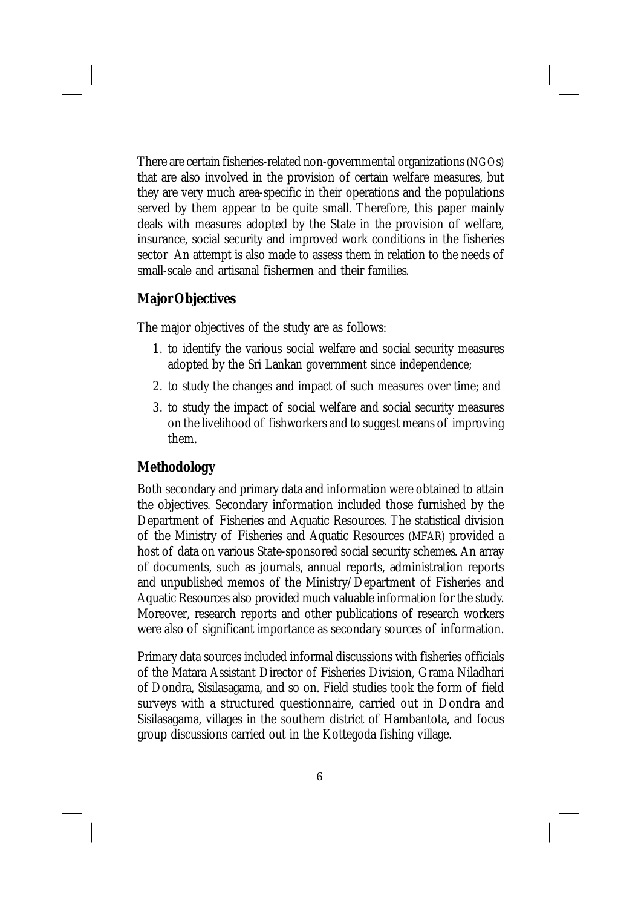There are certain fisheries-related non-governmental organizations (NGOs) that are also involved in the provision of certain welfare measures, but they are very much area-specific in their operations and the populations served by them appear to be quite small. Therefore, this paper mainly deals with measures adopted by the State in the provision of welfare, insurance, social security and improved work conditions in the fisheries sector An attempt is also made to assess them in relation to the needs of small-scale and artisanal fishermen and their families.

## **Major Objectives**

The major objectives of the study are as follows:

- 1. to identify the various social welfare and social security measures adopted by the Sri Lankan government since independence;
- 2. to study the changes and impact of such measures over time; and
- 3. to study the impact of social welfare and social security measures on the livelihood of fishworkers and to suggest means of improving them.

#### **Methodology**

Both secondary and primary data and information were obtained to attain the objectives. Secondary information included those furnished by the Department of Fisheries and Aquatic Resources. The statistical division of the Ministry of Fisheries and Aquatic Resources (MFAR) provided a host of data on various State-sponsored social security schemes. An array of documents, such as journals, annual reports, administration reports and unpublished memos of the Ministry/Department of Fisheries and Aquatic Resources also provided much valuable information for the study. Moreover, research reports and other publications of research workers were also of significant importance as secondary sources of information.

Primary data sources included informal discussions with fisheries officials of the Matara Assistant Director of Fisheries Division, Grama Niladhari of Dondra, Sisilasagama, and so on. Field studies took the form of field surveys with a structured questionnaire, carried out in Dondra and Sisilasagama, villages in the southern district of Hambantota, and focus group discussions carried out in the Kottegoda fishing village.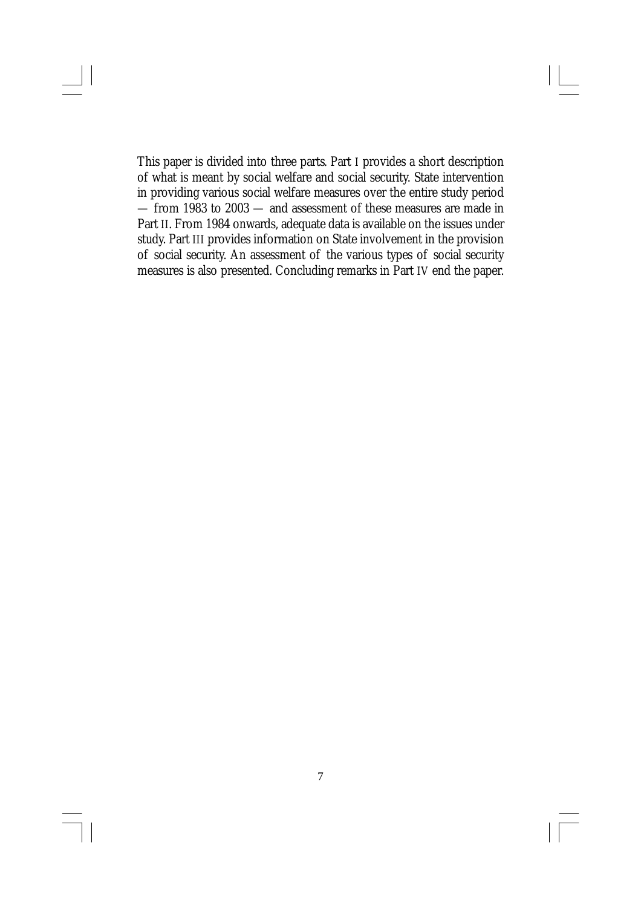This paper is divided into three parts. Part I provides a short description of what is meant by social welfare and social security. State intervention in providing various social welfare measures over the entire study period — from 1983 to 2003 — and assessment of these measures are made in Part II. From 1984 onwards, adequate data is available on the issues under study. Part III provides information on State involvement in the provision of social security. An assessment of the various types of social security measures is also presented. Concluding remarks in Part IV end the paper.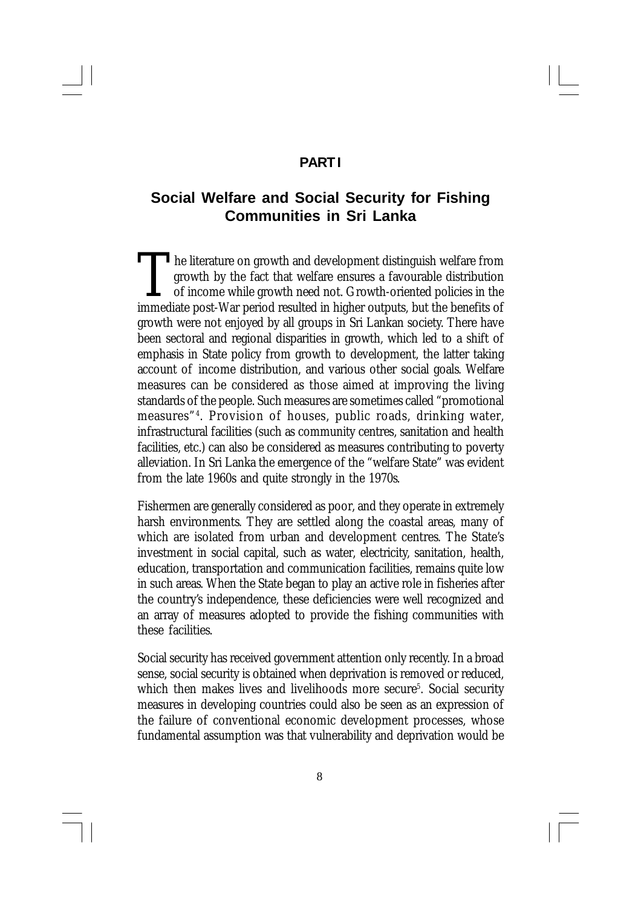## **PART I**

## **Social Welfare and Social Security for Fishing Communities in Sri Lanka**

The literature on growth and development distinguish welfare from growth by the fact that welfare ensures a favourable distribution of income while growth need not. Growth-oriented policies in the immediate post-War period he literature on growth and development distinguish welfare from growth by the fact that welfare ensures a favourable distribution of income while growth need not. Growth-oriented policies in the growth were not enjoyed by all groups in Sri Lankan society. There have been sectoral and regional disparities in growth, which led to a shift of emphasis in State policy from growth to development, the latter taking account of income distribution, and various other social goals. Welfare measures can be considered as those aimed at improving the living standards of the people. Such measures are sometimes called "promotional measures"<sup>4</sup> . Provision of houses, public roads, drinking water, infrastructural facilities (such as community centres, sanitation and health facilities, etc.) can also be considered as measures contributing to poverty alleviation. In Sri Lanka the emergence of the "welfare State" was evident from the late 1960s and quite strongly in the 1970s.

Fishermen are generally considered as poor, and they operate in extremely harsh environments. They are settled along the coastal areas, many of which are isolated from urban and development centres. The State's investment in social capital, such as water, electricity, sanitation, health, education, transportation and communication facilities, remains quite low in such areas. When the State began to play an active role in fisheries after the country's independence, these deficiencies were well recognized and an array of measures adopted to provide the fishing communities with these facilities.

Social security has received government attention only recently. In a broad sense, social security is obtained when deprivation is removed or reduced, which then makes lives and livelihoods more secure<sup>5</sup>. Social security measures in developing countries could also be seen as an expression of the failure of conventional economic development processes, whose fundamental assumption was that vulnerability and deprivation would be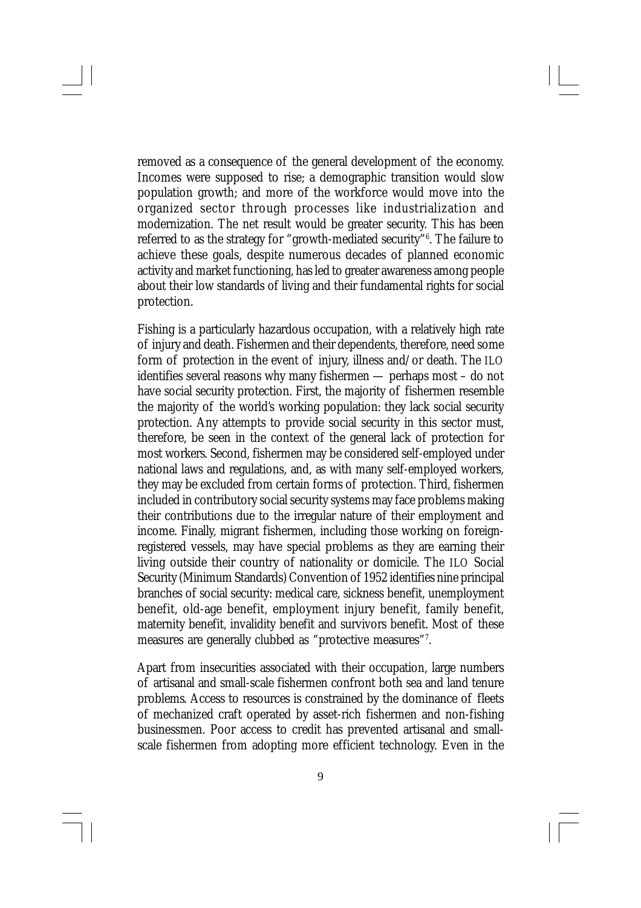removed as a consequence of the general development of the economy. Incomes were supposed to rise; a demographic transition would slow population growth; and more of the workforce would move into the organized sector through processes like industrialization and modernization. The net result would be greater security. This has been referred to as the strategy for "growth-mediated security"<sup>6</sup> . The failure to achieve these goals, despite numerous decades of planned economic activity and market functioning, has led to greater awareness among people about their low standards of living and their fundamental rights for social protection.

Fishing is a particularly hazardous occupation, with a relatively high rate of injury and death. Fishermen and their dependents, therefore, need some form of protection in the event of injury, illness and/or death. The ILO identifies several reasons why many fishermen — perhaps most – do not have social security protection. First, the majority of fishermen resemble the majority of the world's working population: they lack social security protection. Any attempts to provide social security in this sector must, therefore, be seen in the context of the general lack of protection for most workers. Second, fishermen may be considered self-employed under national laws and regulations, and, as with many self-employed workers, they may be excluded from certain forms of protection. Third, fishermen included in contributory social security systems may face problems making their contributions due to the irregular nature of their employment and income. Finally, migrant fishermen, including those working on foreignregistered vessels, may have special problems as they are earning their living outside their country of nationality or domicile. The ILO Social Security (Minimum Standards) Convention of 1952 identifies nine principal branches of social security: medical care, sickness benefit, unemployment benefit, old-age benefit, employment injury benefit, family benefit, maternity benefit, invalidity benefit and survivors benefit. Most of these measures are generally clubbed as "protective measures"<sup>7</sup> .

Apart from insecurities associated with their occupation, large numbers of artisanal and small-scale fishermen confront both sea and land tenure problems. Access to resources is constrained by the dominance of fleets of mechanized craft operated by asset-rich fishermen and non-fishing businessmen. Poor access to credit has prevented artisanal and smallscale fishermen from adopting more efficient technology. Even in the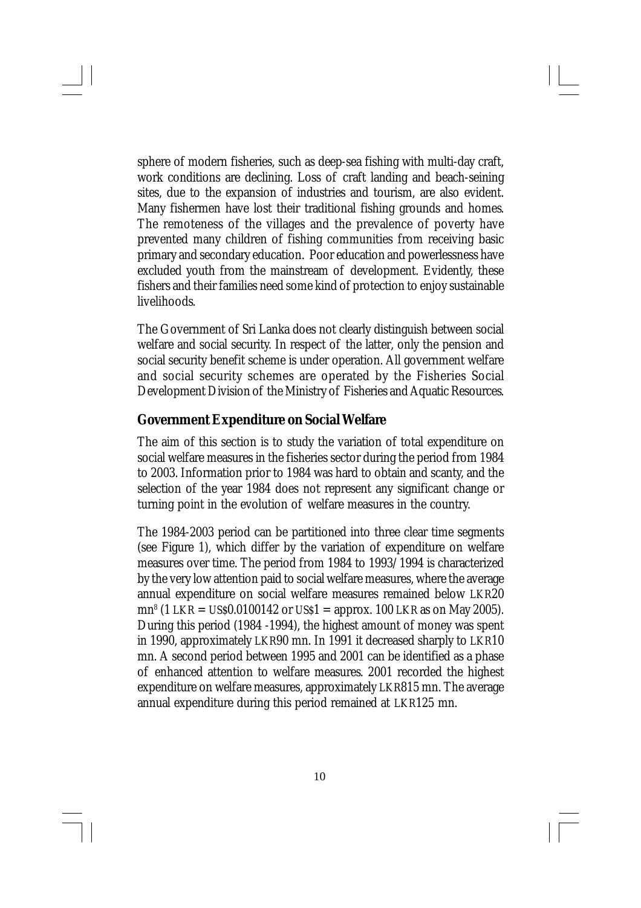sphere of modern fisheries, such as deep-sea fishing with multi-day craft, work conditions are declining. Loss of craft landing and beach-seining sites, due to the expansion of industries and tourism, are also evident. Many fishermen have lost their traditional fishing grounds and homes. The remoteness of the villages and the prevalence of poverty have prevented many children of fishing communities from receiving basic primary and secondary education. Poor education and powerlessness have excluded youth from the mainstream of development. Evidently, these fishers and their families need some kind of protection to enjoy sustainable livelihoods.

The Government of Sri Lanka does not clearly distinguish between social welfare and social security. In respect of the latter, only the pension and social security benefit scheme is under operation. All government welfare and social security schemes are operated by the Fisheries Social Development Division of the Ministry of Fisheries and Aquatic Resources.

#### **Government Expenditure on Social Welfare**

The aim of this section is to study the variation of total expenditure on social welfare measures in the fisheries sector during the period from 1984 to 2003. Information prior to 1984 was hard to obtain and scanty, and the selection of the year 1984 does not represent any significant change or turning point in the evolution of welfare measures in the country.

The 1984-2003 period can be partitioned into three clear time segments (see Figure 1), which differ by the variation of expenditure on welfare measures over time. The period from 1984 to 1993/1994 is characterized by the very low attention paid to social welfare measures, where the average annual expenditure on social welfare measures remained below LKR20 mn<sup>8</sup> (1 LKR = US\$0.0100142 or US\$1 = approx. 100 LKR as on May 2005). During this period (1984 -1994), the highest amount of money was spent in 1990, approximately LKR90 mn. In 1991 it decreased sharply to LKR10 mn. A second period between 1995 and 2001 can be identified as a phase of enhanced attention to welfare measures. 2001 recorded the highest expenditure on welfare measures, approximately LKR815 mn. The average annual expenditure during this period remained at LKR125 mn.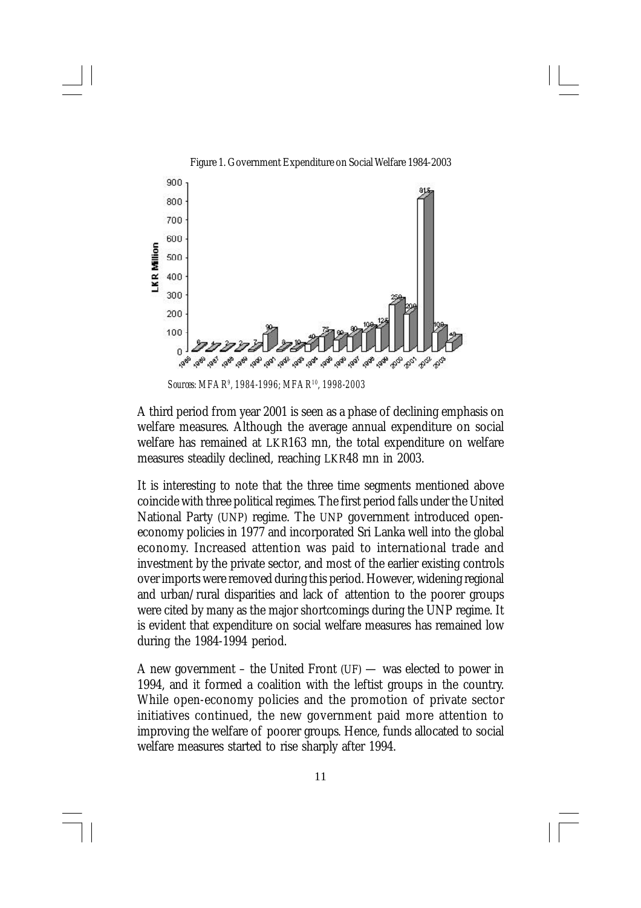

Figure 1. Government Expenditure on Social Welfare 1984-2003

*Sources: MFAR<sup>9</sup> , 1984-1996; MFAR<sup>10</sup>, 1998-2003*

A third period from year 2001 is seen as a phase of declining emphasis on welfare measures. Although the average annual expenditure on social welfare has remained at LKR163 mn, the total expenditure on welfare measures steadily declined, reaching LKR48 mn in 2003.

It is interesting to note that the three time segments mentioned above coincide with three political regimes. The first period falls under the United National Party (UNP) regime. The UNP government introduced openeconomy policies in 1977 and incorporated Sri Lanka well into the global economy. Increased attention was paid to international trade and investment by the private sector, and most of the earlier existing controls over imports were removed during this period. However, widening regional and urban/rural disparities and lack of attention to the poorer groups were cited by many as the major shortcomings during the UNP regime. It is evident that expenditure on social welfare measures has remained low during the 1984-1994 period.

A new government – the United Front  $(UF)$  — was elected to power in 1994, and it formed a coalition with the leftist groups in the country. While open-economy policies and the promotion of private sector initiatives continued, the new government paid more attention to improving the welfare of poorer groups. Hence, funds allocated to social welfare measures started to rise sharply after 1994.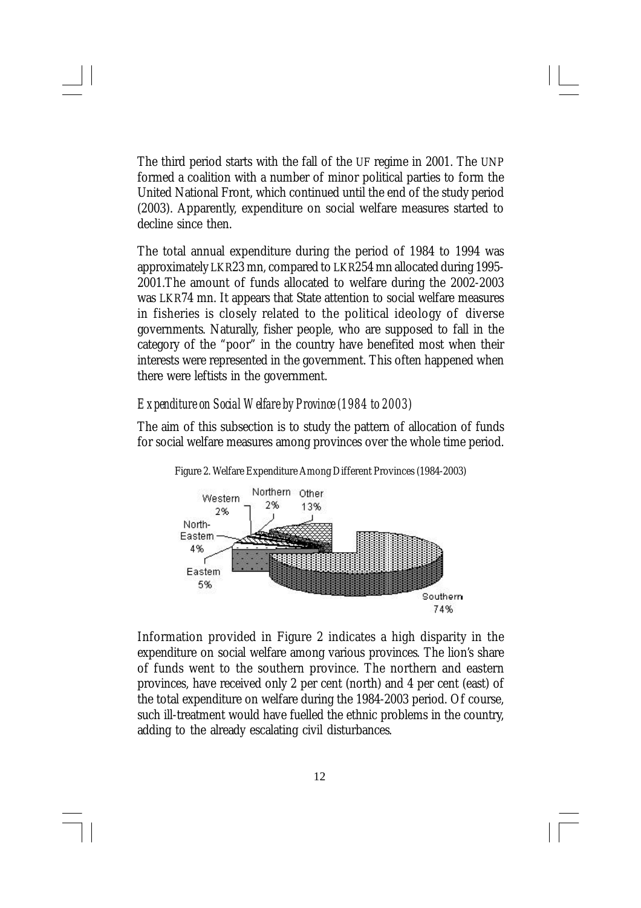The third period starts with the fall of the UF regime in 2001. The UNP formed a coalition with a number of minor political parties to form the United National Front, which continued until the end of the study period (2003). Apparently, expenditure on social welfare measures started to decline since then.

The total annual expenditure during the period of 1984 to 1994 was approximately LKR23 mn, compared to LKR254 mn allocated during 1995- 2001.The amount of funds allocated to welfare during the 2002-2003 was LKR74 mn. It appears that State attention to social welfare measures in fisheries is closely related to the political ideology of diverse governments. Naturally, fisher people, who are supposed to fall in the category of the "poor" in the country have benefited most when their interests were represented in the government. This often happened when there were leftists in the government.

#### *Expenditure on Social Welfare by Province (1984 to 2003)*

The aim of this subsection is to study the pattern of allocation of funds for social welfare measures among provinces over the whole time period.



Figure 2. Welfare Expenditure Among Different Provinces (1984-2003)

Information provided in Figure 2 indicates a high disparity in the expenditure on social welfare among various provinces. The lion's share of funds went to the southern province. The northern and eastern provinces, have received only 2 per cent (north) and 4 per cent (east) of the total expenditure on welfare during the 1984-2003 period. Of course, such ill-treatment would have fuelled the ethnic problems in the country, adding to the already escalating civil disturbances.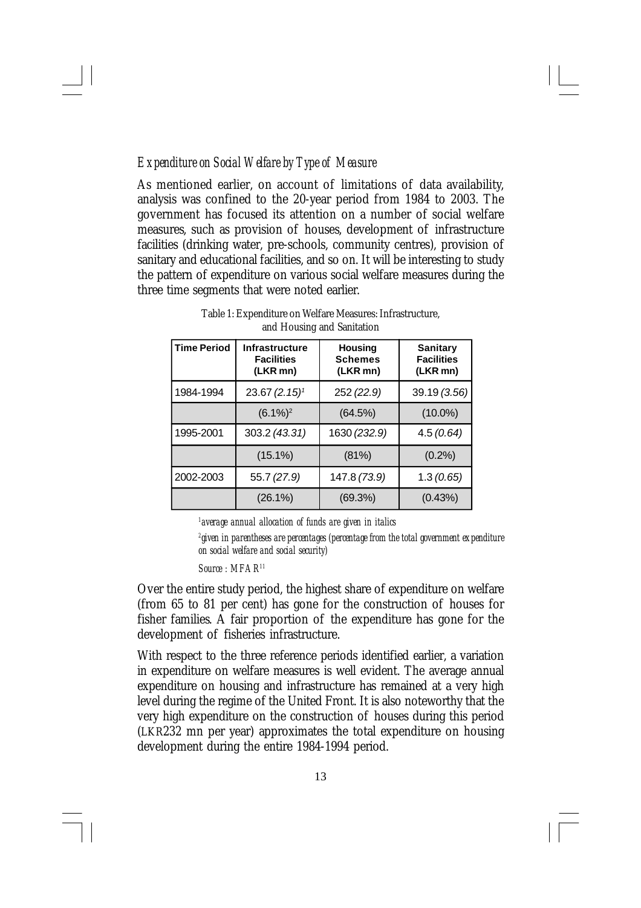#### *Expenditure on Social Welfare by Type of Measure*

As mentioned earlier, on account of limitations of data availability, analysis was confined to the 20-year period from 1984 to 2003. The government has focused its attention on a number of social welfare measures, such as provision of houses, development of infrastructure facilities (drinking water, pre-schools, community centres), provision of sanitary and educational facilities, and so on. It will be interesting to study the pattern of expenditure on various social welfare measures during the three time segments that were noted earlier.

| <b>Time Period</b> | <b>Infrastructure</b><br><b>Facilities</b><br>(LKR mn) | <b>Housing</b><br><b>Schemes</b><br>(LKR mn) | <b>Sanitary</b><br><b>Facilities</b><br>(LKR mn) |
|--------------------|--------------------------------------------------------|----------------------------------------------|--------------------------------------------------|
| 1984-1994          | $23.67(2.15)^{1}$                                      | 252 (22.9)                                   | 39.19 (3.56)                                     |
|                    | $(6.1\%)^2$                                            | (64.5%)                                      | $(10.0\%)$                                       |
| 1995-2001          | 303.2 (43.31)                                          | 1630 (232.9)                                 | 4.5(0.64)                                        |
|                    | $(15.1\%)$                                             | (81%)                                        | (0.2%)                                           |
| 2002-2003          | 55.7 (27.9)                                            | 147.8 (73.9)                                 | 1.3(0.65)                                        |
|                    | $(26.1\%)$                                             | (69.3%)                                      | (0.43%)                                          |

Table 1: Expenditure on Welfare Measures: Infrastructure, and Housing and Sanitation

*1 average annual allocation of funds are given in italics*

*2 given in parentheses are percentages (percentage from the total government expenditure on social welfare and social security)*

*Source : MFAR<sup>11</sup>*

Over the entire study period, the highest share of expenditure on welfare (from 65 to 81 per cent) has gone for the construction of houses for fisher families. A fair proportion of the expenditure has gone for the development of fisheries infrastructure.

With respect to the three reference periods identified earlier, a variation in expenditure on welfare measures is well evident. The average annual expenditure on housing and infrastructure has remained at a very high level during the regime of the United Front. It is also noteworthy that the very high expenditure on the construction of houses during this period (LKR232 mn per year) approximates the total expenditure on housing development during the entire 1984-1994 period.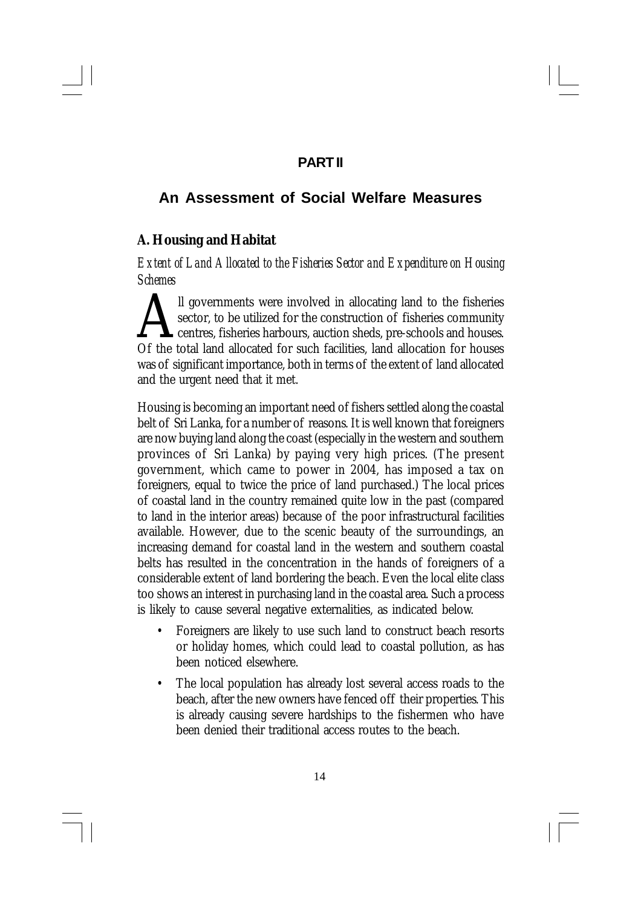## **PART II**

## **An Assessment of Social Welfare Measures**

## **A. Housing and Habitat**

*Extent of Land Allocated to the Fisheries Sector and Expenditure on Housing Schemes*

Il governments were involved in allocating land to the fisheries sector, to be utilized for the construction of fisheries community centres, fisheries harbours, auction sheds, pre-schools and houses. Of the total land allo ll governments were involved in allocating land to the fisheries sector, to be utilized for the construction of fisheries community centres, fisheries harbours, auction sheds, pre-schools and houses. was of significant importance, both in terms of the extent of land allocated and the urgent need that it met.

Housing is becoming an important need of fishers settled along the coastal belt of Sri Lanka, for a number of reasons. It is well known that foreigners are now buying land along the coast (especially in the western and southern provinces of Sri Lanka) by paying very high prices. (The present government, which came to power in 2004, has imposed a tax on foreigners, equal to twice the price of land purchased.) The local prices of coastal land in the country remained quite low in the past (compared to land in the interior areas) because of the poor infrastructural facilities available. However, due to the scenic beauty of the surroundings, an increasing demand for coastal land in the western and southern coastal belts has resulted in the concentration in the hands of foreigners of a considerable extent of land bordering the beach. Even the local elite class too shows an interest in purchasing land in the coastal area. Such a process is likely to cause several negative externalities, as indicated below.

- Foreigners are likely to use such land to construct beach resorts or holiday homes, which could lead to coastal pollution, as has been noticed elsewhere.
- The local population has already lost several access roads to the beach, after the new owners have fenced off their properties. This is already causing severe hardships to the fishermen who have been denied their traditional access routes to the beach.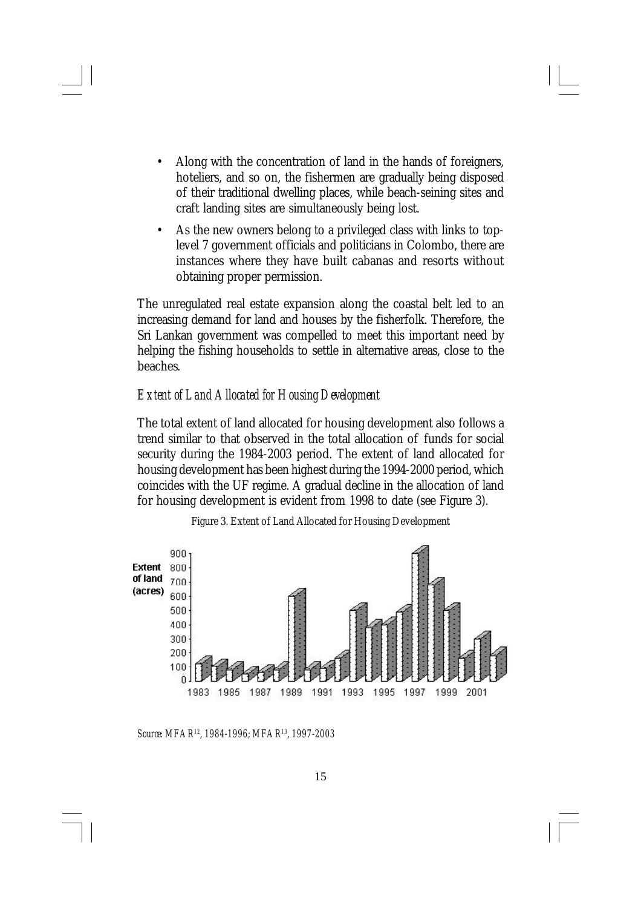- Along with the concentration of land in the hands of foreigners, hoteliers, and so on, the fishermen are gradually being disposed of their traditional dwelling places, while beach-seining sites and craft landing sites are simultaneously being lost.
- As the new owners belong to a privileged class with links to toplevel 7 government officials and politicians in Colombo, there are instances where they have built cabanas and resorts without obtaining proper permission.

The unregulated real estate expansion along the coastal belt led to an increasing demand for land and houses by the fisherfolk. Therefore, the Sri Lankan government was compelled to meet this important need by helping the fishing households to settle in alternative areas, close to the beaches.

#### *Extent of Land Allocated for Housing Development*

The total extent of land allocated for housing development also follows a trend similar to that observed in the total allocation of funds for social security during the 1984-2003 period. The extent of land allocated for housing development has been highest during the 1994-2000 period, which coincides with the UF regime. A gradual decline in the allocation of land for housing development is evident from 1998 to date (see Figure 3).



Figure 3. Extent of Land Allocated for Housing Development

*Source: MFAR12, 1984-1996; MFAR13, 1997-2003*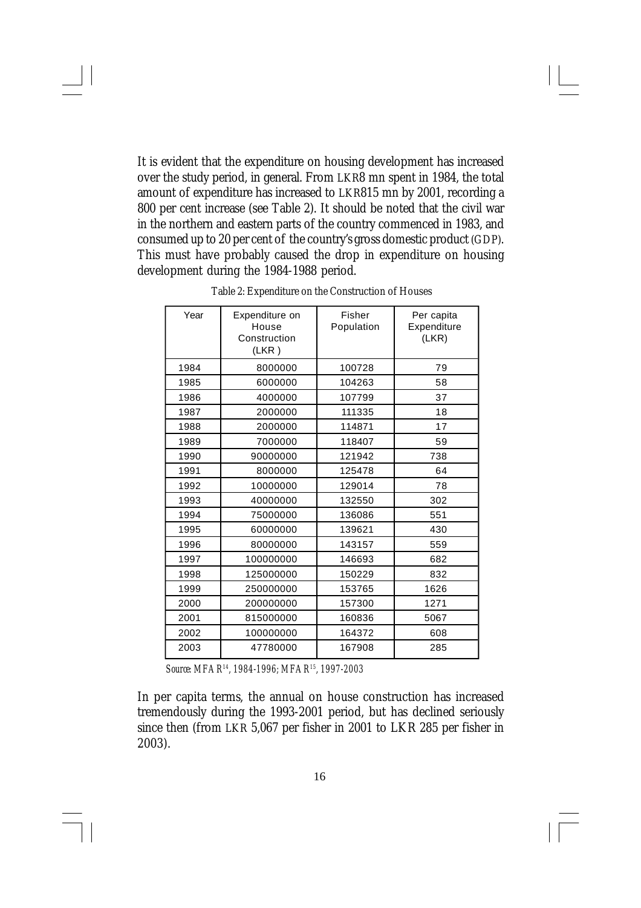It is evident that the expenditure on housing development has increased over the study period, in general. From LKR8 mn spent in 1984, the total amount of expenditure has increased to LKR815 mn by 2001, recording a 800 per cent increase (see Table 2). It should be noted that the civil war in the northern and eastern parts of the country commenced in 1983, and consumed up to 20 per cent of the country's gross domestic product (GDP). This must have probably caused the drop in expenditure on housing development during the 1984-1988 period.

| Year | Expenditure on<br>House<br>Construction<br>(LKR) | Fisher<br>Population | Per capita<br>Expenditure<br>(LKR) |
|------|--------------------------------------------------|----------------------|------------------------------------|
| 1984 | 8000000                                          | 100728               | 79                                 |
| 1985 | 6000000                                          | 104263               | 58                                 |
| 1986 | 4000000                                          | 107799               | 37                                 |
| 1987 | 2000000                                          | 111335               | 18                                 |
| 1988 | 2000000                                          | 114871               | 17                                 |
| 1989 | 7000000                                          | 118407               | 59                                 |
| 1990 | 90000000                                         | 121942               | 738                                |
| 1991 | 8000000                                          | 125478               | 64                                 |
| 1992 | 10000000                                         | 129014               | 78                                 |
| 1993 | 40000000                                         | 132550               | 302                                |
| 1994 | 75000000                                         | 136086               | 551                                |
| 1995 | 60000000                                         | 139621               | 430                                |
| 1996 | 80000000                                         | 143157               | 559                                |
| 1997 | 100000000                                        | 146693               | 682                                |
| 1998 | 125000000                                        | 150229               | 832                                |
| 1999 | 250000000                                        | 153765               | 1626                               |
| 2000 | 200000000                                        | 157300               | 1271                               |
| 2001 | 815000000                                        | 160836               | 5067                               |
| 2002 | 100000000                                        | 164372               | 608                                |
| 2003 | 47780000                                         | 167908               | 285                                |

Table 2: Expenditure on the Construction of Houses

*Source: MFAR<sup>14</sup>, 1984-1996; MFAR<sup>15</sup>, 1997-2003*

In per capita terms, the annual on house construction has increased tremendously during the 1993-2001 period, but has declined seriously since then (from LKR 5,067 per fisher in 2001 to LKR 285 per fisher in 2003).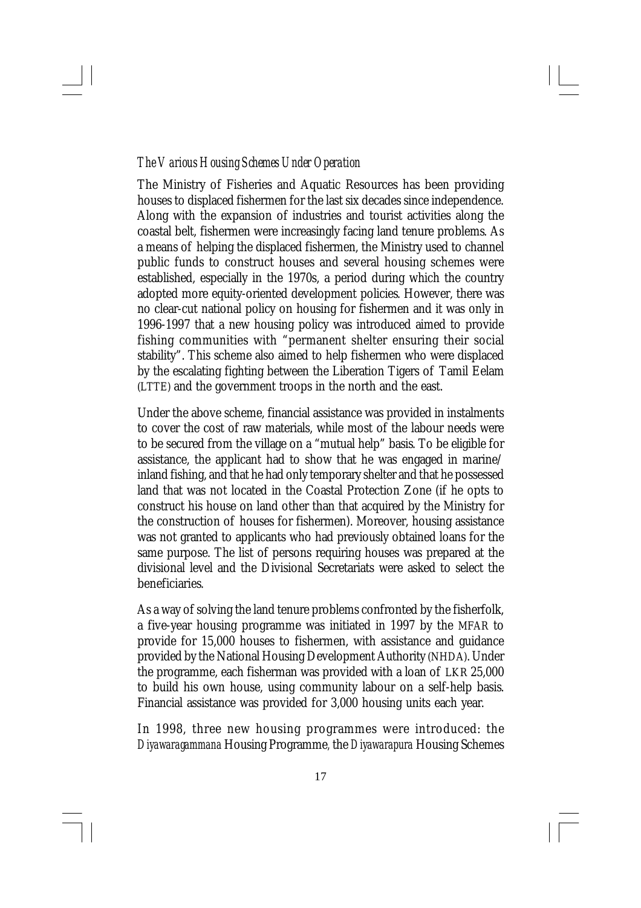#### *The Various Housing Schemes Under Operation*

The Ministry of Fisheries and Aquatic Resources has been providing houses to displaced fishermen for the last six decades since independence. Along with the expansion of industries and tourist activities along the coastal belt, fishermen were increasingly facing land tenure problems. As a means of helping the displaced fishermen, the Ministry used to channel public funds to construct houses and several housing schemes were established, especially in the 1970s, a period during which the country adopted more equity-oriented development policies. However, there was no clear-cut national policy on housing for fishermen and it was only in 1996-1997 that a new housing policy was introduced aimed to provide fishing communities with "permanent shelter ensuring their social stability". This scheme also aimed to help fishermen who were displaced by the escalating fighting between the Liberation Tigers of Tamil Eelam (LTTE) and the government troops in the north and the east.

Under the above scheme, financial assistance was provided in instalments to cover the cost of raw materials, while most of the labour needs were to be secured from the village on a "mutual help" basis. To be eligible for assistance, the applicant had to show that he was engaged in marine/ inland fishing, and that he had only temporary shelter and that he possessed land that was not located in the Coastal Protection Zone (if he opts to construct his house on land other than that acquired by the Ministry for the construction of houses for fishermen). Moreover, housing assistance was not granted to applicants who had previously obtained loans for the same purpose. The list of persons requiring houses was prepared at the divisional level and the Divisional Secretariats were asked to select the beneficiaries.

As a way of solving the land tenure problems confronted by the fisherfolk, a five-year housing programme was initiated in 1997 by the MFAR to provide for 15,000 houses to fishermen, with assistance and guidance provided by the National Housing Development Authority (NHDA). Under the programme, each fisherman was provided with a loan of LKR 25,000 to build his own house, using community labour on a self-help basis. Financial assistance was provided for 3,000 housing units each year.

In 1998, three new housing programmes were introduced: the *Diyawaragammana* Housing Programme*,* the *Diyawarapura* Housing Schemes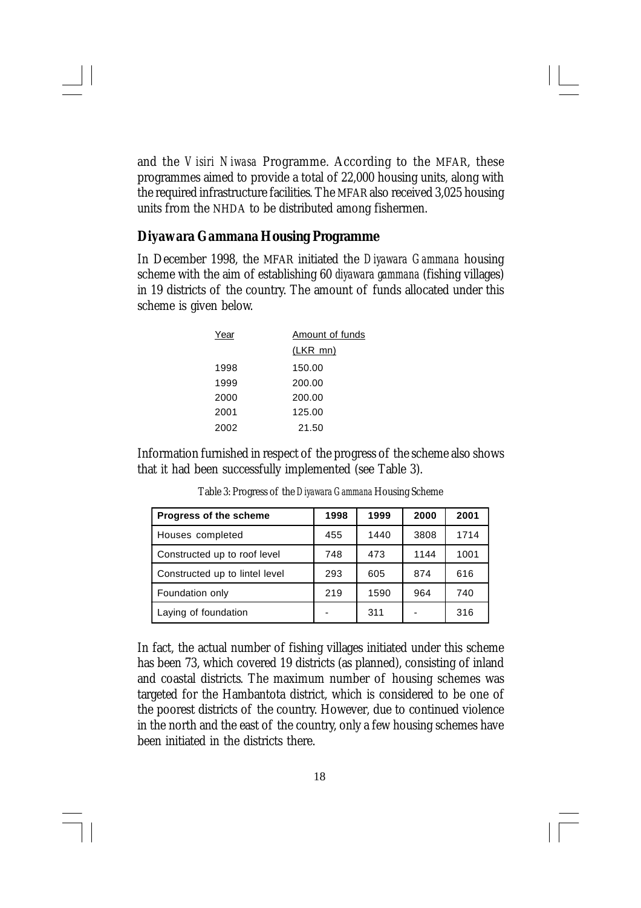and the *Visiri Niwasa* Programme. According to the MFAR, these programmes aimed to provide a total of 22,000 housing units, along with the required infrastructure facilities. The MFAR also received 3,025 housing units from the NHDA to be distributed among fishermen.

#### *Diyawara Gammana* **Housing Programme**

In December 1998, the MFAR initiated the *Diyawara Gammana* housing scheme with the aim of establishing 60 *diyawara gammana* (fishing villages) in 19 districts of the country. The amount of funds allocated under this scheme is given below.

| Year | Amount of funds |  |
|------|-----------------|--|
|      | (LKR mn)        |  |
| 1998 | 150.00          |  |
| 1999 | 200.00          |  |
| 2000 | 200.00          |  |
| 2001 | 125.00          |  |
| 2002 | 21.50           |  |
|      |                 |  |

Information furnished in respect of the progress of the scheme also shows that it had been successfully implemented (see Table 3).

| Progress of the scheme         | 1998 | 1999 | 2000 | 2001 |
|--------------------------------|------|------|------|------|
| Houses completed               | 455  | 1440 | 3808 | 1714 |
| Constructed up to roof level   | 748  | 473  | 1144 | 1001 |
| Constructed up to lintel level | 293  | 605  | 874  | 616  |
| Foundation only                | 219  | 1590 | 964  | 740  |
| Laying of foundation           |      | 311  |      | 316  |

Table 3: Progress of the *Diyawara Gammana* Housing Scheme

In fact, the actual number of fishing villages initiated under this scheme has been 73, which covered 19 districts (as planned), consisting of inland and coastal districts. The maximum number of housing schemes was targeted for the Hambantota district, which is considered to be one of the poorest districts of the country. However, due to continued violence in the north and the east of the country, only a few housing schemes have been initiated in the districts there.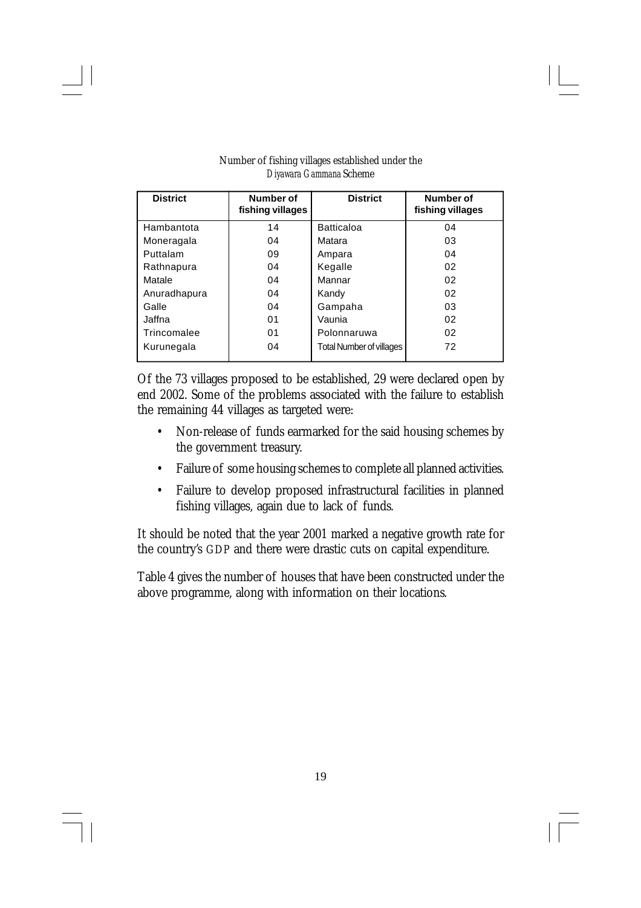| <b>District</b> | Number of<br><b>District</b><br>fishing villages |                                 | Number of<br>fishing villages |
|-----------------|--------------------------------------------------|---------------------------------|-------------------------------|
| Hambantota      | 14                                               | <b>Batticaloa</b>               | 04                            |
| Moneragala      | 04                                               | Matara                          | 03                            |
| Puttalam        | 09                                               | Ampara                          | 04                            |
| Rathnapura      | 04                                               | Kegalle                         | 02                            |
| Matale          | 04                                               | Mannar                          | 02                            |
| Anuradhapura    | 04                                               | Kandy                           | 02                            |
| Galle           | 04                                               | Gampaha                         | 03                            |
| Jaffna          | 01                                               | Vaunia                          | 02                            |
| Trincomalee     | 01                                               | Polonnaruwa                     | 02                            |
| Kurunegala      | 04                                               | <b>Total Number of villages</b> | 72                            |

#### Number of fishing villages established under the *Diyawara Gammana* Scheme

Of the 73 villages proposed to be established, 29 were declared open by end 2002. Some of the problems associated with the failure to establish the remaining 44 villages as targeted were:

- Non-release of funds earmarked for the said housing schemes by the government treasury.
- Failure of some housing schemes to complete all planned activities.
- Failure to develop proposed infrastructural facilities in planned fishing villages, again due to lack of funds.

It should be noted that the year 2001 marked a negative growth rate for the country's GDP and there were drastic cuts on capital expenditure.

Table 4 gives the number of houses that have been constructed under the above programme, along with information on their locations.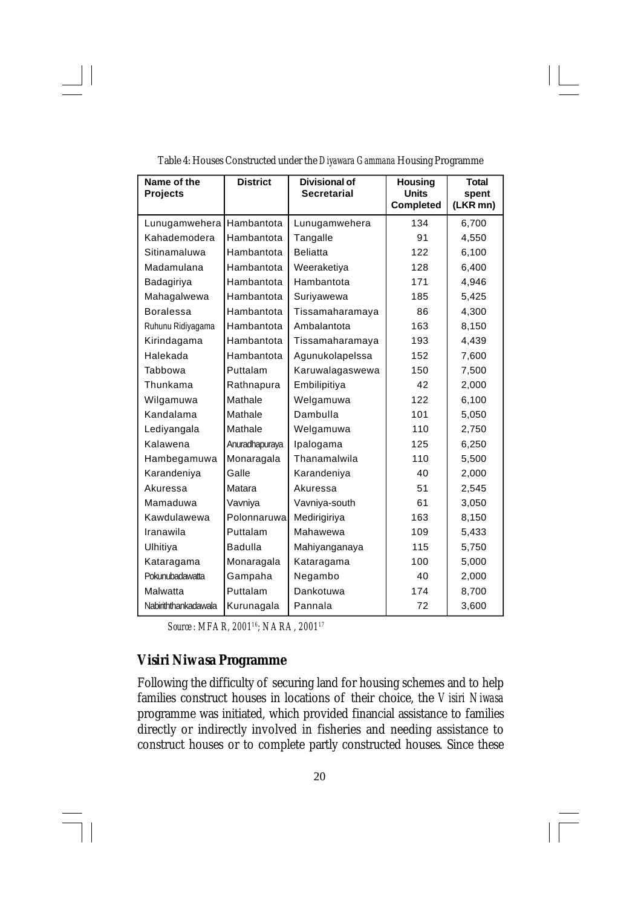| Name of the<br><b>Projects</b> | <b>District</b> | <b>Divisional of</b><br><b>Secretarial</b> | <b>Housing</b><br><b>Units</b><br><b>Completed</b> | <b>Total</b><br>spent<br>(LKR mn) |
|--------------------------------|-----------------|--------------------------------------------|----------------------------------------------------|-----------------------------------|
| Lunugamwehera                  | Hambantota      | Lunugamwehera                              | 134                                                | 6,700                             |
| Kahademodera                   | Hambantota      | Tangalle                                   | 91                                                 | 4,550                             |
| Sitinamaluwa                   | Hambantota      | <b>Beliatta</b>                            | 122                                                | 6,100                             |
| Madamulana                     | Hambantota      | Weeraketiya                                | 128                                                | 6,400                             |
| Badagiriya                     | Hambantota      | Hambantota                                 | 171                                                | 4,946                             |
| Mahagalwewa                    | Hambantota      | Suriyawewa                                 | 185                                                | 5,425                             |
| <b>Boralessa</b>               | Hambantota      | Tissamaharamaya                            | 86                                                 | 4,300                             |
| Ruhunu Ridiyagama              | Hambantota      | Ambalantota                                | 163                                                | 8,150                             |
| Kirindagama                    | Hambantota      | Tissamaharamaya                            | 193                                                | 4,439                             |
| Halekada                       | Hambantota      | Agunukolapelssa                            | 152                                                | 7,600                             |
| Tabbowa                        | Puttalam        | Karuwalagaswewa                            | 150                                                | 7,500                             |
| Thunkama                       | Rathnapura      | Embilipitiya                               | 42                                                 | 2,000                             |
| Wilgamuwa                      | Mathale         | Welgamuwa                                  | 122                                                | 6,100                             |
| Kandalama                      | Mathale         | Dambulla                                   | 101                                                | 5,050                             |
| Lediyangala                    | Mathale         | Welgamuwa                                  | 110                                                | 2,750                             |
| Kalawena                       | Anuradhapuraya  | Ipalogama                                  | 125                                                | 6,250                             |
| Hambegamuwa                    | Monaragala      | Thanamalwila                               | 110                                                | 5,500                             |
| Karandeniya                    | Galle           | Karandeniya                                | 40                                                 | 2,000                             |
| Akuressa                       | Matara          | Akuressa                                   | 51                                                 | 2,545                             |
| Mamaduwa                       | Vavniya         | Vavniya-south                              | 61                                                 | 3,050                             |
| Kawdulawewa                    | Polonnaruwa     | Medirigiriya                               | 163                                                | 8,150                             |
| Iranawila                      | Puttalam        | Mahawewa                                   | 109                                                | 5,433                             |
| Ulhitiya                       | Badulla         | Mahiyanganaya                              | 115                                                | 5,750                             |
| Kataragama                     | Monaragala      | Kataragama                                 | 100                                                | 5,000                             |
| Pokunubadawatta                | Gampaha         | Negambo                                    | 40                                                 | 2,000                             |
| Malwatta                       | Puttalam        | Dankotuwa                                  | 174                                                | 8,700                             |
| Nabiriththankadawala           | Kurunagala      | Pannala                                    | 72                                                 | 3,600                             |

| Table 4: Houses Constructed under the Diyawara Gammana Housing Programme |  |  |  |  |
|--------------------------------------------------------------------------|--|--|--|--|
|                                                                          |  |  |  |  |

*Source : MFAR, 2001<sup>16</sup>; NARA, 2001<sup>17</sup>*

## *Visiri Niwasa* **Programme**

Following the difficulty of securing land for housing schemes and to help families construct houses in locations of their choice, the *Visiri Niwasa* programme was initiated, which provided financial assistance to families directly or indirectly involved in fisheries and needing assistance to construct houses or to complete partly constructed houses. Since these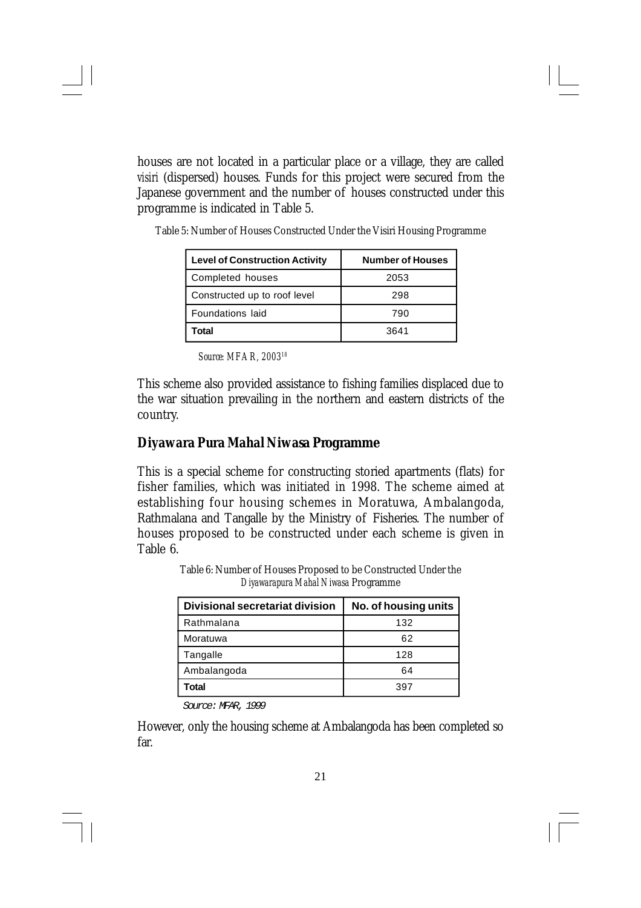houses are not located in a particular place or a village, they are called *visiri* (dispersed) houses. Funds for this project were secured from the Japanese government and the number of houses constructed under this programme is indicated in Table 5.

| <b>Level of Construction Activity</b> | <b>Number of Houses</b> |
|---------------------------------------|-------------------------|
| Completed houses                      | 2053                    |
| Constructed up to roof level          | 298                     |
| Foundations laid                      | 790                     |
| Total                                 | 3641                    |

Table 5: Number of Houses Constructed Under the Visiri Housing Programme

*Source: MFAR, 2003<sup>18</sup>*

This scheme also provided assistance to fishing families displaced due to the war situation prevailing in the northern and eastern districts of the country.

### *Diyawara Pura Mahal Niwasa* **Programme**

This is a special scheme for constructing storied apartments (flats) for fisher families, which was initiated in 1998. The scheme aimed at establishing four housing schemes in Moratuwa, Ambalangoda, Rathmalana and Tangalle by the Ministry of Fisheries. The number of houses proposed to be constructed under each scheme is given in Table 6.

> Table 6: Number of Houses Proposed to be Constructed Under the *Diyawarapura Mahal Niwasa* Programme

| Divisional secretariat division | No. of housing units |
|---------------------------------|----------------------|
| Rathmalana                      | 132                  |
| Moratuwa                        | 62                   |
| Tangalle                        | 128                  |
| Ambalangoda                     | 64                   |
| Total                           | 397                  |

*Source: MFAR, 1999*

However, only the housing scheme at Ambalangoda has been completed so far.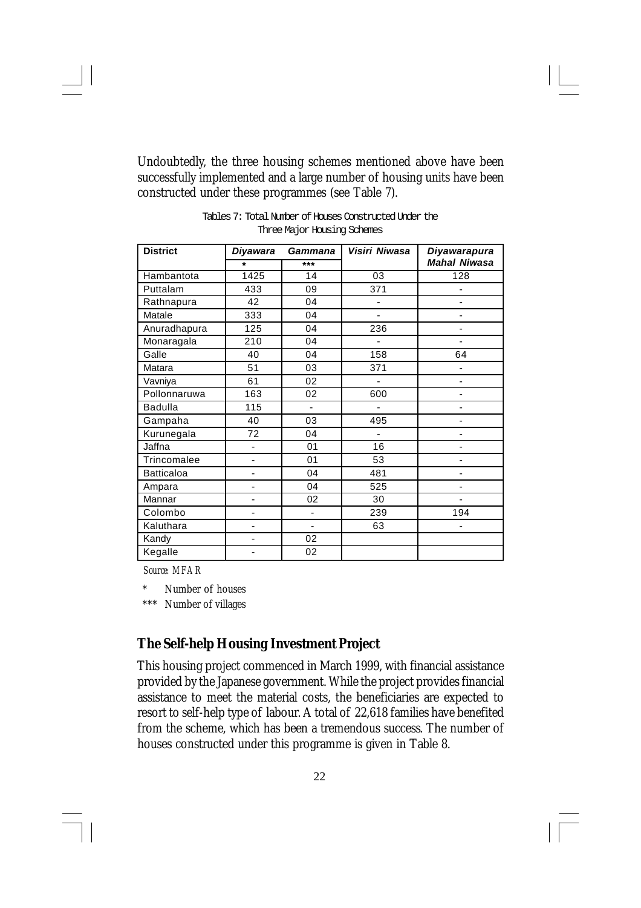Undoubtedly, the three housing schemes mentioned above have been successfully implemented and a large number of housing units have been constructed under these programmes (see Table 7).

| <b>District</b>   | <b>Diyawara</b> | Gammana | Visiri Niwasa | <b>Diyawarapura</b> |
|-------------------|-----------------|---------|---------------|---------------------|
|                   | $\star$         | $***$   |               | <b>Mahal Niwasa</b> |
| Hambantota        | 1425            | 14      | 03            | 128                 |
| Puttalam          | 433             | 09      | 371           |                     |
| Rathnapura        | 42              | 04      |               |                     |
| Matale            | 333             | 04      |               |                     |
| Anuradhapura      | 125             | 04      | 236           |                     |
| Monaragala        | 210             | 04      | ٠             | -                   |
| Galle             | 40              | 04      | 158           | 64                  |
| Matara            | 51              | 03      | 371           |                     |
| Vavniya           | 61              | 02      |               | ä,                  |
| Pollonnaruwa      | 163             | 02      | 600           |                     |
| <b>Badulla</b>    | 115             |         |               |                     |
| Gampaha           | 40              | 03      | 495           |                     |
| Kurunegala        | 72              | 04      | ä,            |                     |
| Jaffna            | ٠               | 01      | 16            | -                   |
| Trincomalee       | ٠               | 01      | 53            |                     |
| <b>Batticaloa</b> |                 | 04      | 481           |                     |
| Ampara            |                 | 04      | 525           |                     |
| Mannar            |                 | 02      | 30            |                     |
| Colombo           |                 |         | 239           | 194                 |
| Kaluthara         |                 |         | 63            |                     |
| Kandy             |                 | 02      |               |                     |
| Kegalle           |                 | 02      |               |                     |

Tables 7: Total Number of Houses Constructed Under the Three Major Housing Schemes

*Source: MFAR*

Number of houses

\*\*\* Number of villages

## **The Self-help Housing Investment Project**

This housing project commenced in March 1999, with financial assistance provided by the Japanese government. While the project provides financial assistance to meet the material costs, the beneficiaries are expected to resort to self-help type of labour. A total of 22,618 families have benefited from the scheme, which has been a tremendous success. The number of houses constructed under this programme is given in Table 8.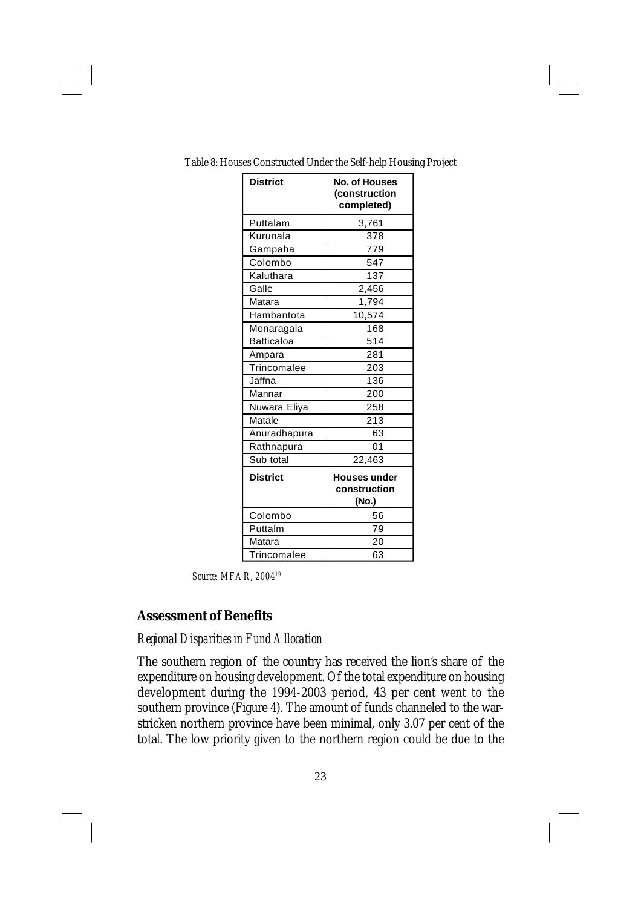| <b>District</b>   | <b>No. of Houses</b><br>(construction<br>completed) |
|-------------------|-----------------------------------------------------|
| Puttalam          | 3,761                                               |
| Kurunala          | 378                                                 |
| Gampaha           | 779                                                 |
| Colombo           | 547                                                 |
| Kaluthara         | 137                                                 |
| Galle             | 2,456                                               |
| Matara            | 1,794                                               |
| Hambantota        | 10,574                                              |
| Monaragala        | 168                                                 |
| <b>Batticaloa</b> | 514                                                 |
| Ampara            | 281                                                 |
| Trincomalee       | 203                                                 |
| Jaffna            | 136                                                 |
| Mannar            | 200                                                 |
| Nuwara Eliya      | 258                                                 |
| Matale            | 213                                                 |
| Anuradhapura      | 63                                                  |
| Rathnapura        | 01                                                  |
| Sub total         | 22,463                                              |
| <b>District</b>   | <b>Houses under</b><br>construction<br>(No.)        |
| Colombo           | 56                                                  |
| Puttalm           | 79                                                  |
| Matara            | 20                                                  |
| Trincomalee       | 63                                                  |

Table 8: Houses Constructed Under the Self-help Housing Project

*Source: MFAR, 2004<sup>19</sup>*

## **Assessment of Benefits**

#### *Regional Disparities in Fund Allocation*

The southern region of the country has received the lion's share of the expenditure on housing development. Of the total expenditure on housing development during the 1994-2003 period, 43 per cent went to the southern province (Figure 4). The amount of funds channeled to the warstricken northern province have been minimal, only 3.07 per cent of the total. The low priority given to the northern region could be due to the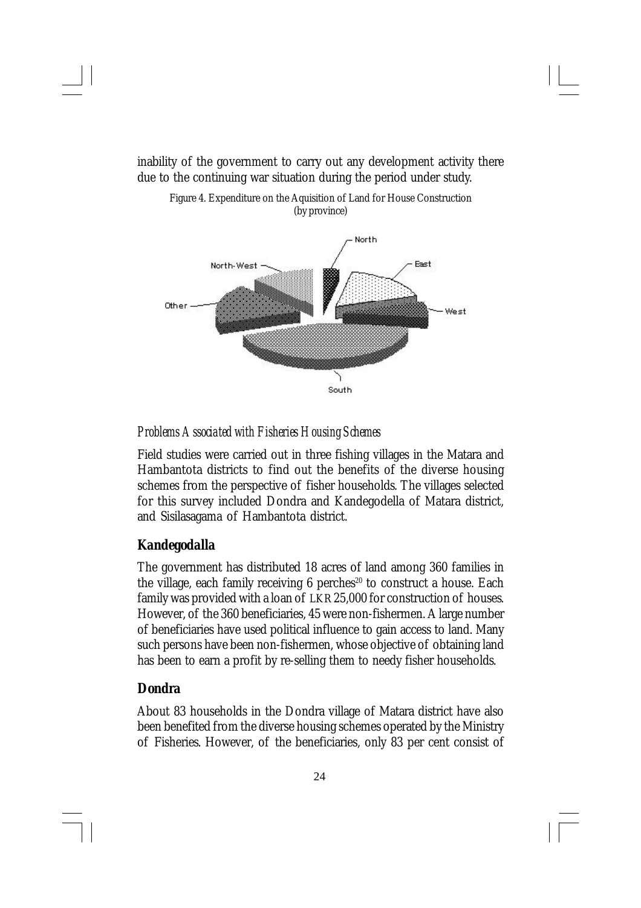

inability of the government to carry out any development activity there due to the continuing war situation during the period under study.

Figure 4. Expenditure on the Aquisition of Land for House Construction

*Problems Associated with Fisheries Housing Schemes*

Field studies were carried out in three fishing villages in the Matara and Hambantota districts to find out the benefits of the diverse housing schemes from the perspective of fisher households. The villages selected for this survey included Dondra and Kandegodella of Matara district, and Sisilasagama of Hambantota district.

#### *Kandegodalla*

The government has distributed 18 acres of land among 360 families in the village, each family receiving  $6$  perches<sup>20</sup> to construct a house. Each family was provided with a loan of LKR 25,000 for construction of houses. However, of the 360 beneficiaries, 45 were non-fishermen. A large number of beneficiaries have used political influence to gain access to land. Many such persons have been non-fishermen, whose objective of obtaining land has been to earn a profit by re-selling them to needy fisher households.

#### *Dondra*

About 83 households in the Dondra village of Matara district have also been benefited from the diverse housing schemes operated by the Ministry of Fisheries. However, of the beneficiaries, only 83 per cent consist of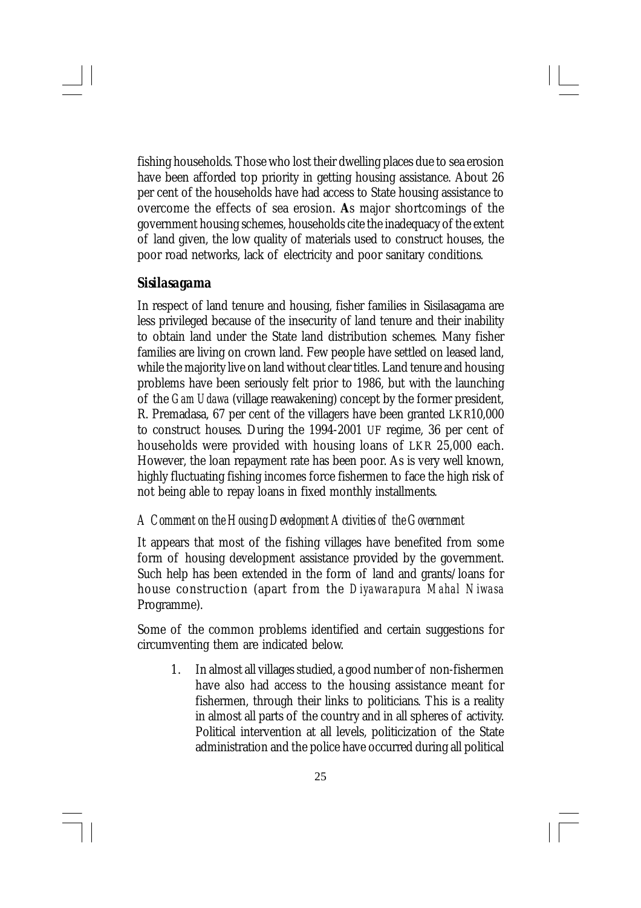fishing households. Those who lost their dwelling places due to sea erosion have been afforded top priority in getting housing assistance. About 26 per cent of the households have had access to State housing assistance to overcome the effects of sea erosion. **A**s major shortcomings of the government housing schemes, households cite the inadequacy of the extent of land given, the low quality of materials used to construct houses, the poor road networks, lack of electricity and poor sanitary conditions.

#### *Sisilasagama*

In respect of land tenure and housing, fisher families in Sisilasagama are less privileged because of the insecurity of land tenure and their inability to obtain land under the State land distribution schemes. Many fisher families are living on crown land. Few people have settled on leased land, while the majority live on land without clear titles. Land tenure and housing problems have been seriously felt prior to 1986, but with the launching of the *Gam Udawa* (village reawakening) concept by the former president, R. Premadasa, 67 per cent of the villagers have been granted LKR10,000 to construct houses. During the 1994-2001 UF regime, 36 per cent of households were provided with housing loans of LKR 25,000 each. However, the loan repayment rate has been poor. As is very well known, highly fluctuating fishing incomes force fishermen to face the high risk of not being able to repay loans in fixed monthly installments.

#### *A Comment on the Housing Development Activities of the Government*

It appears that most of the fishing villages have benefited from some form of housing development assistance provided by the government. Such help has been extended in the form of land and grants/loans for house construction (apart from the *Diyawarapura Mahal Niwasa* Programme).

Some of the common problems identified and certain suggestions for circumventing them are indicated below.

1. In almost all villages studied, a good number of non-fishermen have also had access to the housing assistance meant for fishermen, through their links to politicians. This is a reality in almost all parts of the country and in all spheres of activity. Political intervention at all levels, politicization of the State administration and the police have occurred during all political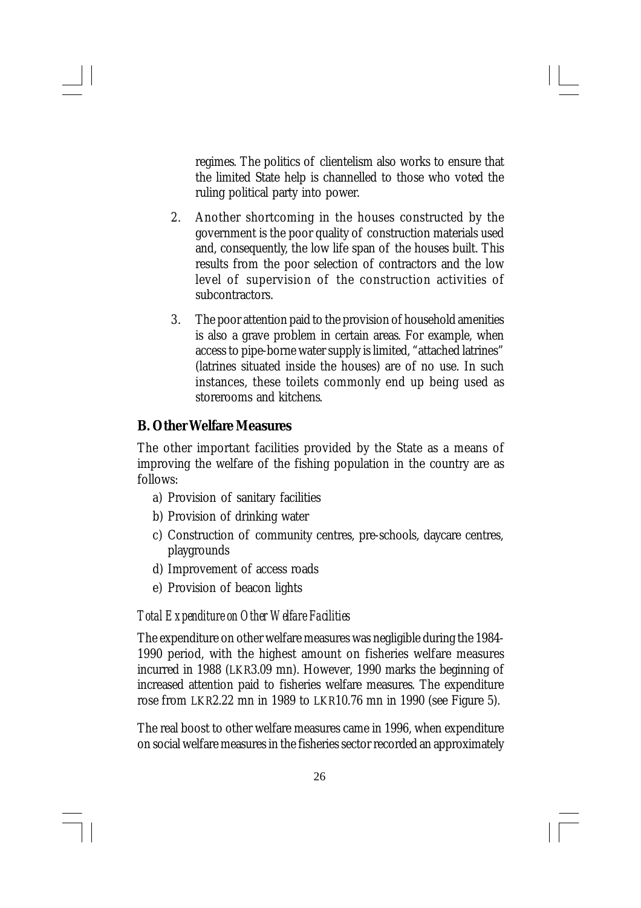regimes. The politics of clientelism also works to ensure that the limited State help is channelled to those who voted the ruling political party into power.

- 2. Another shortcoming in the houses constructed by the government is the poor quality of construction materials used and, consequently, the low life span of the houses built. This results from the poor selection of contractors and the low level of supervision of the construction activities of subcontractors.
- 3. The poor attention paid to the provision of household amenities is also a grave problem in certain areas. For example, when access to pipe-borne water supply is limited, "attached latrines" (latrines situated inside the houses) are of no use. In such instances, these toilets commonly end up being used as storerooms and kitchens.

## **B. Other Welfare Measures**

The other important facilities provided by the State as a means of improving the welfare of the fishing population in the country are as follows:

- a) Provision of sanitary facilities
- b) Provision of drinking water
- c) Construction of community centres, pre-schools, daycare centres, playgrounds
- d) Improvement of access roads
- e) Provision of beacon lights

#### *Total Expenditure on Other Welfare Facilities*

The expenditure on other welfare measures was negligible during the 1984- 1990 period, with the highest amount on fisheries welfare measures incurred in 1988 (LKR3.09 mn). However, 1990 marks the beginning of increased attention paid to fisheries welfare measures. The expenditure rose from LKR2.22 mn in 1989 to LKR10.76 mn in 1990 (see Figure 5).

The real boost to other welfare measures came in 1996, when expenditure on social welfare measures in the fisheries sector recorded an approximately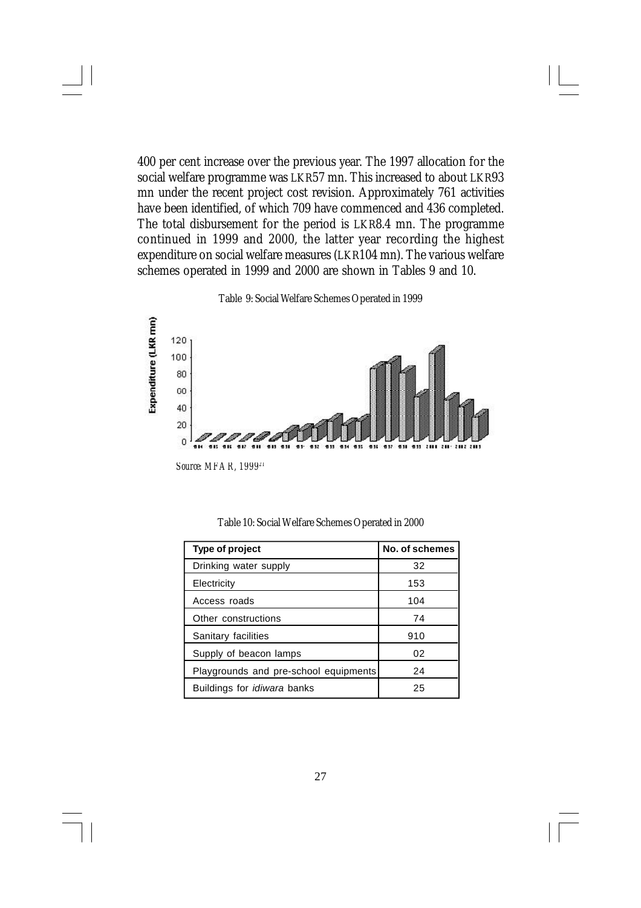400 per cent increase over the previous year. The 1997 allocation for the social welfare programme was LKR57 mn. This increased to about LKR93 mn under the recent project cost revision. Approximately 761 activities have been identified, of which 709 have commenced and 436 completed. The total disbursement for the period is LKR8.4 mn. The programme continued in 1999 and 2000, the latter year recording the highest expenditure on social welfare measures (LKR104 mn). The various welfare schemes operated in 1999 and 2000 are shown in Tables 9 and 10.



Table 9: Social Welfare Schemes Operated in 1999

| Type of project                       | No. of schemes |
|---------------------------------------|----------------|
| Drinking water supply                 | 32             |
| Electricity                           | 153            |
| Access roads                          | 104            |
| Other constructions                   | 74             |
| Sanitary facilities                   | 910            |
| Supply of beacon lamps                | 02             |
| Playgrounds and pre-school equipments | 24             |
| Buildings for <i>idiwara</i> banks    | 25             |

Table 10: Social Welfare Schemes Operated in 2000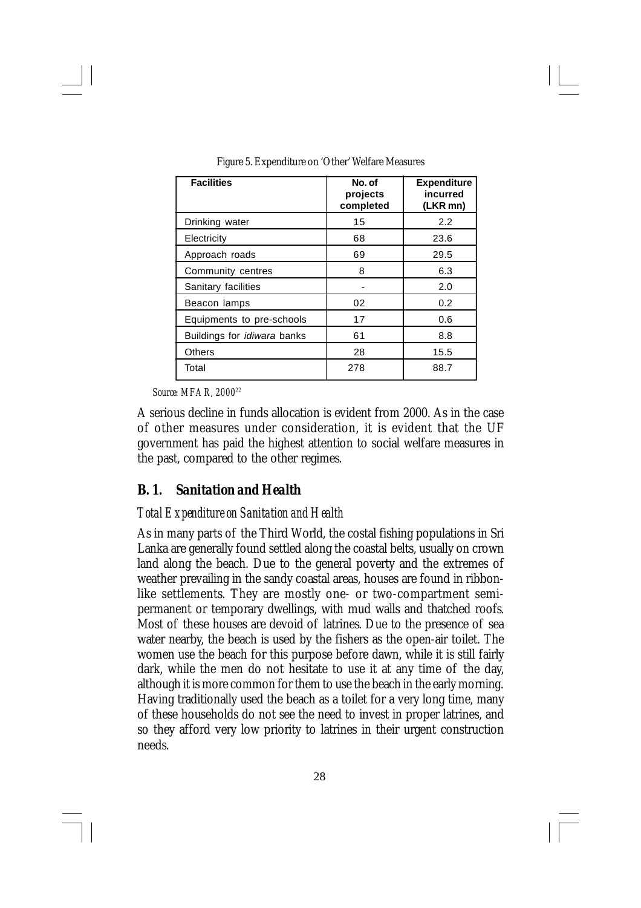| <b>Facilities</b>                  | No. of<br>projects<br>completed | <b>Expenditure</b><br>incurred<br>(LKR mn) |
|------------------------------------|---------------------------------|--------------------------------------------|
| Drinking water                     | 15                              | 2.2                                        |
| Electricity                        | 68                              | 23.6                                       |
| Approach roads                     | 69                              | 29.5                                       |
| Community centres                  | 8                               | 6.3                                        |
| Sanitary facilities                | $\overline{a}$                  | 2.0                                        |
| Beacon lamps                       | 02                              | 0.2                                        |
| Equipments to pre-schools          | 17                              | 0.6                                        |
| Buildings for <i>idiwara</i> banks | 61                              | 8.8                                        |
| <b>Others</b>                      | 28                              | 15.5                                       |
| Total                              | 278                             | 88.7                                       |

Figure 5. Expenditure on 'Other' Welfare Measures

*Source: MFAR, 2000<sup>22</sup>*

A serious decline in funds allocation is evident from 2000. As in the case of other measures under consideration, it is evident that the UF government has paid the highest attention to social welfare measures in the past, compared to the other regimes.

### *B. 1. Sanitation and Health*

### *Total Expenditure on Sanitation and Health*

As in many parts of the Third World, the costal fishing populations in Sri Lanka are generally found settled along the coastal belts, usually on crown land along the beach. Due to the general poverty and the extremes of weather prevailing in the sandy coastal areas, houses are found in ribbonlike settlements. They are mostly one- or two-compartment semipermanent or temporary dwellings, with mud walls and thatched roofs. Most of these houses are devoid of latrines. Due to the presence of sea water nearby, the beach is used by the fishers as the open-air toilet. The women use the beach for this purpose before dawn, while it is still fairly dark, while the men do not hesitate to use it at any time of the day, although it is more common for them to use the beach in the early morning. Having traditionally used the beach as a toilet for a very long time, many of these households do not see the need to invest in proper latrines, and so they afford very low priority to latrines in their urgent construction needs.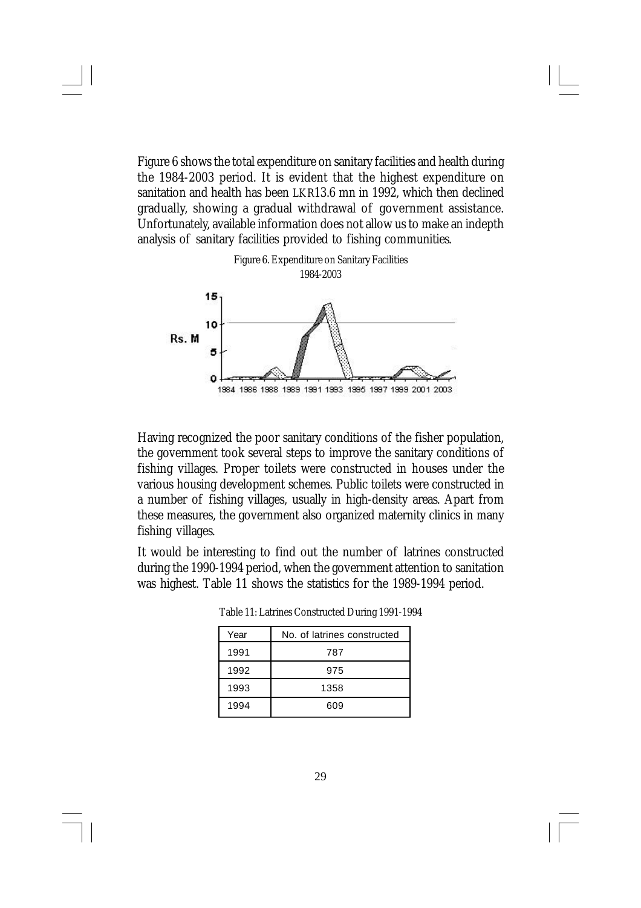Figure 6 shows the total expenditure on sanitary facilities and health during the 1984-2003 period. It is evident that the highest expenditure on sanitation and health has been LKR13.6 mn in 1992, which then declined gradually, showing a gradual withdrawal of government assistance. Unfortunately, available information does not allow us to make an indepth analysis of sanitary facilities provided to fishing communities.



Having recognized the poor sanitary conditions of the fisher population, the government took several steps to improve the sanitary conditions of fishing villages. Proper toilets were constructed in houses under the various housing development schemes. Public toilets were constructed in a number of fishing villages, usually in high-density areas. Apart from these measures, the government also organized maternity clinics in many fishing villages.

It would be interesting to find out the number of latrines constructed during the 1990-1994 period, when the government attention to sanitation was highest. Table 11 shows the statistics for the 1989-1994 period.

| Year | No. of latrines constructed |
|------|-----------------------------|
| 1991 | 787                         |
| 1992 | 975                         |
| 1993 | 1358                        |
| 1994 | 609                         |

Table 11: Latrines Constructed During 1991-1994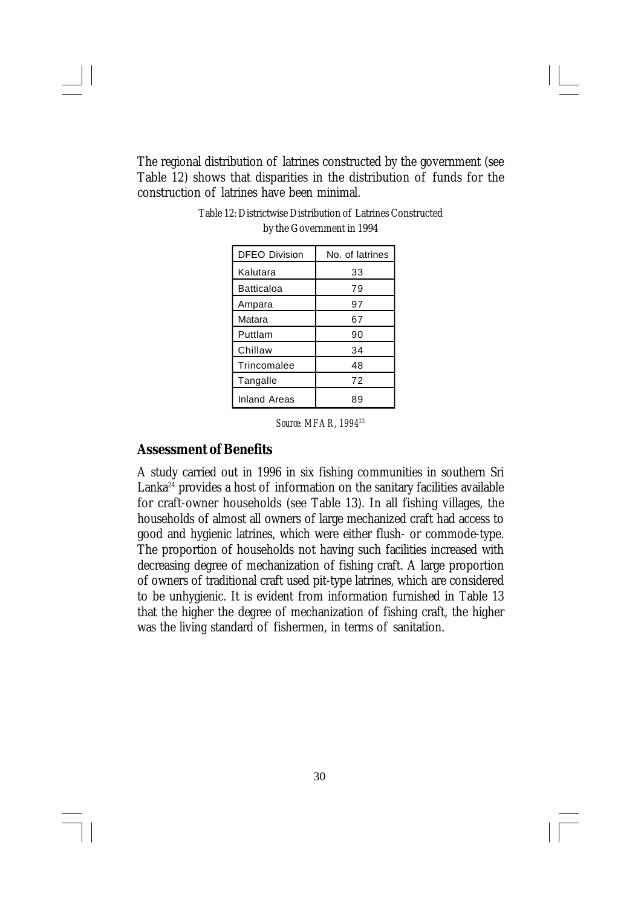The regional distribution of latrines constructed by the government (see Table 12) shows that disparities in the distribution of funds for the construction of latrines have been minimal.

| <b>DFEO Division</b> | No. of latrines |
|----------------------|-----------------|
| Kalutara             | 33              |
| Batticaloa           | 79              |
| Ampara               | 97              |
| Matara               | 67              |
| Puttlam              | 90              |
| Chillaw              | 34              |
| Trincomalee          | 48              |
| Tangalle             | 72              |
| Inland Areas         | 89              |

Table 12: Districtwise Distribution of Latrines Constructed by the Government in 1994

## **Assessment of Benefits**

A study carried out in 1996 in six fishing communities in southern Sri Lanka<sup>24</sup> provides a host of information on the sanitary facilities available for craft-owner households (see Table 13). In all fishing villages, the households of almost all owners of large mechanized craft had access to good and hygienic latrines, which were either flush- or commode-type. The proportion of households not having such facilities increased with decreasing degree of mechanization of fishing craft. A large proportion of owners of traditional craft used pit-type latrines, which are considered to be unhygienic. It is evident from information furnished in Table 13 that the higher the degree of mechanization of fishing craft, the higher was the living standard of fishermen, in terms of sanitation.

*Source: MFAR, 1994<sup>23</sup>*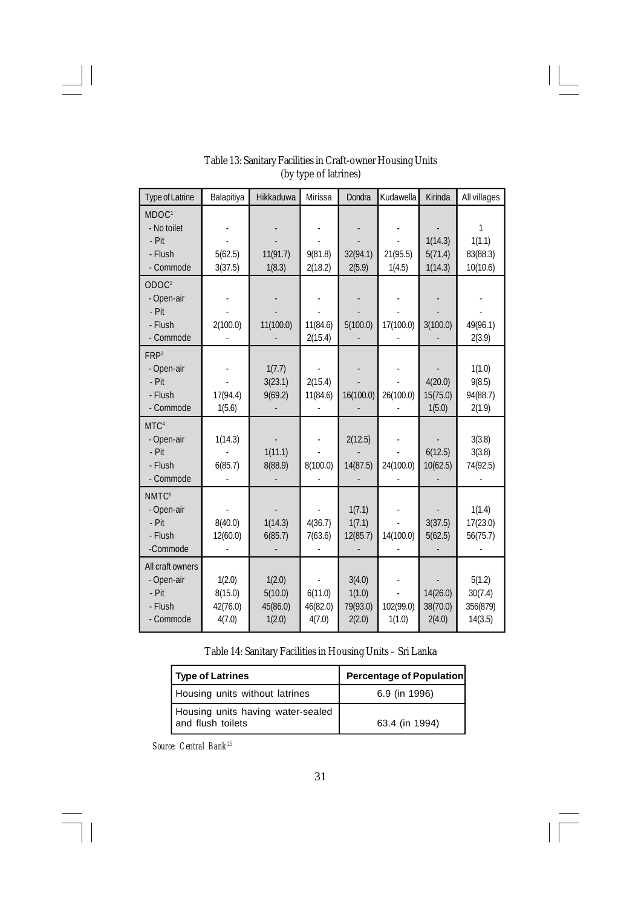| Type of Latrine                                                   | Balapitiya                              | Hikkaduwa                               | Mirissa                       | Dondra                                 | Kudawella           | Kirinda                        | All villages                             |
|-------------------------------------------------------------------|-----------------------------------------|-----------------------------------------|-------------------------------|----------------------------------------|---------------------|--------------------------------|------------------------------------------|
| MDOC <sup>1</sup><br>- No toilet<br>- Pit<br>- Flush<br>- Commode | 5(62.5)<br>3(37.5)                      | 11(91.7)<br>1(8.3)                      | 9(81.8)<br>2(18.2)            | 32(94.1)<br>2(5.9)                     | 21(95.5)<br>1(4.5)  | 1(14.3)<br>5(71.4)<br>1(14.3)  | 1<br>1(1.1)<br>83(88.3)<br>10(10.6)      |
| ODOC <sup>2</sup><br>- Open-air<br>- Pit<br>- Flush<br>- Commode  | 2(100.0)                                | 11(100.0)                               | 11(84.6)<br>2(15.4)           | 5(100.0)                               | 17(100.0)           | 3(100.0)                       | 49(96.1)<br>2(3.9)                       |
| FRP <sup>3</sup><br>- Open-air<br>- Pit<br>- Flush<br>- Commode   | 17(94.4)<br>1(5.6)                      | 1(7.7)<br>3(23.1)<br>9(69.2)            | 2(15.4)<br>11(84.6)           | 16(100.0)                              | 26(100.0)           | 4(20.0)<br>15(75.0)<br>1(5.0)  | 1(1.0)<br>9(8.5)<br>94(88.7)<br>2(1.9)   |
| MTC <sup>4</sup><br>- Open-air<br>- Pit<br>- Flush<br>- Commode   | 1(14.3)<br>6(85.7)                      | 1(11.1)<br>8(88.9)                      | 8(100.0)                      | 2(12.5)<br>14(87.5)                    | 24(100.0)           | 6(12.5)<br>10(62.5)            | 3(3.8)<br>3(3.8)<br>74(92.5)             |
| NMTC <sup>5</sup><br>- Open-air<br>- Pit<br>- Flush<br>-Commode   | 8(40.0)<br>12(60.0)                     | 1(14.3)<br>6(85.7)                      | 4(36.7)<br>7(63.6)            | 1(7.1)<br>1(7.1)<br>12(85.7)           | 14(100.0)           | 3(37.5)<br>5(62.5)             | 1(1.4)<br>17(23.0)<br>56(75.7)           |
| All craft owners<br>- Open-air<br>- Pit<br>- Flush<br>- Commode   | 1(2.0)<br>8(15.0)<br>42(76.0)<br>4(7.0) | 1(2.0)<br>5(10.0)<br>45(86.0)<br>1(2.0) | 6(11.0)<br>46(82.0)<br>4(7.0) | 3(4.0)<br>1(1.0)<br>79(93.0)<br>2(2.0) | 102(99.0)<br>1(1.0) | 14(26.0)<br>38(70.0)<br>2(4.0) | 5(1.2)<br>30(7.4)<br>356(879)<br>14(3.5) |

### Table 13: Sanitary Facilities in Craft-owner Housing Units (by type of latrines)

Table 14: Sanitary Facilities in Housing Units – Sri Lanka

| Type of Latrines                                       | <b>Percentage of Population</b> |  |  |
|--------------------------------------------------------|---------------------------------|--|--|
| Housing units without latrines                         | 6.9 (in 1996)                   |  |  |
| Housing units having water-sealed<br>and flush toilets | 63.4 (in 1994)                  |  |  |

*Source: Central Bank<sup>25</sup>*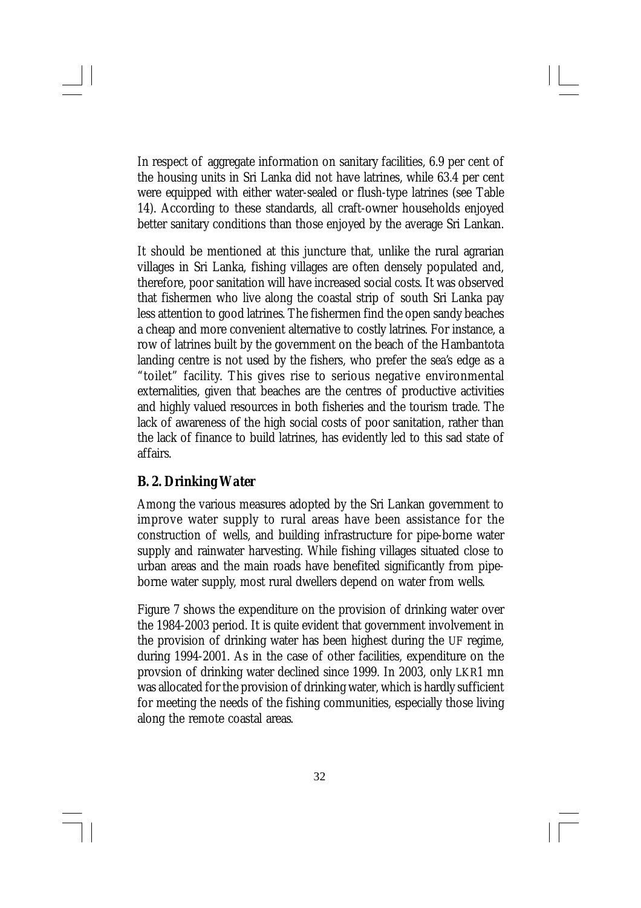In respect of aggregate information on sanitary facilities, 6.9 per cent of the housing units in Sri Lanka did not have latrines, while 63.4 per cent were equipped with either water-sealed or flush-type latrines (see Table 14). According to these standards, all craft-owner households enjoyed better sanitary conditions than those enjoyed by the average Sri Lankan.

It should be mentioned at this juncture that, unlike the rural agrarian villages in Sri Lanka, fishing villages are often densely populated and, therefore, poor sanitation will have increased social costs. It was observed that fishermen who live along the coastal strip of south Sri Lanka pay less attention to good latrines. The fishermen find the open sandy beaches a cheap and more convenient alternative to costly latrines. For instance, a row of latrines built by the government on the beach of the Hambantota landing centre is not used by the fishers, who prefer the sea's edge as a "toilet" facility. This gives rise to serious negative environmental externalities, given that beaches are the centres of productive activities and highly valued resources in both fisheries and the tourism trade. The lack of awareness of the high social costs of poor sanitation, rather than the lack of finance to build latrines, has evidently led to this sad state of affairs.

### *B. 2. Drinking Water*

Among the various measures adopted by the Sri Lankan government to improve water supply to rural areas have been assistance for the construction of wells, and building infrastructure for pipe-borne water supply and rainwater harvesting. While fishing villages situated close to urban areas and the main roads have benefited significantly from pipeborne water supply, most rural dwellers depend on water from wells.

Figure 7 shows the expenditure on the provision of drinking water over the 1984-2003 period. It is quite evident that government involvement in the provision of drinking water has been highest during the UF regime, during 1994-2001. As in the case of other facilities, expenditure on the provsion of drinking water declined since 1999. In 2003, only LKR1 mn was allocated for the provision of drinking water, which is hardly sufficient for meeting the needs of the fishing communities, especially those living along the remote coastal areas.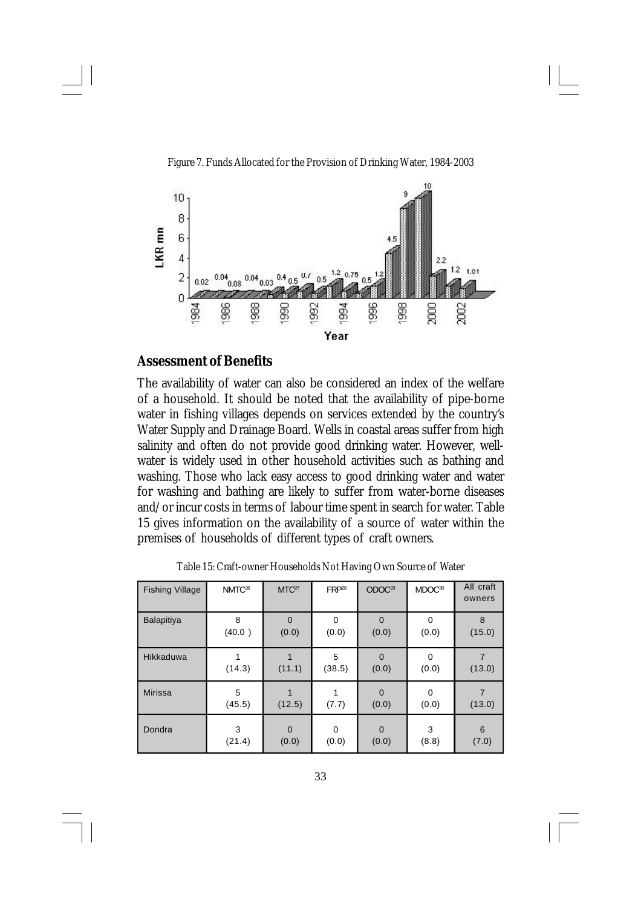

Figure 7. Funds Allocated for the Provision of Drinking Water, 1984-2003

#### **Assessment of Benefits**

The availability of water can also be considered an index of the welfare of a household. It should be noted that the availability of pipe-borne water in fishing villages depends on services extended by the country's Water Supply and Drainage Board. Wells in coastal areas suffer from high salinity and often do not provide good drinking water. However, wellwater is widely used in other household activities such as bathing and washing. Those who lack easy access to good drinking water and water for washing and bathing are likely to suffer from water-borne diseases and/or incur costs in terms of labour time spent in search for water. Table 15 gives information on the availability of a source of water within the premises of households of different types of craft owners.

| <b>Fishing Village</b> | NMTC <sup>26</sup> | MTC <sup>27</sup> | FRP <sup>28</sup> | ODOC <sup>29</sup>      | MDOC <sup>30</sup>   | All craft<br>owners |
|------------------------|--------------------|-------------------|-------------------|-------------------------|----------------------|---------------------|
| <b>Balapitiya</b>      | 8<br>(40.0)        | $\Omega$<br>(0.0) | $\Omega$<br>(0.0) | $\Omega$<br>(0.0)       | $\Omega$<br>(0.0)    | 8<br>(15.0)         |
| Hikkaduwa              | (14.3)             | (11.1)            | 5<br>(38.5)       | $\overline{0}$<br>(0.0) | $\mathbf 0$<br>(0.0) | (13.0)              |
| <b>Mirissa</b>         | 5<br>(45.5)        | (12.5)            | (7.7)             | $\mathbf 0$<br>(0.0)    | $\mathbf 0$<br>(0.0) | 7<br>(13.0)         |
| Dondra                 | 3<br>(21.4)        | $\Omega$<br>(0.0) | $\Omega$<br>(0.0) | $\Omega$<br>(0.0)       | 3<br>(8.8)           | 6<br>(7.0)          |

Table 15: Craft-owner Households Not Having Own Source of Water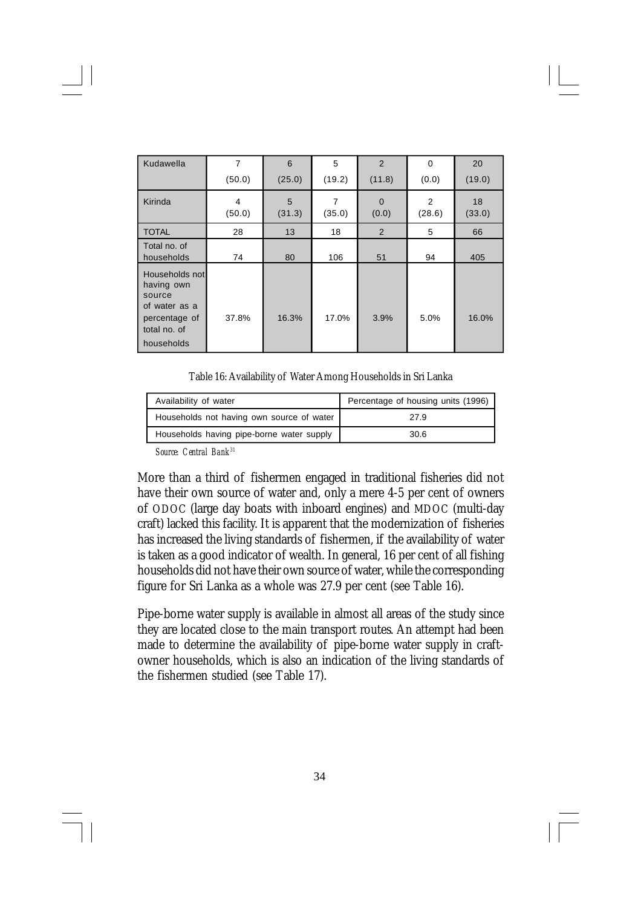| Kudawella                                                                                              | $\overline{7}$ | 6           | 5           | $\overline{2}$        | 0           | 20           |
|--------------------------------------------------------------------------------------------------------|----------------|-------------|-------------|-----------------------|-------------|--------------|
|                                                                                                        | (50.0)         | (25.0)      | (19.2)      | (11.8)                | (0.0)       | (19.0)       |
| Kirinda                                                                                                | 4<br>(50.0)    | 5<br>(31.3) | 7<br>(35.0) | $\mathbf{0}$<br>(0.0) | 2<br>(28.6) | 18<br>(33.0) |
| <b>TOTAL</b>                                                                                           | 28             | 13          | 18          | 2                     | 5           | 66           |
| Total no. of<br>households                                                                             | 74             | 80          | 106         | 51                    | 94          | 405          |
| Households not<br>having own<br>source<br>of water as a<br>percentage of<br>total no. of<br>households | 37.8%          | 16.3%       | 17.0%       | 3.9%                  | 5.0%        | 16.0%        |

Table 16: Availability of Water Among Households in Sri Lanka

| Availability of water                     | Percentage of housing units (1996) |
|-------------------------------------------|------------------------------------|
| Households not having own source of water | 27.9                               |
| Households having pipe-borne water supply | 30.6                               |

*Source: Central Bank<sup>31</sup>*

More than a third of fishermen engaged in traditional fisheries did not have their own source of water and, only a mere 4-5 per cent of owners of ODOC (large day boats with inboard engines) and MDOC (multi-day craft) lacked this facility. It is apparent that the modernization of fisheries has increased the living standards of fishermen, if the availability of water is taken as a good indicator of wealth. In general, 16 per cent of all fishing households did not have their own source of water, while the corresponding figure for Sri Lanka as a whole was 27.9 per cent (see Table 16).

Pipe-borne water supply is available in almost all areas of the study since they are located close to the main transport routes. An attempt had been made to determine the availability of pipe-borne water supply in craftowner households, which is also an indication of the living standards of the fishermen studied (see Table 17).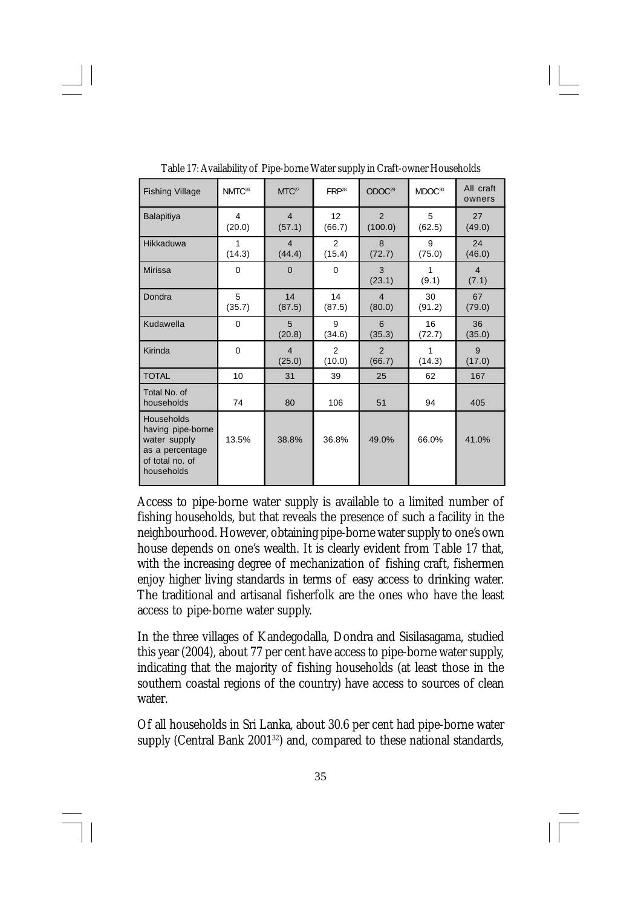| <b>Fishing Village</b>                                                                              | NMTC <sup>26</sup> | MTC <sup>27</sup>        | FRP <sup>28</sup> | ODOC <sup>29</sup>        | MDOC <sup>30</sup> | All craft<br>owners     |
|-----------------------------------------------------------------------------------------------------|--------------------|--------------------------|-------------------|---------------------------|--------------------|-------------------------|
| <b>Balapitiya</b>                                                                                   | 4<br>(20.0)        | $\overline{4}$<br>(57.1) | 12<br>(66.7)      | $\mathfrak{p}$<br>(100.0) | 5<br>(62.5)        | 27<br>(49.0)            |
| Hikkaduwa                                                                                           | 1<br>(14.3)        | $\overline{4}$<br>(44.4) | 2<br>(15.4)       | 8<br>(72.7)               | 9<br>(75.0)        | 24<br>(46.0)            |
| Mirissa                                                                                             | $\mathbf 0$        | $\Omega$                 | 0                 | 3<br>(23.1)               | 1<br>(9.1)         | $\overline{4}$<br>(7.1) |
| Dondra                                                                                              | 5<br>(35.7)        | 14<br>(87.5)             | 14<br>(87.5)      | $\overline{4}$<br>(80.0)  | 30<br>(91.2)       | 67<br>(79.0)            |
| Kudawella                                                                                           | $\mathbf 0$        | 5<br>(20.8)              | 9<br>(34.6)       | 6<br>(35.3)               | 16<br>(72.7)       | 36<br>(35.0)            |
| Kirinda                                                                                             | $\mathbf 0$        | $\overline{4}$<br>(25.0) | 2<br>(10.0)       | $\mathcal{P}$<br>(66.7)   | 1<br>(14.3)        | 9<br>(17.0)             |
| <b>TOTAL</b>                                                                                        | 10                 | 31                       | 39                | 25                        | 62                 | 167                     |
| Total No. of<br>households                                                                          | 74                 | 80                       | 106               | 51                        | 94                 | 405                     |
| Households<br>having pipe-borne<br>water supply<br>as a percentage<br>of total no. of<br>households | 13.5%              | 38.8%                    | 36.8%             | 49.0%                     | 66.0%              | 41.0%                   |

Table 17: Availability of Pipe-borne Water supply in Craft-owner Households

Access to pipe-borne water supply is available to a limited number of fishing households, but that reveals the presence of such a facility in the neighbourhood. However, obtaining pipe-borne water supply to one's own house depends on one's wealth. It is clearly evident from Table 17 that, with the increasing degree of mechanization of fishing craft, fishermen enjoy higher living standards in terms of easy access to drinking water. The traditional and artisanal fisherfolk are the ones who have the least access to pipe-borne water supply.

In the three villages of Kandegodalla, Dondra and Sisilasagama, studied this year (2004), about 77 per cent have access to pipe-borne water supply, indicating that the majority of fishing households (at least those in the southern coastal regions of the country) have access to sources of clean water.

Of all households in Sri Lanka, about 30.6 per cent had pipe-borne water supply (Central Bank 2001<sup>32</sup>) and, compared to these national standards,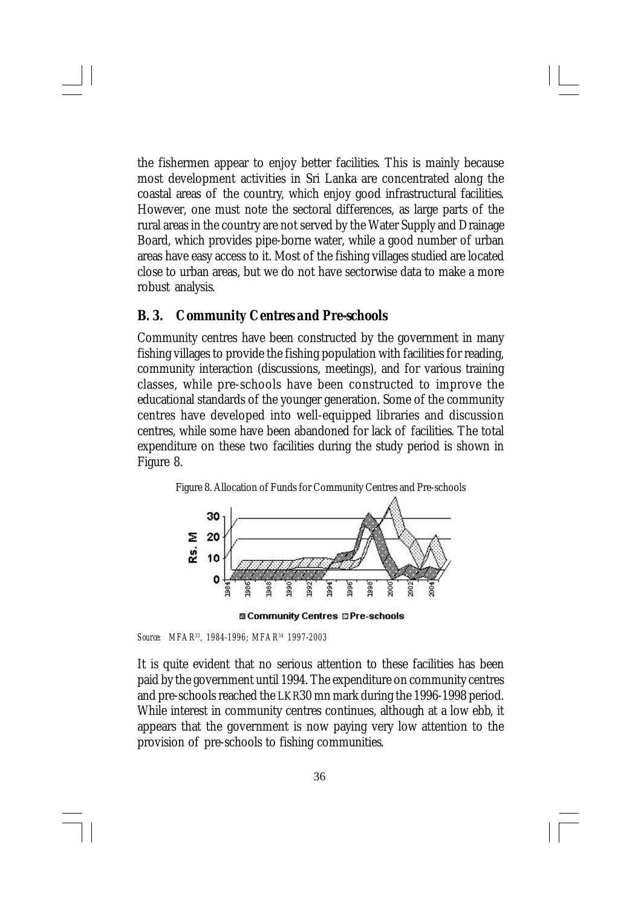the fishermen appear to enjoy better facilities. This is mainly because most development activities in Sri Lanka are concentrated along the coastal areas of the country, which enjoy good infrastructural facilities. However, one must note the sectoral differences, as large parts of the rural areas in the country are not served by the Water Supply and Drainage Board, which provides pipe-borne water, while a good number of urban areas have easy access to it. Most of the fishing villages studied are located close to urban areas, but we do not have sectorwise data to make a more robust analysis.

### *B. 3. Community Centres and Pre-schools*

Community centres have been constructed by the government in many fishing villages to provide the fishing population with facilities for reading, community interaction (discussions, meetings), and for various training classes, while pre-schools have been constructed to improve the educational standards of the younger generation. Some of the community centres have developed into well-equipped libraries and discussion centres, while some have been abandoned for lack of facilities. The total expenditure on these two facilities during the study period is shown in Figure 8.



**MI Community Centres C Pre-schools** 

It is quite evident that no serious attention to these facilities has been paid by the government until 1994. The expenditure on community centres and pre-schools reached the LKR30 mn mark during the 1996-1998 period. While interest in community centres continues, although at a low ebb, it appears that the government is now paying very low attention to the provision of pre-schools to fishing communities.

*Source: MFAR<sup>33</sup>, 1984-1996; MFAR<sup>34</sup> 1997-2003*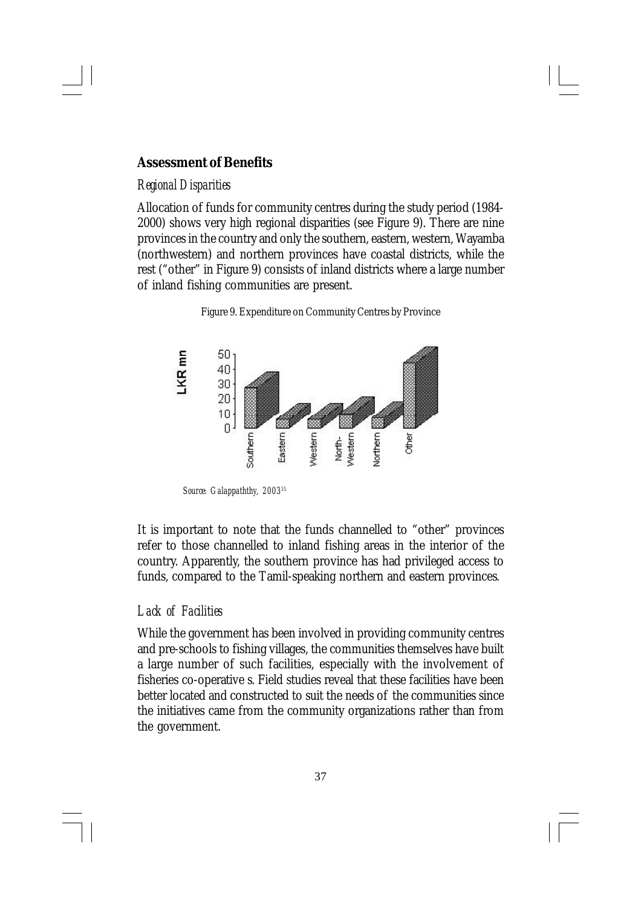### **Assessment of Benefits**

#### *Regional Disparities*

Allocation of funds for community centres during the study period (1984- 2000) shows very high regional disparities (see Figure 9). There are nine provinces in the country and only the southern, eastern, western, Wayamba (northwestern) and northern provinces have coastal districts, while the rest ("other" in Figure 9) consists of inland districts where a large number of inland fishing communities are present.

Figure 9. Expenditure on Community Centres by Province



*Source: Galappaththy, 2003<sup>35</sup>*

It is important to note that the funds channelled to "other" provinces refer to those channelled to inland fishing areas in the interior of the country. Apparently, the southern province has had privileged access to funds, compared to the Tamil-speaking northern and eastern provinces.

### *Lack of Facilities*

While the government has been involved in providing community centres and pre-schools to fishing villages, the communities themselves have built a large number of such facilities, especially with the involvement of fisheries co-operative s. Field studies reveal that these facilities have been better located and constructed to suit the needs of the communities since the initiatives came from the community organizations rather than from the government.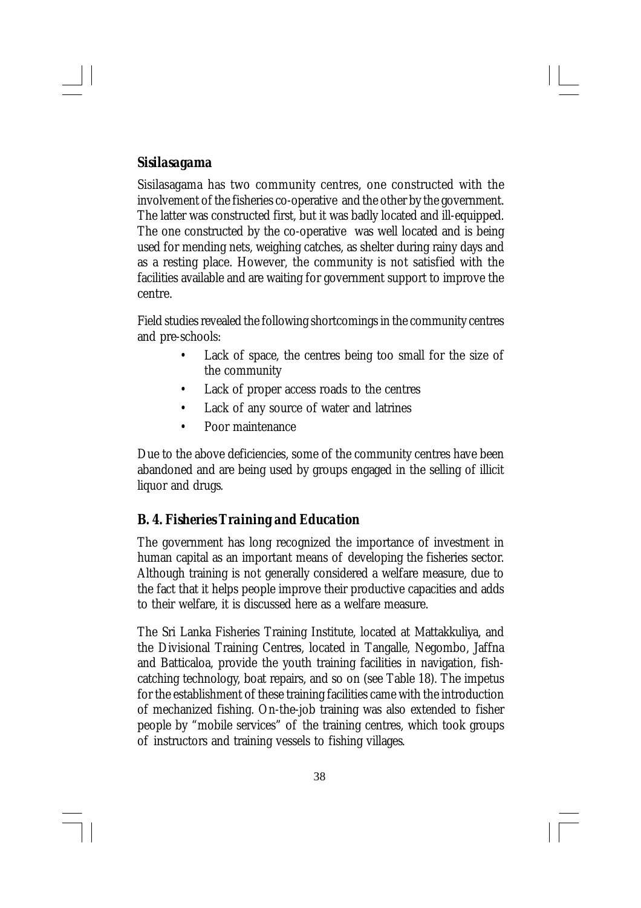## *Sisilasagama*

Sisilasagama has two community centres, one constructed with the involvement of the fisheries co-operative and the other by the government. The latter was constructed first, but it was badly located and ill-equipped. The one constructed by the co-operative was well located and is being used for mending nets, weighing catches, as shelter during rainy days and as a resting place. However, the community is not satisfied with the facilities available and are waiting for government support to improve the centre.

Field studies revealed the following shortcomings in the community centres and pre-schools:

- Lack of space, the centres being too small for the size of the community
- Lack of proper access roads to the centres
- Lack of any source of water and latrines
- Poor maintenance

Due to the above deficiencies, some of the community centres have been abandoned and are being used by groups engaged in the selling of illicit liquor and drugs.

# *B. 4. Fisheries Training and Education*

The government has long recognized the importance of investment in human capital as an important means of developing the fisheries sector. Although training is not generally considered a welfare measure, due to the fact that it helps people improve their productive capacities and adds to their welfare, it is discussed here as a welfare measure.

The Sri Lanka Fisheries Training Institute, located at Mattakkuliya, and the Divisional Training Centres, located in Tangalle, Negombo, Jaffna and Batticaloa, provide the youth training facilities in navigation, fishcatching technology, boat repairs, and so on (see Table 18). The impetus for the establishment of these training facilities came with the introduction of mechanized fishing. On-the-job training was also extended to fisher people by "mobile services" of the training centres, which took groups of instructors and training vessels to fishing villages.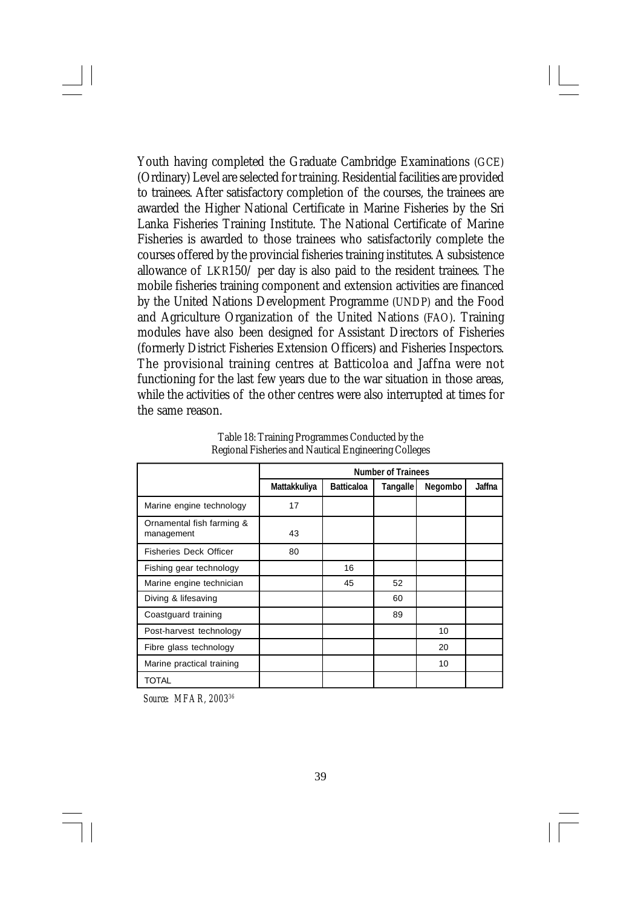Youth having completed the Graduate Cambridge Examinations (GCE) (Ordinary) Level are selected for training. Residential facilities are provided to trainees. After satisfactory completion of the courses, the trainees are awarded the Higher National Certificate in Marine Fisheries by the Sri Lanka Fisheries Training Institute. The National Certificate of Marine Fisheries is awarded to those trainees who satisfactorily complete the courses offered by the provincial fisheries training institutes. A subsistence allowance of LKR150/ per day is also paid to the resident trainees. The mobile fisheries training component and extension activities are financed by the United Nations Development Programme (UNDP) and the Food and Agriculture Organization of the United Nations (FAO). Training modules have also been designed for Assistant Directors of Fisheries (formerly District Fisheries Extension Officers) and Fisheries Inspectors. The provisional training centres at Batticoloa and Jaffna were not functioning for the last few years due to the war situation in those areas, while the activities of the other centres were also interrupted at times for the same reason.

|                                         | <b>Number of Trainees</b> |                   |                 |         |        |  |  |
|-----------------------------------------|---------------------------|-------------------|-----------------|---------|--------|--|--|
|                                         | Mattakkuliya              | <b>Batticaloa</b> | <b>Tangalle</b> | Negombo | Jaffna |  |  |
| Marine engine technology                | 17                        |                   |                 |         |        |  |  |
| Ornamental fish farming &<br>management | 43                        |                   |                 |         |        |  |  |
| <b>Fisheries Deck Officer</b>           | 80                        |                   |                 |         |        |  |  |
| Fishing gear technology                 |                           | 16                |                 |         |        |  |  |
| Marine engine technician                |                           | 45                | 52              |         |        |  |  |
| Diving & lifesaving                     |                           |                   | 60              |         |        |  |  |
| Coastguard training                     |                           |                   | 89              |         |        |  |  |
| Post-harvest technology                 |                           |                   |                 | 10      |        |  |  |
| Fibre glass technology                  |                           |                   |                 | 20      |        |  |  |
| Marine practical training               |                           |                   |                 | 10      |        |  |  |
| TOTAL                                   |                           |                   |                 |         |        |  |  |

Table 18: Training Programmes Conducted by the Regional Fisheries and Nautical Engineering Colleges

*Source: MFAR, 2003<sup>36</sup>*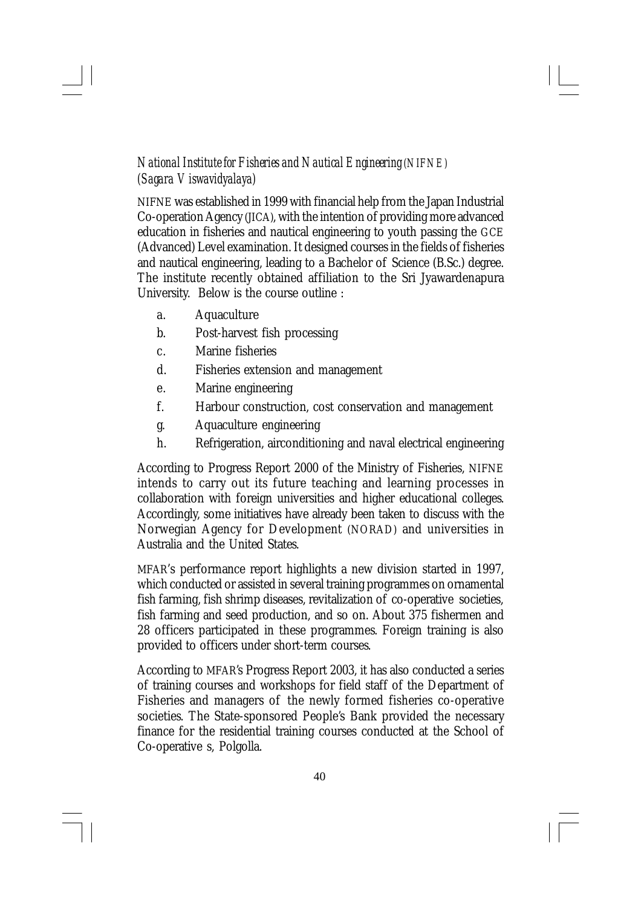# *National Institute for Fisheries and Nautical Engineering (NIFNE) (Sagara Viswavidyalaya)*

NIFNE was established in 1999 with financial help from the Japan Industrial Co-operation Agency (JICA), with the intention of providing more advanced education in fisheries and nautical engineering to youth passing the GCE (Advanced) Level examination. It designed courses in the fields of fisheries and nautical engineering, leading to a Bachelor of Science (B.Sc.) degree. The institute recently obtained affiliation to the Sri Jyawardenapura University. Below is the course outline :

- a. Aquaculture
- b. Post-harvest fish processing
- c. Marine fisheries
- d. Fisheries extension and management
- e. Marine engineering
- f. Harbour construction, cost conservation and management
- g. Aquaculture engineering
- h. Refrigeration, airconditioning and naval electrical engineering

According to Progress Report 2000 of the Ministry of Fisheries, NIFNE intends to carry out its future teaching and learning processes in collaboration with foreign universities and higher educational colleges. Accordingly, some initiatives have already been taken to discuss with the Norwegian Agency for Development (NORAD) and universities in Australia and the United States.

MFAR's performance report highlights a new division started in 1997, which conducted or assisted in several training programmes on ornamental fish farming, fish shrimp diseases, revitalization of co-operative societies, fish farming and seed production, and so on. About 375 fishermen and 28 officers participated in these programmes. Foreign training is also provided to officers under short-term courses.

According to MFAR's Progress Report 2003, it has also conducted a series of training courses and workshops for field staff of the Department of Fisheries and managers of the newly formed fisheries co-operative societies. The State-sponsored People's Bank provided the necessary finance for the residential training courses conducted at the School of Co-operative s, Polgolla.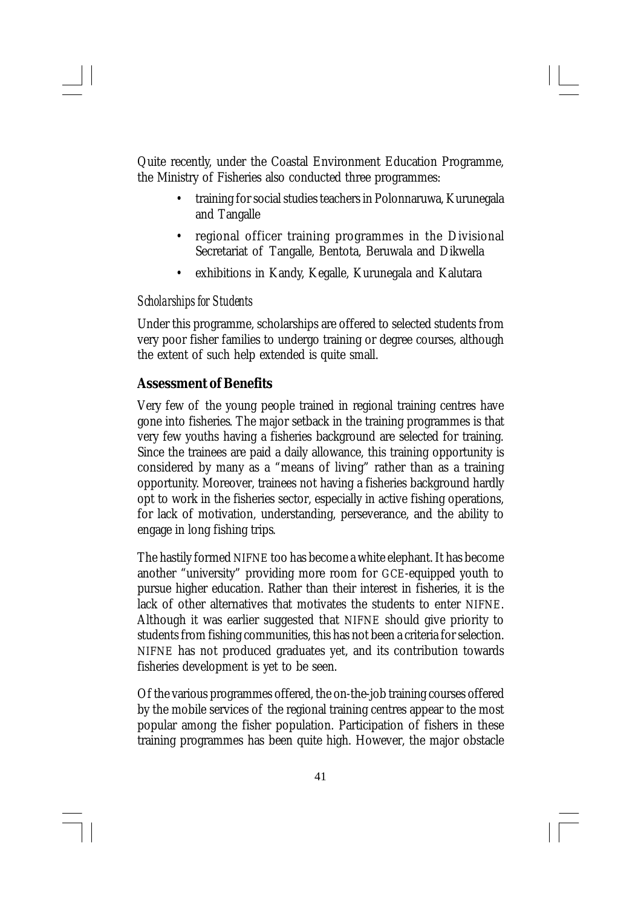Quite recently, under the Coastal Environment Education Programme, the Ministry of Fisheries also conducted three programmes:

- training for social studies teachers in Polonnaruwa, Kurunegala and Tangalle
- regional officer training programmes in the Divisional Secretariat of Tangalle, Bentota, Beruwala and Dikwella
- exhibitions in Kandy, Kegalle, Kurunegala and Kalutara

#### *Scholarships for Students*

Under this programme, scholarships are offered to selected students from very poor fisher families to undergo training or degree courses, although the extent of such help extended is quite small.

## **Assessment of Benefits**

Very few of the young people trained in regional training centres have gone into fisheries. The major setback in the training programmes is that very few youths having a fisheries background are selected for training. Since the trainees are paid a daily allowance, this training opportunity is considered by many as a "means of living" rather than as a training opportunity. Moreover, trainees not having a fisheries background hardly opt to work in the fisheries sector, especially in active fishing operations, for lack of motivation, understanding, perseverance, and the ability to engage in long fishing trips.

The hastily formed NIFNE too has become a white elephant. It has become another "university" providing more room for GCE-equipped youth to pursue higher education. Rather than their interest in fisheries, it is the lack of other alternatives that motivates the students to enter NIFNE. Although it was earlier suggested that NIFNE should give priority to students from fishing communities, this has not been a criteria for selection. NIFNE has not produced graduates yet, and its contribution towards fisheries development is yet to be seen.

Of the various programmes offered, the on-the-job training courses offered by the mobile services of the regional training centres appear to the most popular among the fisher population. Participation of fishers in these training programmes has been quite high. However, the major obstacle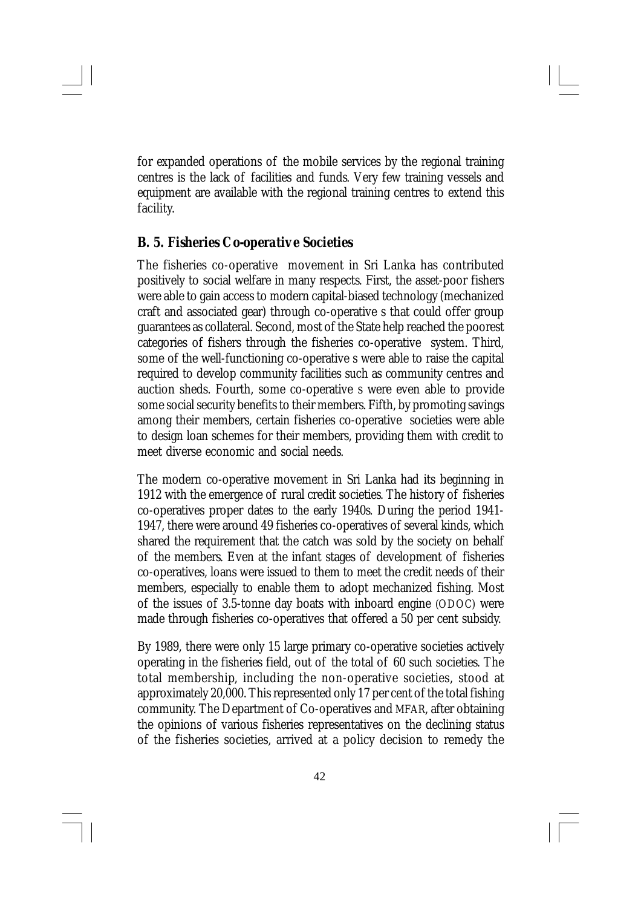for expanded operations of the mobile services by the regional training centres is the lack of facilities and funds. Very few training vessels and equipment are available with the regional training centres to extend this facility.

## *B. 5. Fisheries Co-operative Societies*

The fisheries co-operative movement in Sri Lanka has contributed positively to social welfare in many respects. First, the asset-poor fishers were able to gain access to modern capital-biased technology (mechanized craft and associated gear) through co-operative s that could offer group guarantees as collateral. Second, most of the State help reached the poorest categories of fishers through the fisheries co-operative system. Third, some of the well-functioning co-operative s were able to raise the capital required to develop community facilities such as community centres and auction sheds. Fourth, some co-operative s were even able to provide some social security benefits to their members. Fifth, by promoting savings among their members, certain fisheries co-operative societies were able to design loan schemes for their members, providing them with credit to meet diverse economic and social needs.

The modern co-operative movement in Sri Lanka had its beginning in 1912 with the emergence of rural credit societies. The history of fisheries co-operatives proper dates to the early 1940s. During the period 1941- 1947, there were around 49 fisheries co-operatives of several kinds, which shared the requirement that the catch was sold by the society on behalf of the members. Even at the infant stages of development of fisheries co-operatives, loans were issued to them to meet the credit needs of their members, especially to enable them to adopt mechanized fishing. Most of the issues of 3.5-tonne day boats with inboard engine (ODOC) were made through fisheries co-operatives that offered a 50 per cent subsidy.

By 1989, there were only 15 large primary co-operative societies actively operating in the fisheries field, out of the total of 60 such societies. The total membership, including the non-operative societies, stood at approximately 20,000. This represented only 17 per cent of the total fishing community. The Department of Co-operatives and MFAR, after obtaining the opinions of various fisheries representatives on the declining status of the fisheries societies, arrived at a policy decision to remedy the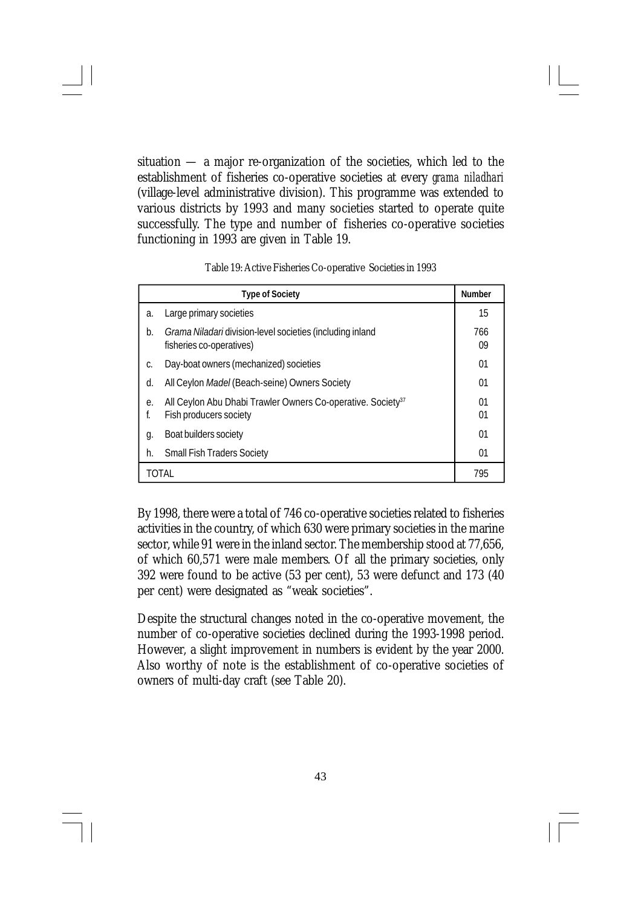situation — a major re-organization of the societies, which led to the establishment of fisheries co-operative societies at every *grama niladhari* (village-level administrative division). This programme was extended to various districts by 1993 and many societies started to operate quite successfully. The type and number of fisheries co-operative societies functioning in 1993 are given in Table 19.

Table 19: Active Fisheries Co-operative Societies in 1993

|          | <b>Type of Society</b>                                                                            | <b>Number</b> |
|----------|---------------------------------------------------------------------------------------------------|---------------|
| a.       | Large primary societies                                                                           | 15            |
| b.       | Grama Niladari division-level societies (including inland<br>fisheries co-operatives)             | 766<br>09     |
| C.       | Day-boat owners (mechanized) societies                                                            | 01            |
| d.       | All Ceylon Madel (Beach-seine) Owners Society                                                     | 01            |
| е.<br>f. | All Ceylon Abu Dhabi Trawler Owners Co-operative. Society <sup>37</sup><br>Fish producers society | 01<br>01      |
| g.       | Boat builders society                                                                             | 01            |
| h.       | <b>Small Fish Traders Society</b>                                                                 | 01            |
|          | TOTAL                                                                                             | 795           |

By 1998, there were a total of 746 co-operative societies related to fisheries activities in the country, of which 630 were primary societies in the marine sector, while 91 were in the inland sector. The membership stood at 77,656, of which 60,571 were male members. Of all the primary societies, only 392 were found to be active (53 per cent), 53 were defunct and 173 (40 per cent) were designated as "weak societies".

Despite the structural changes noted in the co-operative movement, the number of co-operative societies declined during the 1993-1998 period. However, a slight improvement in numbers is evident by the year 2000. Also worthy of note is the establishment of co-operative societies of owners of multi-day craft (see Table 20).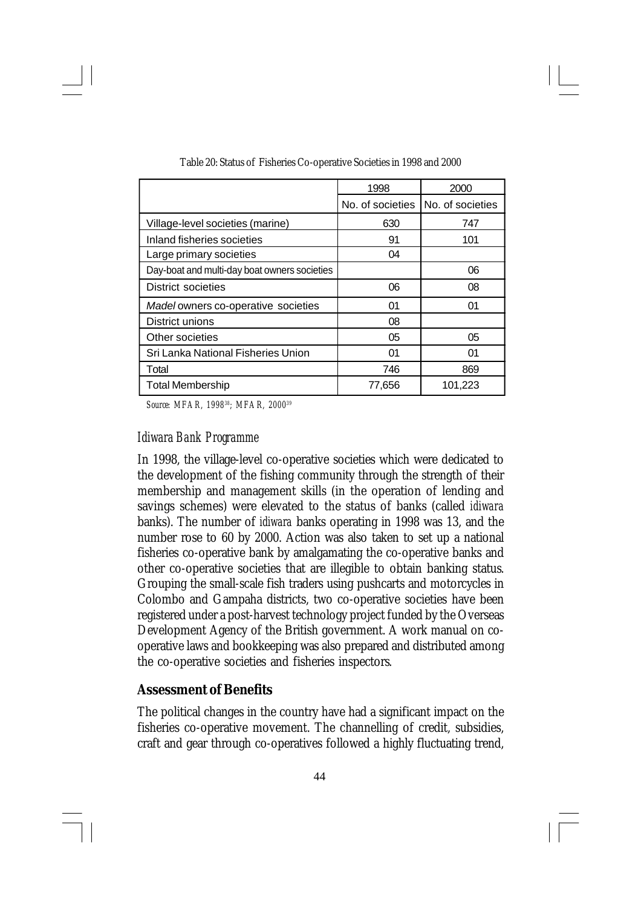|                                              | 1998             | 2000             |
|----------------------------------------------|------------------|------------------|
|                                              | No. of societies | No. of societies |
| Village-level societies (marine)             | 630              | 747              |
| Inland fisheries societies                   | 91               | 101              |
| Large primary societies                      | 04               |                  |
| Day-boat and multi-day boat owners societies |                  | 06               |
| District societies                           | 06               | 08               |
| Madel owners co-operative societies          | 01               | 01               |
| District unions                              | 08               |                  |
| Other societies                              | 05               | 05               |
| Sri Lanka National Fisheries Union           | 01               | 01               |
| Total                                        | 746              | 869              |
| <b>Total Membership</b>                      | 77,656           | 101,223          |

Table 20: Status of Fisheries Co-operative Societies in 1998 and 2000

*Source: MFAR, 1998<sup>38</sup>; MFAR, 2000<sup>39</sup>*

#### *Idiwara Bank Programme*

In 1998, the village-level co-operative societies which were dedicated to the development of the fishing community through the strength of their membership and management skills (in the operation of lending and savings schemes) were elevated to the status of banks (called *idiwara* banks). The number of *idiwara* banks operating in 1998 was 13, and the number rose to 60 by 2000. Action was also taken to set up a national fisheries co-operative bank by amalgamating the co-operative banks and other co-operative societies that are illegible to obtain banking status. Grouping the small-scale fish traders using pushcarts and motorcycles in Colombo and Gampaha districts, two co-operative societies have been registered under a post-harvest technology project funded by the Overseas Development Agency of the British government. A work manual on cooperative laws and bookkeeping was also prepared and distributed among the co-operative societies and fisheries inspectors.

#### **Assessment of Benefits**

The political changes in the country have had a significant impact on the fisheries co-operative movement. The channelling of credit, subsidies, craft and gear through co-operatives followed a highly fluctuating trend,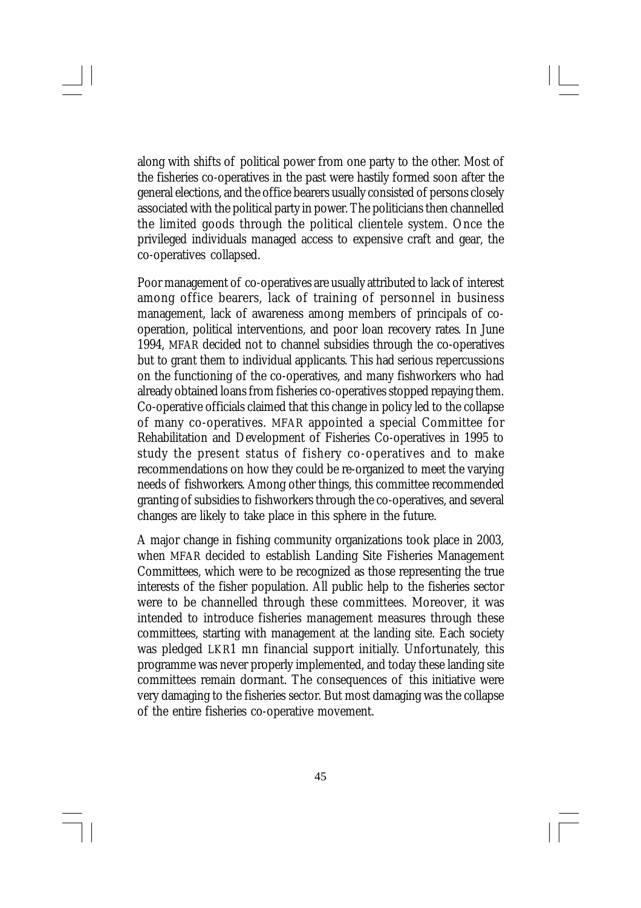along with shifts of political power from one party to the other. Most of the fisheries co-operatives in the past were hastily formed soon after the general elections, and the office bearers usually consisted of persons closely associated with the political party in power. The politicians then channelled the limited goods through the political clientele system. Once the privileged individuals managed access to expensive craft and gear, the co-operatives collapsed.

Poor management of co-operatives are usually attributed to lack of interest among office bearers, lack of training of personnel in business management, lack of awareness among members of principals of cooperation, political interventions, and poor loan recovery rates. In June 1994, MFAR decided not to channel subsidies through the co-operatives but to grant them to individual applicants. This had serious repercussions on the functioning of the co-operatives, and many fishworkers who had already obtained loans from fisheries co-operatives stopped repaying them. Co-operative officials claimed that this change in policy led to the collapse of many co-operatives. MFAR appointed a special Committee for Rehabilitation and Development of Fisheries Co-operatives in 1995 to study the present status of fishery co-operatives and to make recommendations on how they could be re-organized to meet the varying needs of fishworkers. Among other things, this committee recommended granting of subsidies to fishworkers through the co-operatives, and several changes are likely to take place in this sphere in the future.

A major change in fishing community organizations took place in 2003, when MFAR decided to establish Landing Site Fisheries Management Committees, which were to be recognized as those representing the true interests of the fisher population. All public help to the fisheries sector were to be channelled through these committees. Moreover, it was intended to introduce fisheries management measures through these committees, starting with management at the landing site. Each society was pledged LKR1 mn financial support initially. Unfortunately, this programme was never properly implemented, and today these landing site committees remain dormant. The consequences of this initiative were very damaging to the fisheries sector. But most damaging was the collapse of the entire fisheries co-operative movement.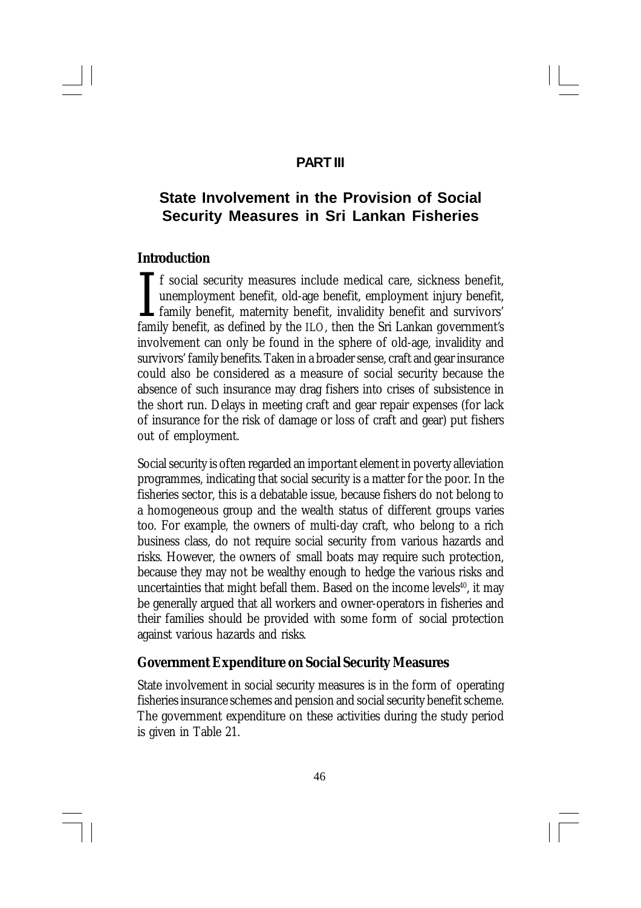## **PART III**

# **State Involvement in the Provision of Social Security Measures in Sri Lankan Fisheries**

### **Introduction**

I<br>fami f social security measures include medical care, sickness benefit, unemployment benefit, old-age benefit, employment injury benefit, family benefit, maternity benefit, invalidity benefit and survivors' family benefit, as defined by the ILO, then the Sri Lankan government's involvement can only be found in the sphere of old-age, invalidity and survivors' family benefits. Taken in a broader sense, craft and gear insurance could also be considered as a measure of social security because the absence of such insurance may drag fishers into crises of subsistence in the short run. Delays in meeting craft and gear repair expenses (for lack of insurance for the risk of damage or loss of craft and gear) put fishers out of employment.

Social security is often regarded an important element in poverty alleviation programmes, indicating that social security is a matter for the poor. In the fisheries sector, this is a debatable issue, because fishers do not belong to a homogeneous group and the wealth status of different groups varies too. For example, the owners of multi-day craft, who belong to a rich business class, do not require social security from various hazards and risks. However, the owners of small boats may require such protection, because they may not be wealthy enough to hedge the various risks and uncertainties that might befall them. Based on the income levels<sup>40</sup>, it may be generally argued that all workers and owner-operators in fisheries and their families should be provided with some form of social protection against various hazards and risks.

## **Government Expenditure on Social Security Measures**

State involvement in social security measures is in the form of operating fisheries insurance schemes and pension and social security benefit scheme. The government expenditure on these activities during the study period is given in Table 21.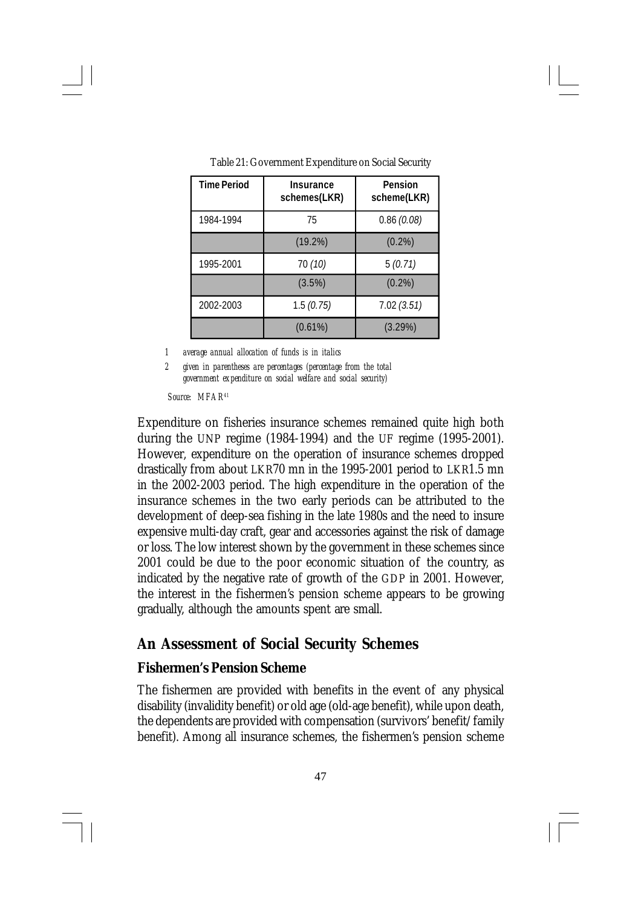| <b>Time Period</b> | Insurance<br>schemes(LKR) | Pension<br>scheme(LKR) |
|--------------------|---------------------------|------------------------|
| 1984-1994          | 75                        | 0.86(0.08)             |
|                    | $(19.2\%)$                | $(0.2\%)$              |
| 1995-2001          | 70 (10)                   | 5(0.71)                |
|                    | (3.5%)                    | $(0.2\%)$              |
| 2002-2003          | 1.5(0.75)                 | 7.02(3.51)             |
|                    | $(0.61\%)$                | $(3.29\%)$             |

Table 21: Government Expenditure on Social Security

*1 average annual allocation of funds is in italics*

*2 given in parentheses are percentages (percentage from the total government expenditure on social welfare and social security)*

*Source: MFAR<sup>41</sup>*

Expenditure on fisheries insurance schemes remained quite high both during the UNP regime (1984-1994) and the UF regime (1995-2001). However, expenditure on the operation of insurance schemes dropped drastically from about LKR70 mn in the 1995-2001 period to LKR1.5 mn in the 2002-2003 period. The high expenditure in the operation of the insurance schemes in the two early periods can be attributed to the development of deep-sea fishing in the late 1980s and the need to insure expensive multi-day craft, gear and accessories against the risk of damage or loss. The low interest shown by the government in these schemes since 2001 could be due to the poor economic situation of the country, as indicated by the negative rate of growth of the GDP in 2001. However, the interest in the fishermen's pension scheme appears to be growing gradually, although the amounts spent are small.

## **An Assessment of Social Security Schemes**

## **Fishermen's Pension Scheme**

The fishermen are provided with benefits in the event of any physical disability (invalidity benefit) or old age (old-age benefit), while upon death, the dependents are provided with compensation (survivors' benefit/family benefit). Among all insurance schemes, the fishermen's pension scheme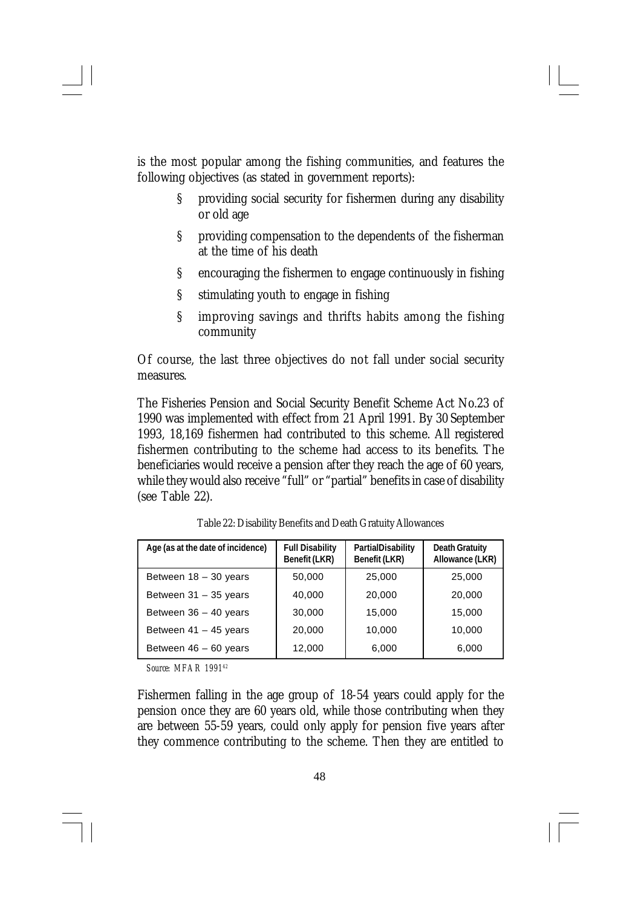is the most popular among the fishing communities, and features the following objectives (as stated in government reports):

- § providing social security for fishermen during any disability or old age
- § providing compensation to the dependents of the fisherman at the time of his death
- § encouraging the fishermen to engage continuously in fishing
- § stimulating youth to engage in fishing
- § improving savings and thrifts habits among the fishing community

Of course, the last three objectives do not fall under social security measures.

The Fisheries Pension and Social Security Benefit Scheme Act No.23 of 1990 was implemented with effect from 21 April 1991. By 30 September 1993, 18,169 fishermen had contributed to this scheme. All registered fishermen contributing to the scheme had access to its benefits. The beneficiaries would receive a pension after they reach the age of 60 years, while they would also receive "full" or "partial" benefits in case of disability (see Table 22).

| Age (as at the date of incidence) | <b>Full Disability</b><br>Benefit (LKR) | PartialDisability<br>Benefit (LKR) | <b>Death Gratuity</b><br>Allowance (LKR) |
|-----------------------------------|-----------------------------------------|------------------------------------|------------------------------------------|
| Between $18 - 30$ years           | 50,000                                  | 25,000                             | 25,000                                   |
| Between 31 - 35 years             | 40,000                                  | 20,000                             | 20,000                                   |
| Between $36 - 40$ years           | 30,000                                  | 15,000                             | 15,000                                   |
| Between $41 - 45$ years           | 20,000                                  | 10,000                             | 10,000                                   |
| Between 46 - 60 years             | 12,000                                  | 6,000                              | 6,000                                    |

Table 22: Disability Benefits and Death Gratuity Allowances

*Source: MFAR 1991<sup>42</sup>*

Fishermen falling in the age group of 18-54 years could apply for the pension once they are 60 years old, while those contributing when they are between 55-59 years, could only apply for pension five years after they commence contributing to the scheme. Then they are entitled to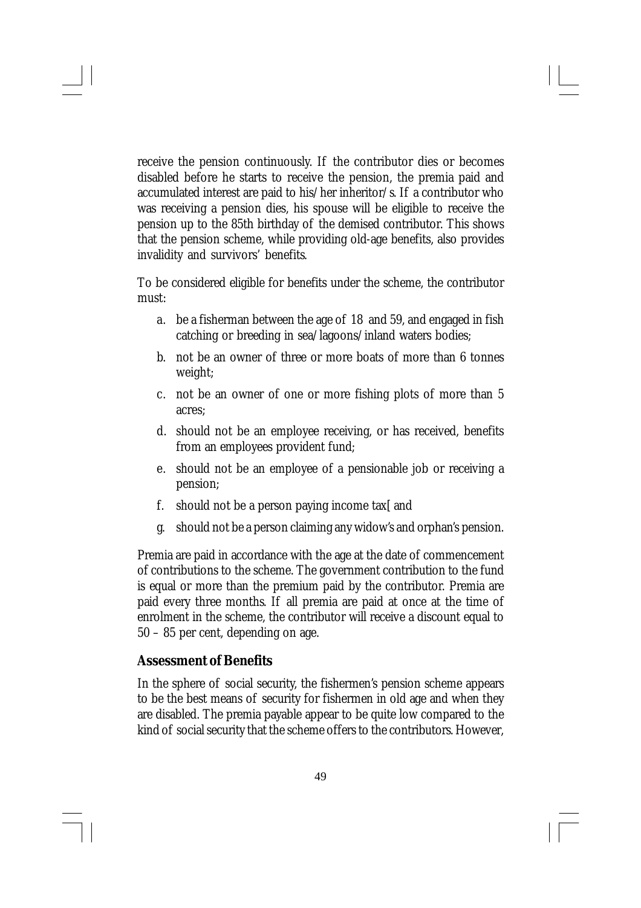receive the pension continuously. If the contributor dies or becomes disabled before he starts to receive the pension, the premia paid and accumulated interest are paid to his/her inheritor/s. If a contributor who was receiving a pension dies, his spouse will be eligible to receive the pension up to the 85th birthday of the demised contributor. This shows that the pension scheme, while providing old-age benefits, also provides invalidity and survivors' benefits.

To be considered eligible for benefits under the scheme, the contributor must:

- a. be a fisherman between the age of 18 and 59, and engaged in fish catching or breeding in sea/lagoons/inland waters bodies;
- b. not be an owner of three or more boats of more than 6 tonnes weight;
- c. not be an owner of one or more fishing plots of more than 5 acres;
- d. should not be an employee receiving, or has received, benefits from an employees provident fund;
- e. should not be an employee of a pensionable job or receiving a pension;
- f. should not be a person paying income tax and
- g. should not be a person claiming any widow's and orphan's pension.

Premia are paid in accordance with the age at the date of commencement of contributions to the scheme. The government contribution to the fund is equal or more than the premium paid by the contributor. Premia are paid every three months. If all premia are paid at once at the time of enrolment in the scheme, the contributor will receive a discount equal to 50 – 85 per cent, depending on age.

## **Assessment of Benefits**

In the sphere of social security, the fishermen's pension scheme appears to be the best means of security for fishermen in old age and when they are disabled. The premia payable appear to be quite low compared to the kind of social security that the scheme offers to the contributors. However,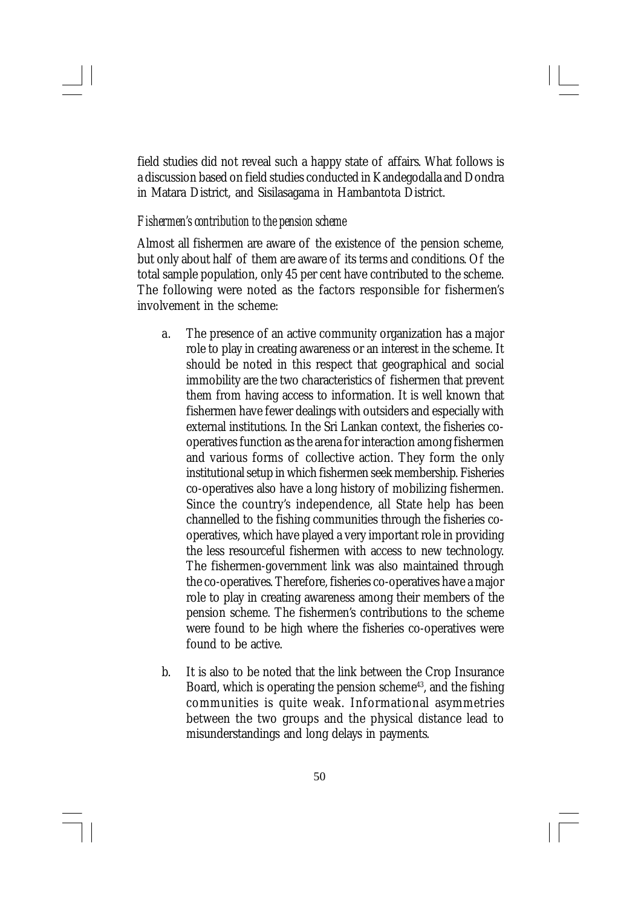field studies did not reveal such a happy state of affairs. What follows is a discussion based on field studies conducted in Kandegodalla and Dondra in Matara District, and Sisilasagama in Hambantota District.

#### *Fishermen's contribution to the pension scheme*

Almost all fishermen are aware of the existence of the pension scheme, but only about half of them are aware of its terms and conditions. Of the total sample population, only 45 per cent have contributed to the scheme. The following were noted as the factors responsible for fishermen's involvement in the scheme:

- a. The presence of an active community organization has a major role to play in creating awareness or an interest in the scheme. It should be noted in this respect that geographical and social immobility are the two characteristics of fishermen that prevent them from having access to information. It is well known that fishermen have fewer dealings with outsiders and especially with external institutions. In the Sri Lankan context, the fisheries cooperatives function as the arena for interaction among fishermen and various forms of collective action. They form the only institutional setup in which fishermen seek membership. Fisheries co-operatives also have a long history of mobilizing fishermen. Since the country's independence, all State help has been channelled to the fishing communities through the fisheries cooperatives, which have played a very important role in providing the less resourceful fishermen with access to new technology. The fishermen-government link was also maintained through the co-operatives. Therefore, fisheries co-operatives have a major role to play in creating awareness among their members of the pension scheme. The fishermen's contributions to the scheme were found to be high where the fisheries co-operatives were found to be active.
- b. It is also to be noted that the link between the Crop Insurance Board, which is operating the pension scheme<sup>43</sup>, and the fishing communities is quite weak. Informational asymmetries between the two groups and the physical distance lead to misunderstandings and long delays in payments.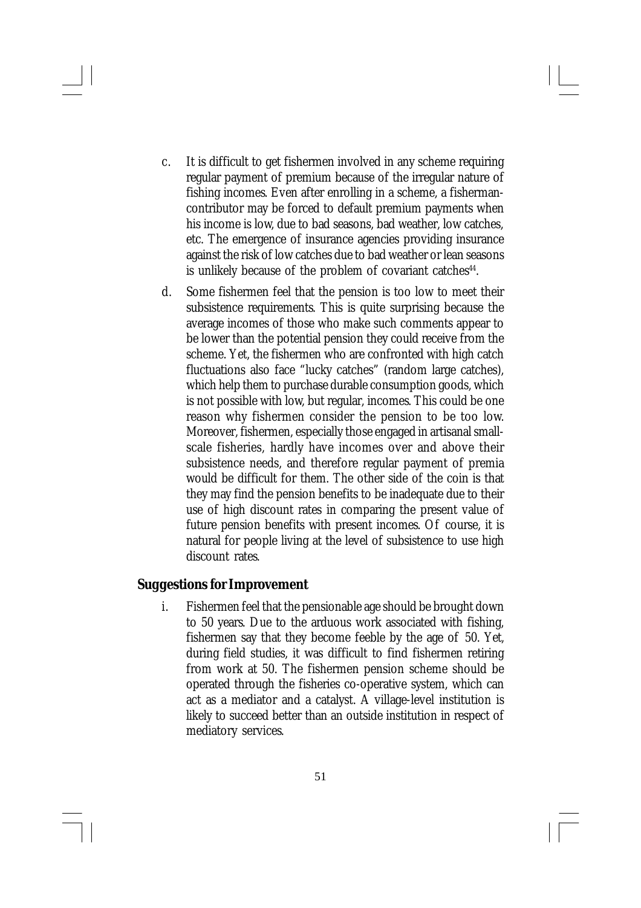- c. It is difficult to get fishermen involved in any scheme requiring regular payment of premium because of the irregular nature of fishing incomes. Even after enrolling in a scheme, a fishermancontributor may be forced to default premium payments when his income is low, due to bad seasons, bad weather, low catches, etc. The emergence of insurance agencies providing insurance against the risk of low catches due to bad weather or lean seasons is unlikely because of the problem of covariant catches<sup>44</sup>.
- d. Some fishermen feel that the pension is too low to meet their subsistence requirements. This is quite surprising because the average incomes of those who make such comments appear to be lower than the potential pension they could receive from the scheme. Yet, the fishermen who are confronted with high catch fluctuations also face "lucky catches" (random large catches), which help them to purchase durable consumption goods, which is not possible with low, but regular, incomes. This could be one reason why fishermen consider the pension to be too low. Moreover, fishermen, especially those engaged in artisanal smallscale fisheries, hardly have incomes over and above their subsistence needs, and therefore regular payment of premia would be difficult for them. The other side of the coin is that they may find the pension benefits to be inadequate due to their use of high discount rates in comparing the present value of future pension benefits with present incomes. Of course, it is natural for people living at the level of subsistence to use high discount rates.

## **Suggestions for Improvement**

i. Fishermen feel that the pensionable age should be brought down to 50 years. Due to the arduous work associated with fishing, fishermen say that they become feeble by the age of 50. Yet, during field studies, it was difficult to find fishermen retiring from work at 50. The fishermen pension scheme should be operated through the fisheries co-operative system, which can act as a mediator and a catalyst. A village-level institution is likely to succeed better than an outside institution in respect of mediatory services.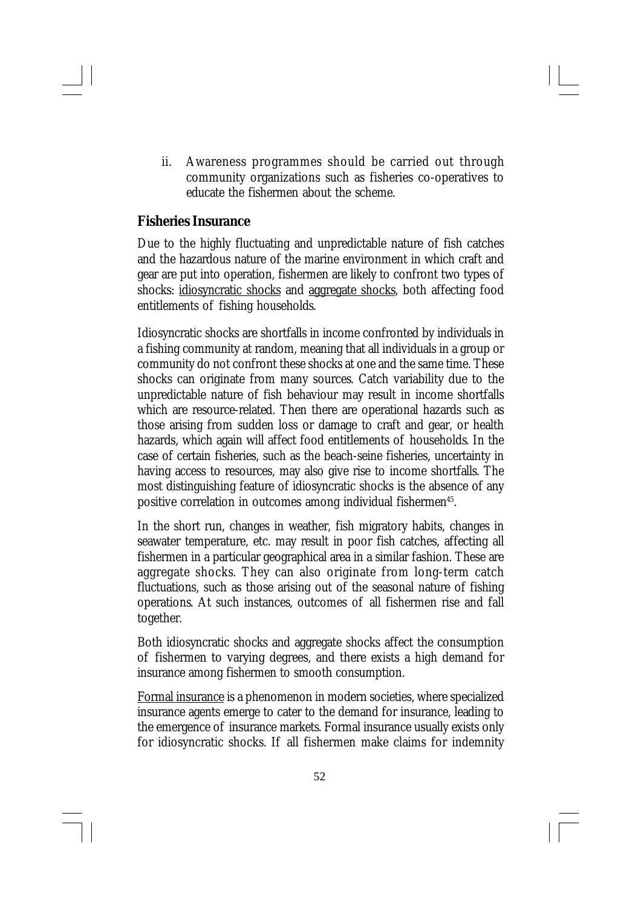ii. Awareness programmes should be carried out through community organizations such as fisheries co-operatives to educate the fishermen about the scheme.

#### **Fisheries Insurance**

Due to the highly fluctuating and unpredictable nature of fish catches and the hazardous nature of the marine environment in which craft and gear are put into operation, fishermen are likely to confront two types of shocks: idiosyncratic shocks and aggregate shocks, both affecting food entitlements of fishing households.

Idiosyncratic shocks are shortfalls in income confronted by individuals in a fishing community at random, meaning that all individuals in a group or community do not confront these shocks at one and the same time. These shocks can originate from many sources. Catch variability due to the unpredictable nature of fish behaviour may result in income shortfalls which are resource-related. Then there are operational hazards such as those arising from sudden loss or damage to craft and gear, or health hazards, which again will affect food entitlements of households. In the case of certain fisheries, such as the beach-seine fisheries, uncertainty in having access to resources, may also give rise to income shortfalls. The most distinguishing feature of idiosyncratic shocks is the absence of any positive correlation in outcomes among individual fishermen<sup>45</sup>.

In the short run, changes in weather, fish migratory habits, changes in seawater temperature, etc. may result in poor fish catches, affecting all fishermen in a particular geographical area in a similar fashion. These are aggregate shocks. They can also originate from long-term catch fluctuations, such as those arising out of the seasonal nature of fishing operations. At such instances, outcomes of all fishermen rise and fall together.

Both idiosyncratic shocks and aggregate shocks affect the consumption of fishermen to varying degrees, and there exists a high demand for insurance among fishermen to smooth consumption.

Formal insurance is a phenomenon in modern societies, where specialized insurance agents emerge to cater to the demand for insurance, leading to the emergence of insurance markets. Formal insurance usually exists only for idiosyncratic shocks. If all fishermen make claims for indemnity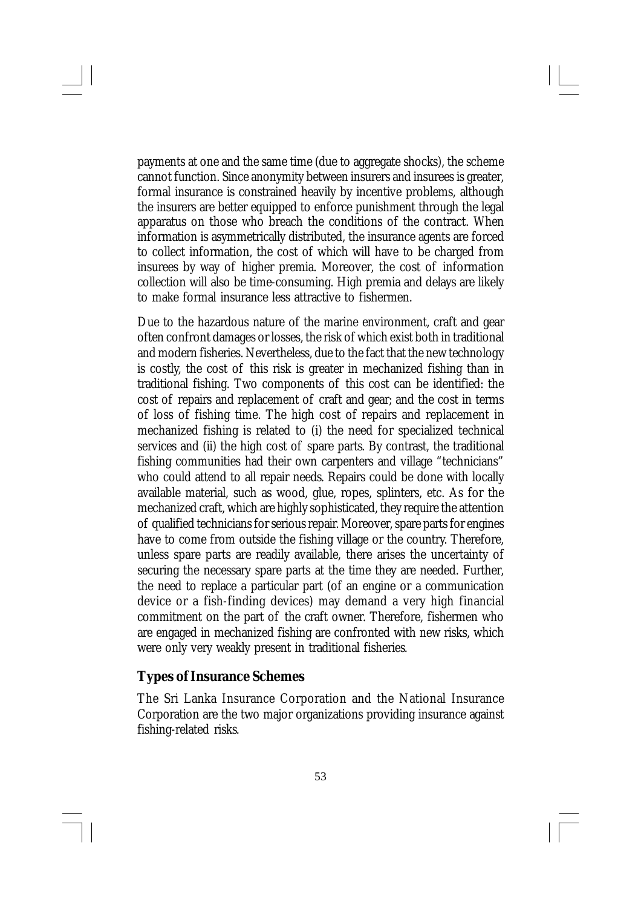payments at one and the same time (due to aggregate shocks), the scheme cannot function. Since anonymity between insurers and insurees is greater, formal insurance is constrained heavily by incentive problems, although the insurers are better equipped to enforce punishment through the legal apparatus on those who breach the conditions of the contract. When information is asymmetrically distributed, the insurance agents are forced to collect information, the cost of which will have to be charged from insurees by way of higher premia. Moreover, the cost of information collection will also be time-consuming. High premia and delays are likely to make formal insurance less attractive to fishermen.

Due to the hazardous nature of the marine environment, craft and gear often confront damages or losses, the risk of which exist both in traditional and modern fisheries. Nevertheless, due to the fact that the new technology is costly, the cost of this risk is greater in mechanized fishing than in traditional fishing. Two components of this cost can be identified: the cost of repairs and replacement of craft and gear; and the cost in terms of loss of fishing time. The high cost of repairs and replacement in mechanized fishing is related to (i) the need for specialized technical services and (ii) the high cost of spare parts. By contrast, the traditional fishing communities had their own carpenters and village "technicians" who could attend to all repair needs. Repairs could be done with locally available material, such as wood, glue, ropes, splinters, etc. As for the mechanized craft, which are highly sophisticated, they require the attention of qualified technicians for serious repair. Moreover, spare parts for engines have to come from outside the fishing village or the country. Therefore, unless spare parts are readily available, there arises the uncertainty of securing the necessary spare parts at the time they are needed. Further, the need to replace a particular part (of an engine or a communication device or a fish-finding devices) may demand a very high financial commitment on the part of the craft owner. Therefore, fishermen who are engaged in mechanized fishing are confronted with new risks, which were only very weakly present in traditional fisheries.

## **Types of Insurance Schemes**

The Sri Lanka Insurance Corporation and the National Insurance Corporation are the two major organizations providing insurance against fishing-related risks.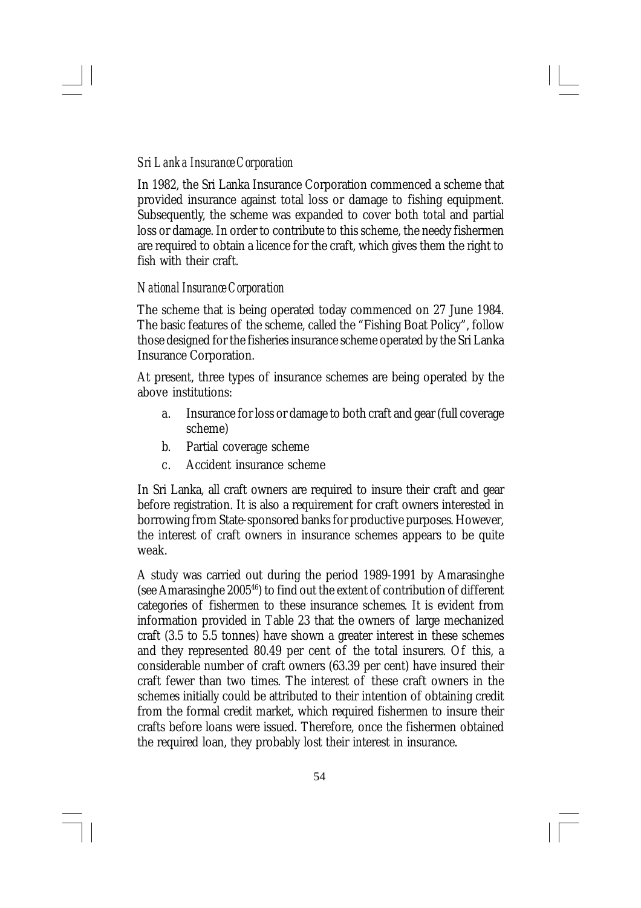## *Sri Lanka Insurance Corporation*

In 1982, the Sri Lanka Insurance Corporation commenced a scheme that provided insurance against total loss or damage to fishing equipment. Subsequently, the scheme was expanded to cover both total and partial loss or damage. In order to contribute to this scheme, the needy fishermen are required to obtain a licence for the craft, which gives them the right to fish with their craft.

#### *National Insurance Corporation*

The scheme that is being operated today commenced on 27 June 1984. The basic features of the scheme, called the "Fishing Boat Policy", follow those designed for the fisheries insurance scheme operated by the Sri Lanka Insurance Corporation.

At present, three types of insurance schemes are being operated by the above institutions:

- a. Insurance for loss or damage to both craft and gear (full coverage scheme)
- b. Partial coverage scheme
- c. Accident insurance scheme

In Sri Lanka, all craft owners are required to insure their craft and gear before registration. It is also a requirement for craft owners interested in borrowing from State-sponsored banks for productive purposes. However, the interest of craft owners in insurance schemes appears to be quite weak.

A study was carried out during the period 1989-1991 by Amarasinghe (see Amarasinghe 2005<sup>46</sup>) to find out the extent of contribution of different categories of fishermen to these insurance schemes. It is evident from information provided in Table 23 that the owners of large mechanized craft (3.5 to 5.5 tonnes) have shown a greater interest in these schemes and they represented 80.49 per cent of the total insurers. Of this, a considerable number of craft owners (63.39 per cent) have insured their craft fewer than two times. The interest of these craft owners in the schemes initially could be attributed to their intention of obtaining credit from the formal credit market, which required fishermen to insure their crafts before loans were issued. Therefore, once the fishermen obtained the required loan, they probably lost their interest in insurance.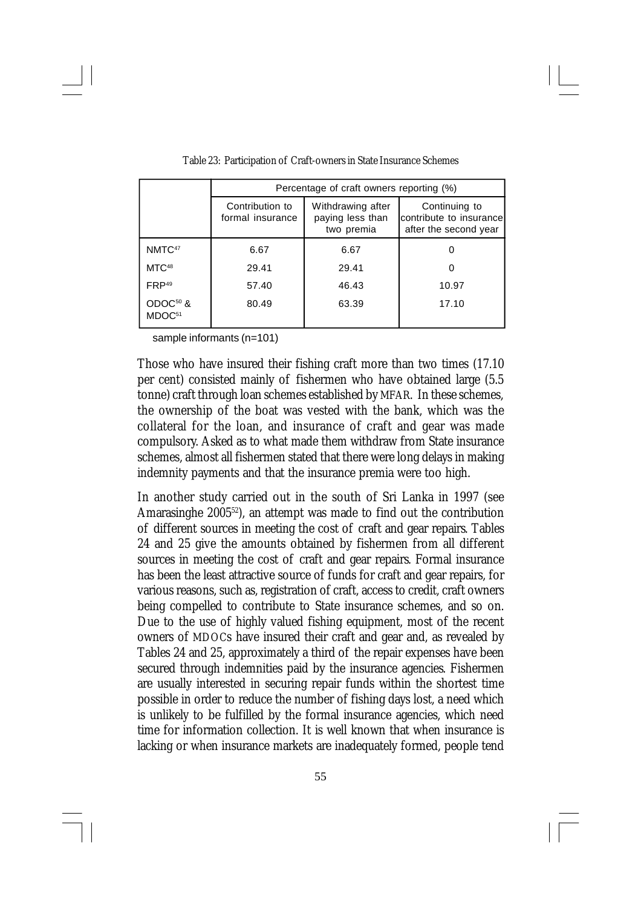|                                            | Percentage of craft owners reporting (%) |                                                     |                                                                   |  |  |  |
|--------------------------------------------|------------------------------------------|-----------------------------------------------------|-------------------------------------------------------------------|--|--|--|
|                                            | Contribution to<br>formal insurance      | Withdrawing after<br>paying less than<br>two premia | Continuing to<br>contribute to insurance<br>after the second year |  |  |  |
| NMTC <sup>47</sup>                         | 6.67                                     | 6.67                                                |                                                                   |  |  |  |
| MTC <sup>48</sup>                          | 29.41                                    | 29.41                                               |                                                                   |  |  |  |
| FRP <sup>49</sup>                          | 57.40                                    | 46.43                                               | 10.97                                                             |  |  |  |
| ODOC <sup>50</sup> &<br>MDOC <sup>51</sup> | 80.49                                    | 63.39                                               | 17.10                                                             |  |  |  |

Table 23: Participation of Craft-owners in State Insurance Schemes

sample informants (n=101)

Those who have insured their fishing craft more than two times (17.10 per cent) consisted mainly of fishermen who have obtained large (5.5 tonne) craft through loan schemes established by MFAR. In these schemes, the ownership of the boat was vested with the bank, which was the collateral for the loan, and insurance of craft and gear was made compulsory. Asked as to what made them withdraw from State insurance schemes, almost all fishermen stated that there were long delays in making indemnity payments and that the insurance premia were too high.

In another study carried out in the south of Sri Lanka in 1997 (see Amarasinghe 2005<sup>52</sup>), an attempt was made to find out the contribution of different sources in meeting the cost of craft and gear repairs. Tables 24 and 25 give the amounts obtained by fishermen from all different sources in meeting the cost of craft and gear repairs. Formal insurance has been the least attractive source of funds for craft and gear repairs, for various reasons, such as, registration of craft, access to credit, craft owners being compelled to contribute to State insurance schemes, and so on. Due to the use of highly valued fishing equipment, most of the recent owners of MDOCs have insured their craft and gear and, as revealed by Tables 24 and 25, approximately a third of the repair expenses have been secured through indemnities paid by the insurance agencies. Fishermen are usually interested in securing repair funds within the shortest time possible in order to reduce the number of fishing days lost, a need which is unlikely to be fulfilled by the formal insurance agencies, which need time for information collection. It is well known that when insurance is lacking or when insurance markets are inadequately formed, people tend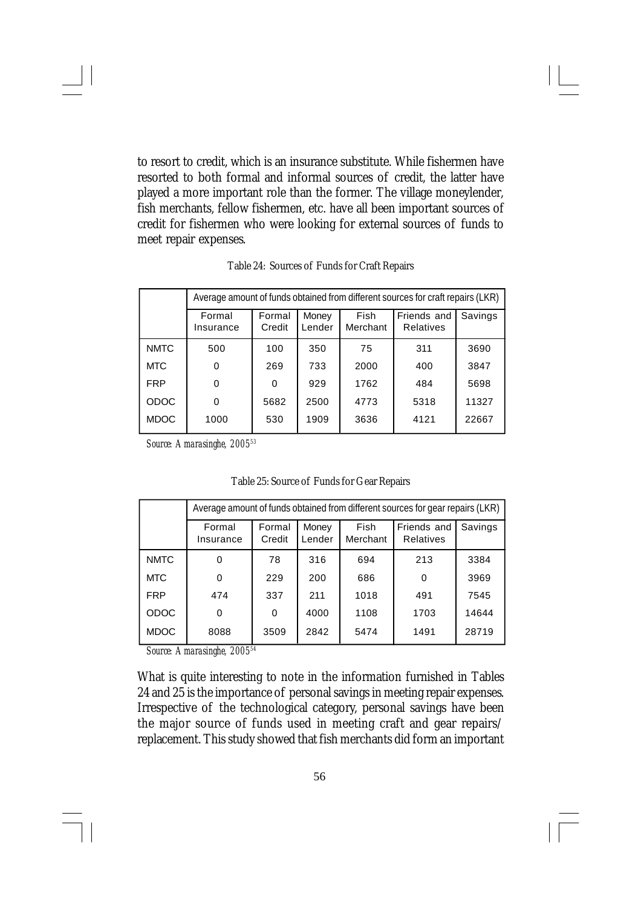to resort to credit, which is an insurance substitute. While fishermen have resorted to both formal and informal sources of credit, the latter have played a more important role than the former. The village moneylender, fish merchants, fellow fishermen, etc. have all been important sources of credit for fishermen who were looking for external sources of funds to meet repair expenses.

|             | Average amount of funds obtained from different sources for craft repairs (LKR)<br><b>Fish</b><br>Friends and<br>Savings<br>Formal<br>Money<br>Formal<br>Merchant<br>Credit<br>Lender<br><b>Relatives</b><br>Insurance |          |      |      |      |       |
|-------------|------------------------------------------------------------------------------------------------------------------------------------------------------------------------------------------------------------------------|----------|------|------|------|-------|
|             |                                                                                                                                                                                                                        |          |      |      |      |       |
| <b>NMTC</b> | 500                                                                                                                                                                                                                    | 100      | 350  | 75   | 311  | 3690  |
| <b>MTC</b>  | O                                                                                                                                                                                                                      | 269      | 733  | 2000 | 400  | 3847  |
| <b>FRP</b>  | 0                                                                                                                                                                                                                      | $\Omega$ | 929  | 1762 | 484  | 5698  |
| <b>ODOC</b> | $\Omega$                                                                                                                                                                                                               | 5682     | 2500 | 4773 | 5318 | 11327 |
| <b>MDOC</b> | 1000                                                                                                                                                                                                                   | 530      | 1909 | 3636 | 4121 | 22667 |

Table 24: Sources of Funds for Craft Repairs

*Source: Amarasinghe, 2005<sup>53</sup>*

|             | Average amount of funds obtained from different sources for gear repairs (LKR) |                  |                 |                         |                                 |         |  |
|-------------|--------------------------------------------------------------------------------|------------------|-----------------|-------------------------|---------------------------------|---------|--|
|             | Formal<br>Insurance                                                            | Formal<br>Credit | Money<br>Lender | <b>Fish</b><br>Merchant | Friends and<br><b>Relatives</b> | Savings |  |
| <b>NMTC</b> | 0                                                                              | 78               | 316             | 694                     | 213                             | 3384    |  |
| <b>MTC</b>  | 0                                                                              | 229              | 200             | 686                     | 0                               | 3969    |  |
| <b>FRP</b>  | 474                                                                            | 337              | 211             | 1018                    | 491                             | 7545    |  |
| <b>ODOC</b> | 0                                                                              | $\Omega$         | 4000            | 1108                    | 1703                            | 14644   |  |
| <b>MDOC</b> | 8088                                                                           | 3509             | 2842            | 5474                    | 1491                            | 28719   |  |

Table 25: Source of Funds for Gear Repairs

*Source: Amarasinghe, 2005<sup>54</sup>*

What is quite interesting to note in the information furnished in Tables 24 and 25 is the importance of personal savings in meeting repair expenses. Irrespective of the technological category, personal savings have been the major source of funds used in meeting craft and gear repairs/ replacement. This study showed that fish merchants did form an important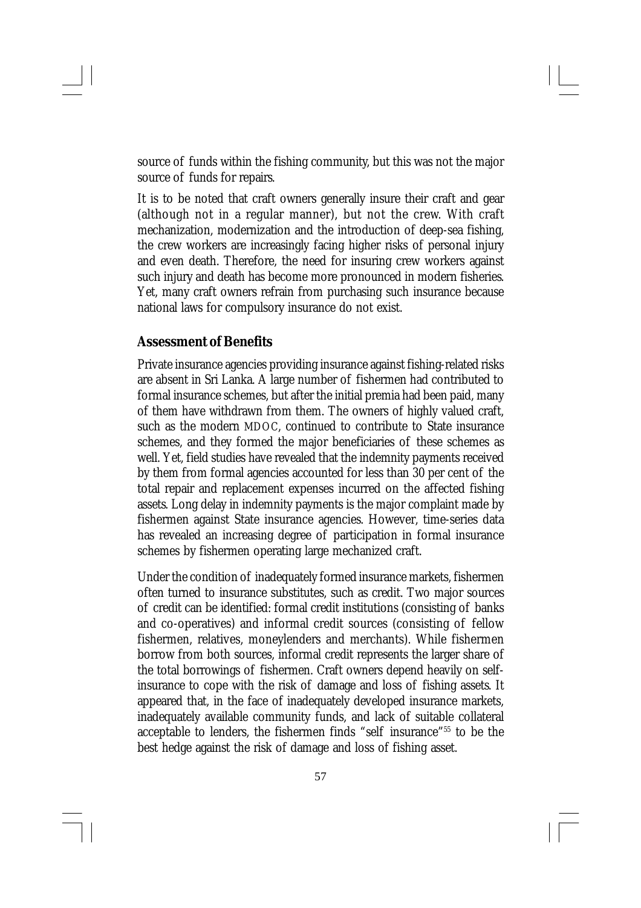source of funds within the fishing community, but this was not the major source of funds for repairs.

It is to be noted that craft owners generally insure their craft and gear (although not in a regular manner), but not the crew. With craft mechanization, modernization and the introduction of deep-sea fishing, the crew workers are increasingly facing higher risks of personal injury and even death. Therefore, the need for insuring crew workers against such injury and death has become more pronounced in modern fisheries. Yet, many craft owners refrain from purchasing such insurance because national laws for compulsory insurance do not exist.

## **Assessment of Benefits**

Private insurance agencies providing insurance against fishing-related risks are absent in Sri Lanka. A large number of fishermen had contributed to formal insurance schemes, but after the initial premia had been paid, many of them have withdrawn from them. The owners of highly valued craft, such as the modern MDOC, continued to contribute to State insurance schemes, and they formed the major beneficiaries of these schemes as well. Yet, field studies have revealed that the indemnity payments received by them from formal agencies accounted for less than 30 per cent of the total repair and replacement expenses incurred on the affected fishing assets. Long delay in indemnity payments is the major complaint made by fishermen against State insurance agencies. However, time-series data has revealed an increasing degree of participation in formal insurance schemes by fishermen operating large mechanized craft.

Under the condition of inadequately formed insurance markets, fishermen often turned to insurance substitutes, such as credit. Two major sources of credit can be identified: formal credit institutions (consisting of banks and co-operatives) and informal credit sources (consisting of fellow fishermen, relatives, moneylenders and merchants). While fishermen borrow from both sources, informal credit represents the larger share of the total borrowings of fishermen. Craft owners depend heavily on selfinsurance to cope with the risk of damage and loss of fishing assets. It appeared that, in the face of inadequately developed insurance markets, inadequately available community funds, and lack of suitable collateral acceptable to lenders, the fishermen finds "self insurance"<sup>55</sup> to be the best hedge against the risk of damage and loss of fishing asset.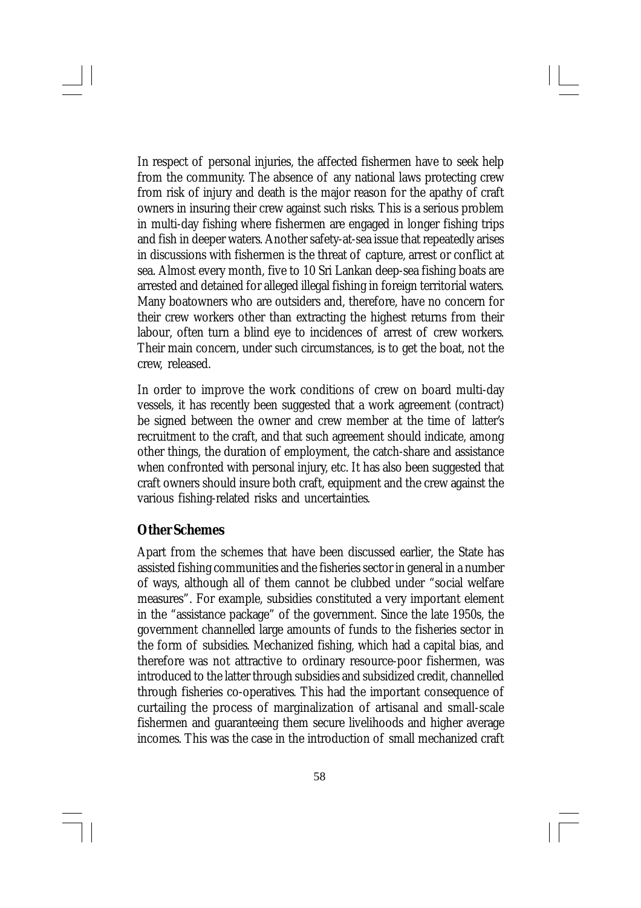In respect of personal injuries, the affected fishermen have to seek help from the community. The absence of any national laws protecting crew from risk of injury and death is the major reason for the apathy of craft owners in insuring their crew against such risks. This is a serious problem in multi-day fishing where fishermen are engaged in longer fishing trips and fish in deeper waters. Another safety-at-sea issue that repeatedly arises in discussions with fishermen is the threat of capture, arrest or conflict at sea. Almost every month, five to 10 Sri Lankan deep-sea fishing boats are arrested and detained for alleged illegal fishing in foreign territorial waters. Many boatowners who are outsiders and, therefore, have no concern for their crew workers other than extracting the highest returns from their labour, often turn a blind eye to incidences of arrest of crew workers. Their main concern, under such circumstances, is to get the boat, not the crew, released.

In order to improve the work conditions of crew on board multi-day vessels, it has recently been suggested that a work agreement (contract) be signed between the owner and crew member at the time of latter's recruitment to the craft, and that such agreement should indicate, among other things, the duration of employment, the catch-share and assistance when confronted with personal injury, etc. It has also been suggested that craft owners should insure both craft, equipment and the crew against the various fishing-related risks and uncertainties.

## **Other Schemes**

Apart from the schemes that have been discussed earlier, the State has assisted fishing communities and the fisheries sector in general in a number of ways, although all of them cannot be clubbed under "social welfare measures". For example, subsidies constituted a very important element in the "assistance package" of the government. Since the late 1950s, the government channelled large amounts of funds to the fisheries sector in the form of subsidies. Mechanized fishing, which had a capital bias, and therefore was not attractive to ordinary resource-poor fishermen, was introduced to the latter through subsidies and subsidized credit, channelled through fisheries co-operatives. This had the important consequence of curtailing the process of marginalization of artisanal and small-scale fishermen and guaranteeing them secure livelihoods and higher average incomes. This was the case in the introduction of small mechanized craft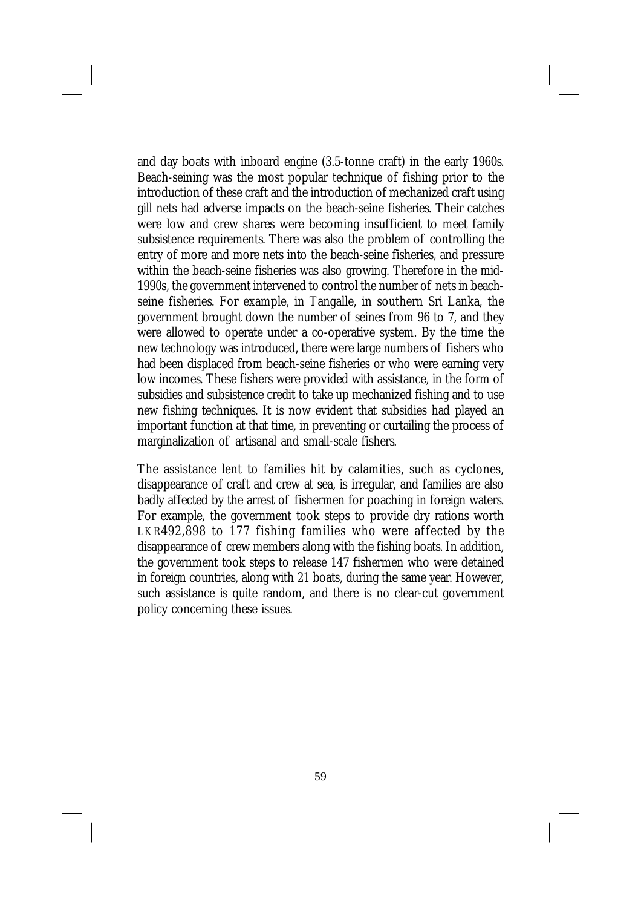and day boats with inboard engine (3.5-tonne craft) in the early 1960s. Beach-seining was the most popular technique of fishing prior to the introduction of these craft and the introduction of mechanized craft using gill nets had adverse impacts on the beach-seine fisheries. Their catches were low and crew shares were becoming insufficient to meet family subsistence requirements. There was also the problem of controlling the entry of more and more nets into the beach-seine fisheries, and pressure within the beach-seine fisheries was also growing. Therefore in the mid-1990s, the government intervened to control the number of nets in beachseine fisheries. For example, in Tangalle, in southern Sri Lanka, the government brought down the number of seines from 96 to 7, and they were allowed to operate under a co-operative system. By the time the new technology was introduced, there were large numbers of fishers who had been displaced from beach-seine fisheries or who were earning very low incomes. These fishers were provided with assistance, in the form of subsidies and subsistence credit to take up mechanized fishing and to use new fishing techniques. It is now evident that subsidies had played an important function at that time, in preventing or curtailing the process of marginalization of artisanal and small-scale fishers.

The assistance lent to families hit by calamities, such as cyclones, disappearance of craft and crew at sea, is irregular, and families are also badly affected by the arrest of fishermen for poaching in foreign waters. For example, the government took steps to provide dry rations worth LKR492,898 to 177 fishing families who were affected by the disappearance of crew members along with the fishing boats. In addition, the government took steps to release 147 fishermen who were detained in foreign countries, along with 21 boats, during the same year. However, such assistance is quite random, and there is no clear-cut government policy concerning these issues.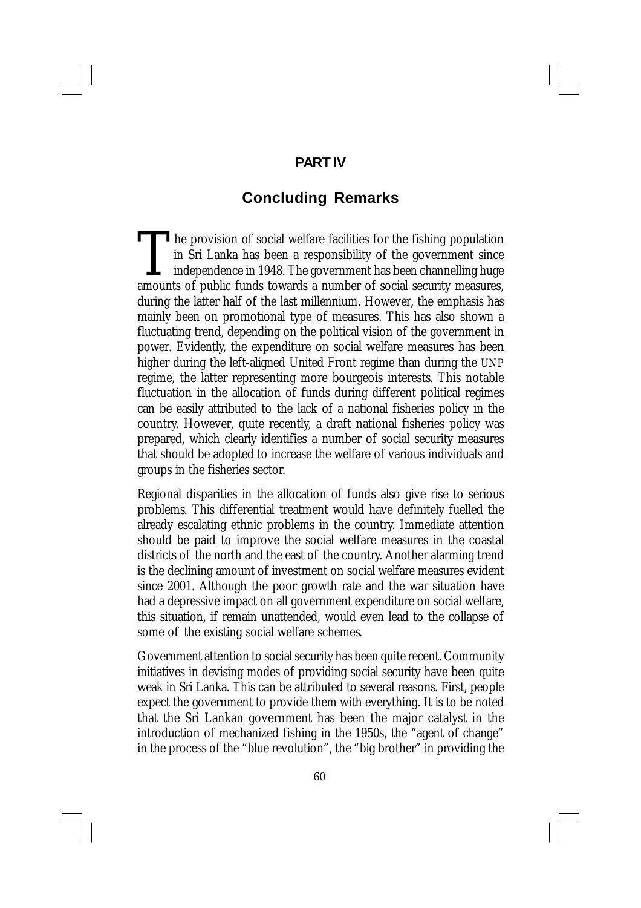## **PART IV**

# **Concluding Remarks**

 $\prod_{\text{amount}}$ **The provision of social welfare facilities for the fishing population** in Sri Lanka has been a responsibility of the government since independence in 1948. The government has been channelling huge amounts of public funds towards a number of social security measures, during the latter half of the last millennium. However, the emphasis has mainly been on promotional type of measures. This has also shown a fluctuating trend, depending on the political vision of the government in power. Evidently, the expenditure on social welfare measures has been higher during the left-aligned United Front regime than during the UNP regime, the latter representing more bourgeois interests. This notable fluctuation in the allocation of funds during different political regimes can be easily attributed to the lack of a national fisheries policy in the country. However, quite recently, a draft national fisheries policy was prepared, which clearly identifies a number of social security measures that should be adopted to increase the welfare of various individuals and groups in the fisheries sector.

Regional disparities in the allocation of funds also give rise to serious problems. This differential treatment would have definitely fuelled the already escalating ethnic problems in the country. Immediate attention should be paid to improve the social welfare measures in the coastal districts of the north and the east of the country. Another alarming trend is the declining amount of investment on social welfare measures evident since 2001. Although the poor growth rate and the war situation have had a depressive impact on all government expenditure on social welfare, this situation, if remain unattended, would even lead to the collapse of some of the existing social welfare schemes.

Government attention to social security has been quite recent. Community initiatives in devising modes of providing social security have been quite weak in Sri Lanka. This can be attributed to several reasons. First, people expect the government to provide them with everything. It is to be noted that the Sri Lankan government has been the major catalyst in the introduction of mechanized fishing in the 1950s, the "agent of change" in the process of the "blue revolution", the "big brother" in providing the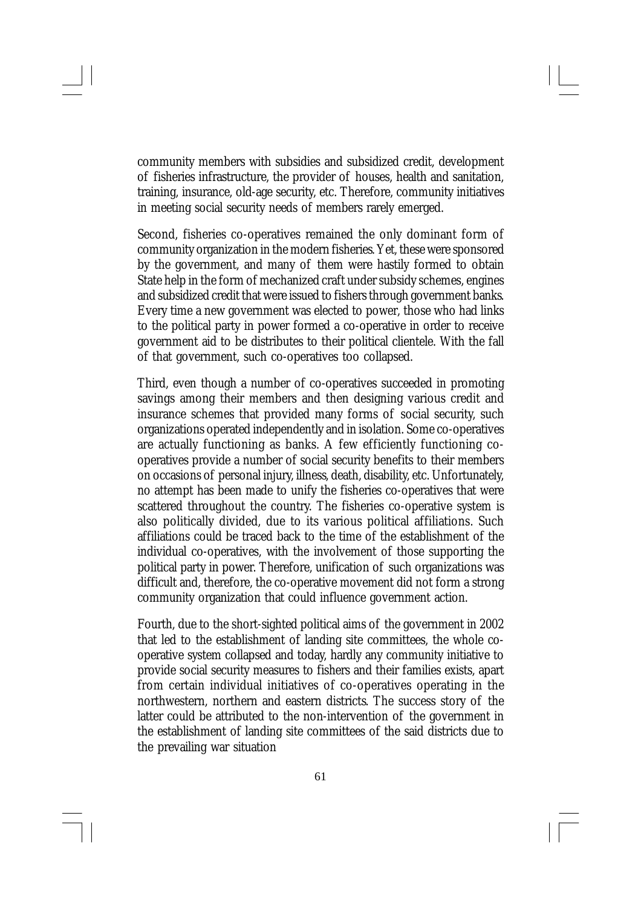community members with subsidies and subsidized credit, development of fisheries infrastructure, the provider of houses, health and sanitation, training, insurance, old-age security, etc. Therefore, community initiatives in meeting social security needs of members rarely emerged.

Second, fisheries co-operatives remained the only dominant form of community organization in the modern fisheries. Yet, these were sponsored by the government, and many of them were hastily formed to obtain State help in the form of mechanized craft under subsidy schemes, engines and subsidized credit that were issued to fishers through government banks. Every time a new government was elected to power, those who had links to the political party in power formed a co-operative in order to receive government aid to be distributes to their political clientele. With the fall of that government, such co-operatives too collapsed.

Third, even though a number of co-operatives succeeded in promoting savings among their members and then designing various credit and insurance schemes that provided many forms of social security, such organizations operated independently and in isolation. Some co-operatives are actually functioning as banks. A few efficiently functioning cooperatives provide a number of social security benefits to their members on occasions of personal injury, illness, death, disability, etc. Unfortunately, no attempt has been made to unify the fisheries co-operatives that were scattered throughout the country. The fisheries co-operative system is also politically divided, due to its various political affiliations. Such affiliations could be traced back to the time of the establishment of the individual co-operatives, with the involvement of those supporting the political party in power. Therefore, unification of such organizations was difficult and, therefore, the co-operative movement did not form a strong community organization that could influence government action.

Fourth, due to the short-sighted political aims of the government in 2002 that led to the establishment of landing site committees, the whole cooperative system collapsed and today, hardly any community initiative to provide social security measures to fishers and their families exists, apart from certain individual initiatives of co-operatives operating in the northwestern, northern and eastern districts. The success story of the latter could be attributed to the non-intervention of the government in the establishment of landing site committees of the said districts due to the prevailing war situation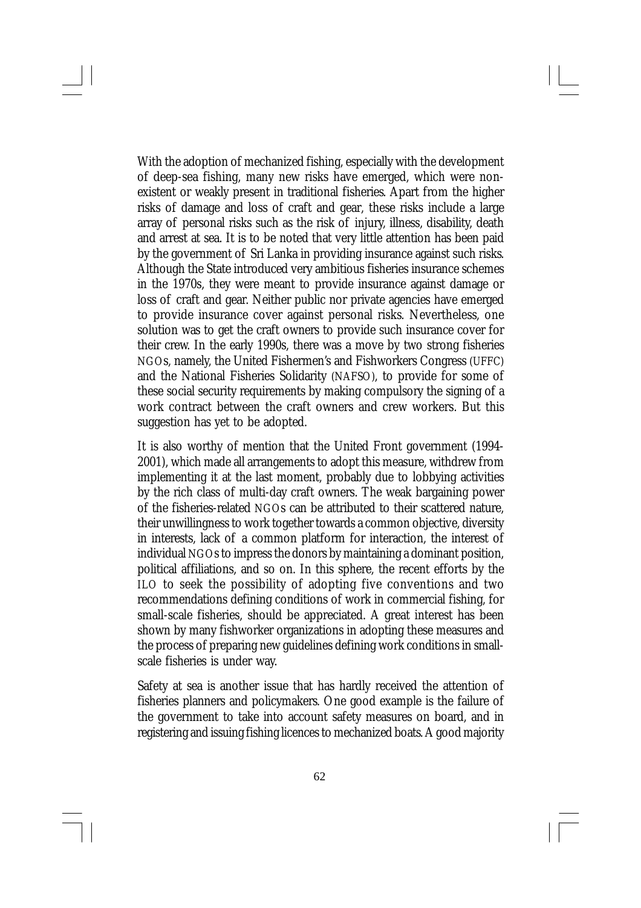With the adoption of mechanized fishing, especially with the development of deep-sea fishing, many new risks have emerged, which were nonexistent or weakly present in traditional fisheries. Apart from the higher risks of damage and loss of craft and gear, these risks include a large array of personal risks such as the risk of injury, illness, disability, death and arrest at sea. It is to be noted that very little attention has been paid by the government of Sri Lanka in providing insurance against such risks. Although the State introduced very ambitious fisheries insurance schemes in the 1970s, they were meant to provide insurance against damage or loss of craft and gear. Neither public nor private agencies have emerged to provide insurance cover against personal risks. Nevertheless, one solution was to get the craft owners to provide such insurance cover for their crew. In the early 1990s, there was a move by two strong fisheries NGOs, namely, the United Fishermen's and Fishworkers Congress (UFFC) and the National Fisheries Solidarity (NAFSO), to provide for some of these social security requirements by making compulsory the signing of a work contract between the craft owners and crew workers. But this suggestion has yet to be adopted.

It is also worthy of mention that the United Front government (1994- 2001), which made all arrangements to adopt this measure, withdrew from implementing it at the last moment, probably due to lobbying activities by the rich class of multi-day craft owners. The weak bargaining power of the fisheries-related NGOs can be attributed to their scattered nature, their unwillingness to work together towards a common objective, diversity in interests, lack of a common platform for interaction, the interest of individual NGOs to impress the donors by maintaining a dominant position, political affiliations, and so on. In this sphere, the recent efforts by the ILO to seek the possibility of adopting five conventions and two recommendations defining conditions of work in commercial fishing, for small-scale fisheries, should be appreciated. A great interest has been shown by many fishworker organizations in adopting these measures and the process of preparing new guidelines defining work conditions in smallscale fisheries is under way.

Safety at sea is another issue that has hardly received the attention of fisheries planners and policymakers. One good example is the failure of the government to take into account safety measures on board, and in registering and issuing fishing licences to mechanized boats. A good majority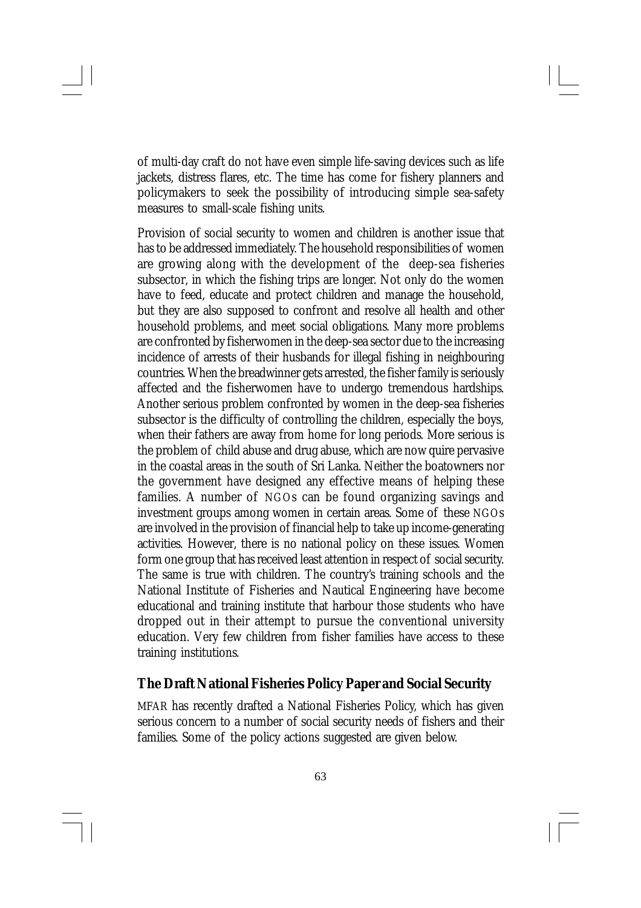of multi-day craft do not have even simple life-saving devices such as life jackets, distress flares, etc. The time has come for fishery planners and policymakers to seek the possibility of introducing simple sea-safety measures to small-scale fishing units.

Provision of social security to women and children is another issue that has to be addressed immediately. The household responsibilities of women are growing along with the development of the deep-sea fisheries subsector, in which the fishing trips are longer. Not only do the women have to feed, educate and protect children and manage the household, but they are also supposed to confront and resolve all health and other household problems, and meet social obligations. Many more problems are confronted by fisherwomen in the deep-sea sector due to the increasing incidence of arrests of their husbands for illegal fishing in neighbouring countries. When the breadwinner gets arrested, the fisher family is seriously affected and the fisherwomen have to undergo tremendous hardships. Another serious problem confronted by women in the deep-sea fisheries subsector is the difficulty of controlling the children, especially the boys, when their fathers are away from home for long periods. More serious is the problem of child abuse and drug abuse, which are now quire pervasive in the coastal areas in the south of Sri Lanka. Neither the boatowners nor the government have designed any effective means of helping these families. A number of NGOs can be found organizing savings and investment groups among women in certain areas. Some of these NGOs are involved in the provision of financial help to take up income-generating activities. However, there is no national policy on these issues. Women form one group that has received least attention in respect of social security. The same is true with children. The country's training schools and the National Institute of Fisheries and Nautical Engineering have become educational and training institute that harbour those students who have dropped out in their attempt to pursue the conventional university education. Very few children from fisher families have access to these training institutions.

## **The Draft National Fisheries Policy Paper and Social Security**

MFAR has recently drafted a National Fisheries Policy, which has given serious concern to a number of social security needs of fishers and their families. Some of the policy actions suggested are given below.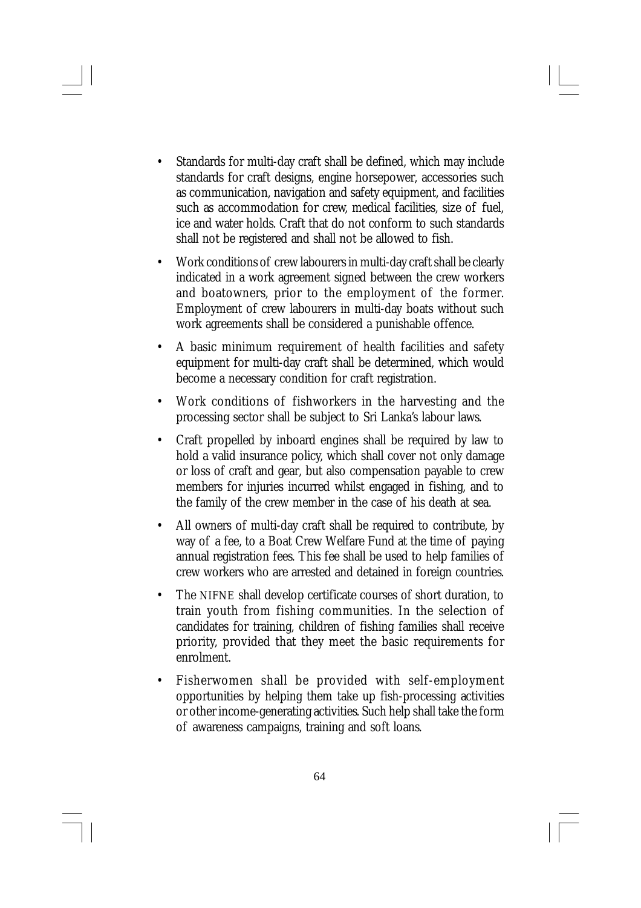- Standards for multi-day craft shall be defined, which may include standards for craft designs, engine horsepower, accessories such as communication, navigation and safety equipment, and facilities such as accommodation for crew, medical facilities, size of fuel, ice and water holds. Craft that do not conform to such standards shall not be registered and shall not be allowed to fish.
- Work conditions of crew labourers in multi-day craft shall be clearly indicated in a work agreement signed between the crew workers and boatowners, prior to the employment of the former. Employment of crew labourers in multi-day boats without such work agreements shall be considered a punishable offence.
- A basic minimum requirement of health facilities and safety equipment for multi-day craft shall be determined, which would become a necessary condition for craft registration.
- Work conditions of fishworkers in the harvesting and the processing sector shall be subject to Sri Lanka's labour laws.
- Craft propelled by inboard engines shall be required by law to hold a valid insurance policy, which shall cover not only damage or loss of craft and gear, but also compensation payable to crew members for injuries incurred whilst engaged in fishing, and to the family of the crew member in the case of his death at sea.
- All owners of multi-day craft shall be required to contribute, by way of a fee, to a Boat Crew Welfare Fund at the time of paying annual registration fees. This fee shall be used to help families of crew workers who are arrested and detained in foreign countries.
- The NIFNE shall develop certificate courses of short duration, to train youth from fishing communities. In the selection of candidates for training, children of fishing families shall receive priority, provided that they meet the basic requirements for enrolment.
- Fisherwomen shall be provided with self-employment opportunities by helping them take up fish-processing activities or other income-generating activities. Such help shall take the form of awareness campaigns, training and soft loans.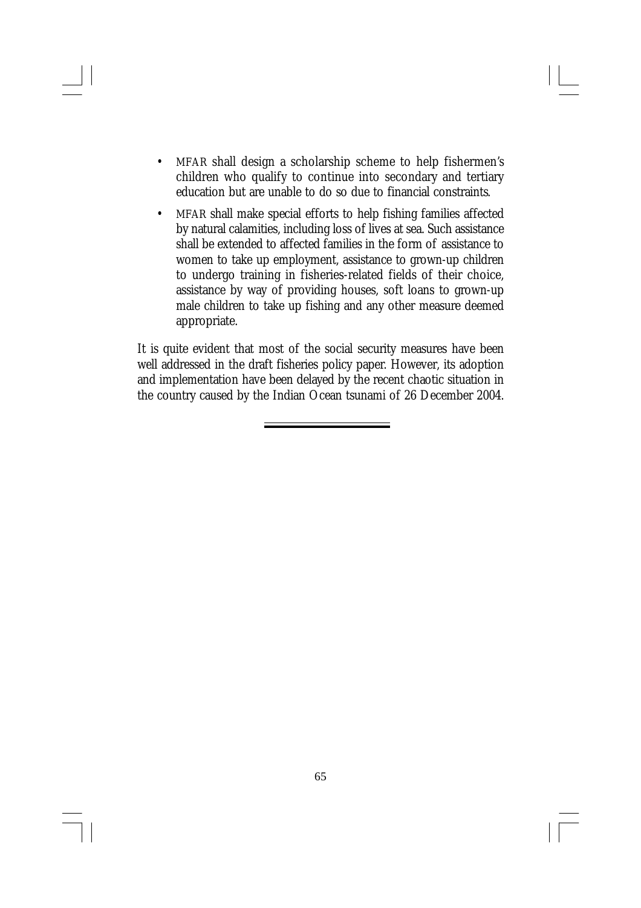- MFAR shall design a scholarship scheme to help fishermen's children who qualify to continue into secondary and tertiary education but are unable to do so due to financial constraints.
- MFAR shall make special efforts to help fishing families affected by natural calamities, including loss of lives at sea. Such assistance shall be extended to affected families in the form of assistance to women to take up employment, assistance to grown-up children to undergo training in fisheries-related fields of their choice, assistance by way of providing houses, soft loans to grown-up male children to take up fishing and any other measure deemed appropriate.

It is quite evident that most of the social security measures have been well addressed in the draft fisheries policy paper. However, its adoption and implementation have been delayed by the recent chaotic situation in the country caused by the Indian Ocean tsunami of 26 December 2004.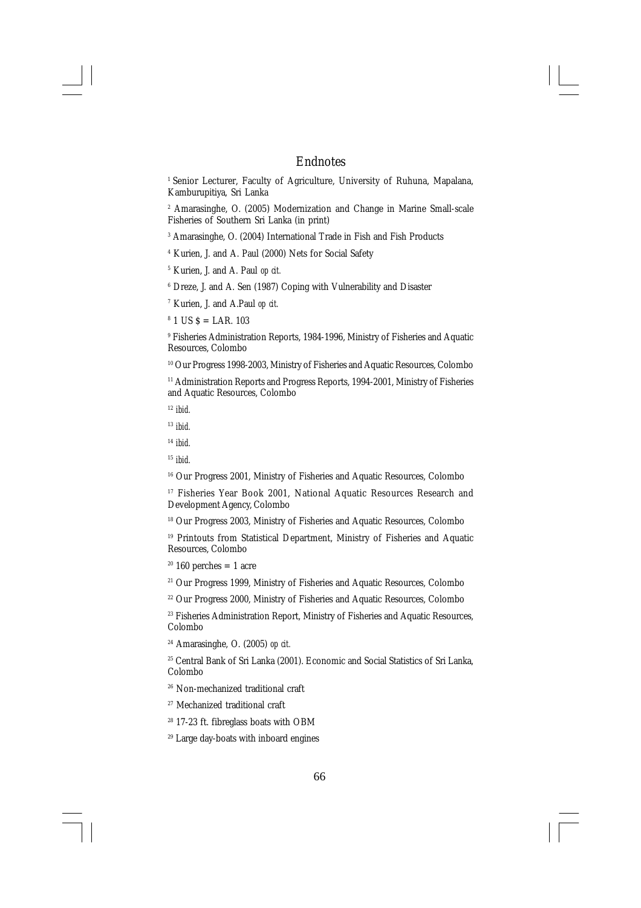#### Endnotes

<sup>1</sup> Senior Lecturer, Faculty of Agriculture, University of Ruhuna, Mapalana, Kamburupitiya, Sri Lanka

2 Amarasinghe, O. (2005) Modernization and Change in Marine Small-scale Fisheries of Southern Sri Lanka (in print)

3 Amarasinghe, O. (2004) International Trade in Fish and Fish Products

- 4 Kurien, J. and A. Paul (2000) Nets for Social Safety
- 5 Kurien, J. and A. Paul *op cit.*
- 6 Dreze, J. and A. Sen (1987) Coping with Vulnerability and Disaster
- 7 Kurien, J. and A.Paul *op cit.*
- $8$  1 US  $\text{\$ = LAR. 103}$

9 Fisheries Administration Reports, 1984-1996, Ministry of Fisheries and Aquatic Resources, Colombo

<sup>10</sup> Our Progress 1998-2003, Ministry of Fisheries and Aquatic Resources, Colombo

<sup>11</sup> Administration Reports and Progress Reports, 1994-2001, Ministry of Fisheries and Aquatic Resources, Colombo

<sup>12</sup> *ibid.*

<sup>13</sup> *ibid.*

- <sup>14</sup> *ibid.*
- <sup>15</sup> *ibid.*

<sup>16</sup> Our Progress 2001, Ministry of Fisheries and Aquatic Resources, Colombo

<sup>17</sup> Fisheries Year Book 2001, National Aquatic Resources Research and Development Agency, Colombo

<sup>18</sup> Our Progress 2003, Ministry of Fisheries and Aquatic Resources, Colombo

<sup>19</sup> Printouts from Statistical Department, Ministry of Fisheries and Aquatic Resources, Colombo

 $20$  160 perches = 1 acre

<sup>21</sup> Our Progress 1999, Ministry of Fisheries and Aquatic Resources, Colombo

<sup>22</sup> Our Progress 2000, Ministry of Fisheries and Aquatic Resources, Colombo

<sup>23</sup> Fisheries Administration Report, Ministry of Fisheries and Aquatic Resources, Colombo

<sup>24</sup> Amarasinghe, O. (2005) *op cit.*

<sup>25</sup> Central Bank of Sri Lanka (2001). Economic and Social Statistics of Sri Lanka, Colombo

- <sup>26</sup> Non-mechanized traditional craft
- <sup>27</sup> Mechanized traditional craft
- <sup>28</sup> 17-23 ft. fibreglass boats with OBM

29 Large day-boats with inboard engines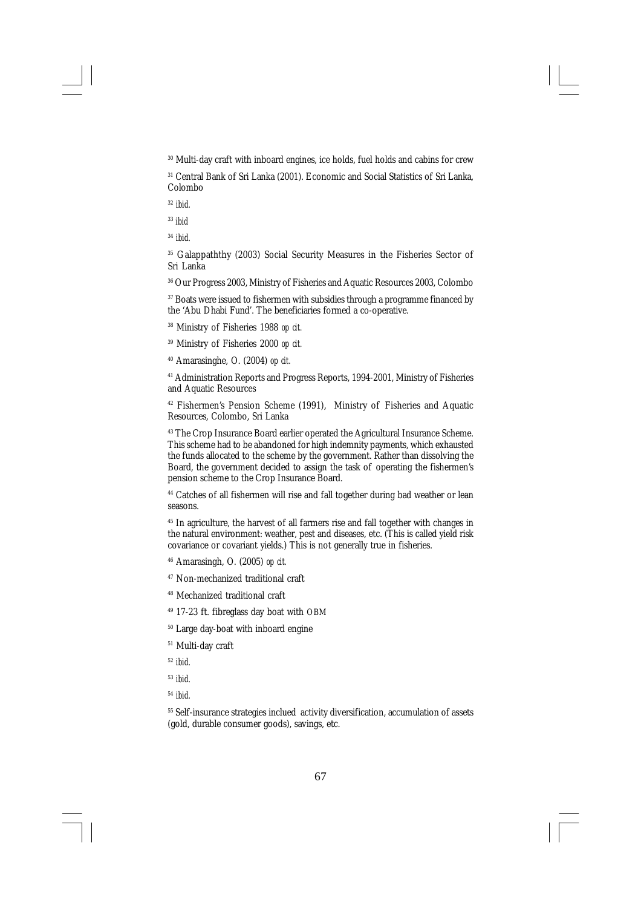<sup>30</sup> Multi-day craft with inboard engines, ice holds, fuel holds and cabins for crew

<sup>31</sup> Central Bank of Sri Lanka (2001). Economic and Social Statistics of Sri Lanka, Colombo

<sup>32</sup> *ibid.*

<sup>33</sup> *ibid*

<sup>34</sup> *ibid.*

<sup>35</sup> Galappaththy (2003) Social Security Measures in the Fisheries Sector of Sri Lanka

<sup>36</sup> Our Progress 2003, Ministry of Fisheries and Aquatic Resources 2003, Colombo

<sup>37</sup> Boats were issued to fishermen with subsidies through a programme financed by the 'Abu Dhabi Fund'. The beneficiaries formed a co-operative.

<sup>38</sup> Ministry of Fisheries 1988 *op cit.*

<sup>39</sup> Ministry of Fisheries 2000 *op cit.*

<sup>40</sup> Amarasinghe, O. (2004) *op cit.*

<sup>41</sup> Administration Reports and Progress Reports, 1994-2001, Ministry of Fisheries and Aquatic Resources

<sup>42</sup> Fishermen's Pension Scheme (1991), Ministry of Fisheries and Aquatic Resources, Colombo, Sri Lanka

<sup>43</sup> The Crop Insurance Board earlier operated the Agricultural Insurance Scheme. This scheme had to be abandoned for high indemnity payments, which exhausted the funds allocated to the scheme by the government. Rather than dissolving the Board, the government decided to assign the task of operating the fishermen's pension scheme to the Crop Insurance Board.

<sup>44</sup> Catches of all fishermen will rise and fall together during bad weather or lean seasons.

<sup>45</sup> In agriculture, the harvest of all farmers rise and fall together with changes in the natural environment: weather, pest and diseases, etc. (This is called yield risk covariance or covariant yields.) This is not generally true in fisheries.

<sup>46</sup> Amarasingh, O. (2005) *op cit.*

<sup>47</sup> Non-mechanized traditional craft

<sup>48</sup> Mechanized traditional craft

<sup>49</sup> 17-23 ft. fibreglass day boat with OBM

<sup>50</sup> Large day-boat with inboard engine

<sup>51</sup> Multi-day craft

<sup>52</sup> *ibid.*

<sup>53</sup> *ibid.*

<sup>54</sup> *ibid.*

<sup>55</sup> Self-insurance strategies inclued activity diversification, accumulation of assets (gold, durable consumer goods), savings, etc.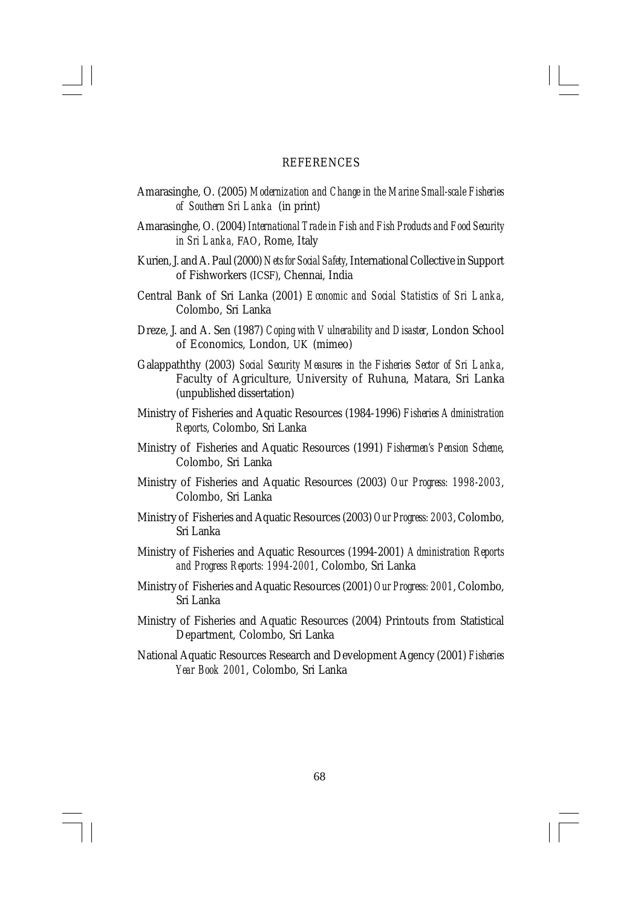#### REFERENCES

- Amarasinghe, O. (2005) *Modernization and Change in the Marine Small-scale Fisheries of Southern Sri Lanka* (in print)
- Amarasinghe, O. (2004) *International Trade in Fish and Fish Products and Food Security in Sri Lanka,* FAO, Rome, Italy
- Kurien, J. and A. Paul (2000) *Nets for Social Safety*, International Collective in Support of Fishworkers (ICSF), Chennai, India
- Central Bank of Sri Lanka (2001) *Economic and Social Statistics of Sri Lanka*, Colombo, Sri Lanka
- Dreze, J. and A. Sen (1987) *Coping with Vulnerability and Disaster*, London School of Economics, London, UK (mimeo)
- Galappaththy (2003) *Social Security Measures in the Fisheries Sector of Sri Lanka*, Faculty of Agriculture, University of Ruhuna, Matara, Sri Lanka (unpublished dissertation)
- Ministry of Fisheries and Aquatic Resources (1984-1996) *Fisheries Administration Reports*, Colombo, Sri Lanka
- Ministry of Fisheries and Aquatic Resources (1991) *Fishermen's Pension Scheme*, Colombo, Sri Lanka
- Ministry of Fisheries and Aquatic Resources (2003) *Our Progress: 1998-2003*, Colombo, Sri Lanka
- Ministry of Fisheries and Aquatic Resources (2003) *Our Progress: 2003*, Colombo, Sri Lanka
- Ministry of Fisheries and Aquatic Resources (1994-2001) *Administration Reports and Progress Reports: 1994-2001*, Colombo, Sri Lanka
- Ministry of Fisheries and Aquatic Resources (2001) *Our Progress: 2001*, Colombo, Sri Lanka
- Ministry of Fisheries and Aquatic Resources (2004) Printouts from Statistical Department, Colombo, Sri Lanka
- National Aquatic Resources Research and Development Agency (2001) *Fisheries Year Book 2001*, Colombo, Sri Lanka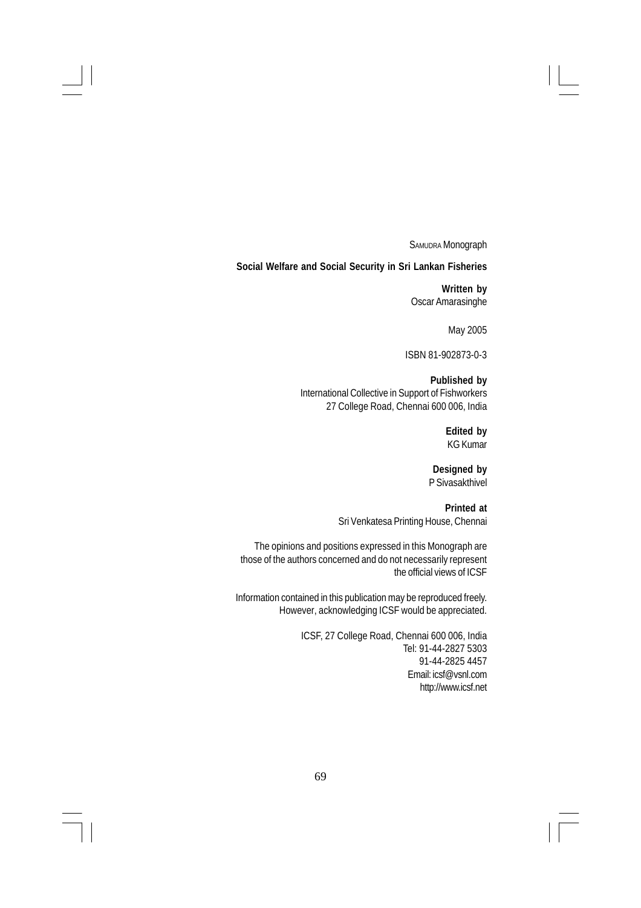SAMUDRA Monograph

**Social Welfare and Social Security in Sri Lankan Fisheries**

**Written by** Oscar Amarasinghe

May 2005

ISBN 81-902873-0-3

**Published by** International Collective in Support of Fishworkers 27 College Road, Chennai 600 006, India

> **Edited by** KG Kumar

**Designed by** P Sivasakthivel

**Printed at** Sri Venkatesa Printing House, Chennai

The opinions and positions expressed in this Monograph are those of the authors concerned and do not necessarily represent the official views of ICSF

Information contained in this publication may be reproduced freely. However, acknowledging ICSF would be appreciated.

> ICSF, 27 College Road, Chennai 600 006, India Tel: 91-44-2827 5303 91-44-2825 4457 Email: icsf@vsnl.com http://www.icsf.net